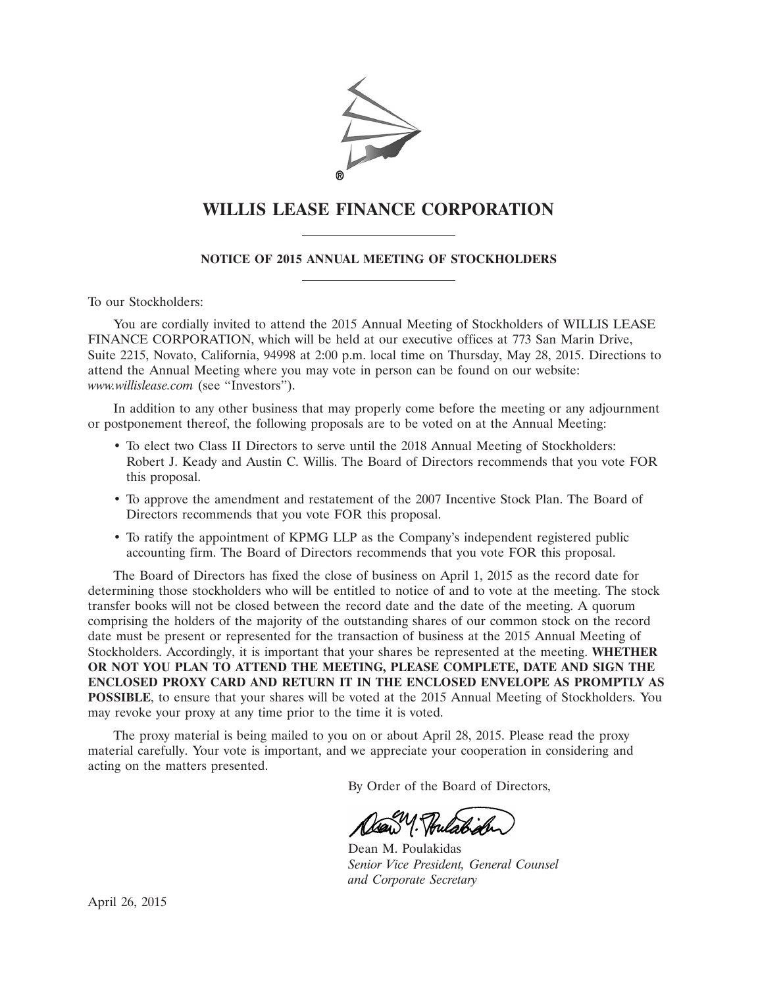

# **WILLIS LEASE FINANCE CORPORATION**

# **NOTICE OF 2015 ANNUAL MEETING OF STOCKHOLDERS**

To our Stockholders:

You are cordially invited to attend the 2015 Annual Meeting of Stockholders of WILLIS LEASE FINANCE CORPORATION, which will be held at our executive offices at 773 San Marin Drive, Suite 2215, Novato, California, 94998 at 2:00 p.m. local time on Thursday, May 28, 2015. Directions to attend the Annual Meeting where you may vote in person can be found on our website: *www.willislease.com* (see ''Investors'').

In addition to any other business that may properly come before the meeting or any adjournment or postponement thereof, the following proposals are to be voted on at the Annual Meeting:

- To elect two Class II Directors to serve until the 2018 Annual Meeting of Stockholders: Robert J. Keady and Austin C. Willis. The Board of Directors recommends that you vote FOR this proposal.
- To approve the amendment and restatement of the 2007 Incentive Stock Plan. The Board of Directors recommends that you vote FOR this proposal.
- To ratify the appointment of KPMG LLP as the Company's independent registered public accounting firm. The Board of Directors recommends that you vote FOR this proposal.

The Board of Directors has fixed the close of business on April 1, 2015 as the record date for determining those stockholders who will be entitled to notice of and to vote at the meeting. The stock transfer books will not be closed between the record date and the date of the meeting. A quorum comprising the holders of the majority of the outstanding shares of our common stock on the record date must be present or represented for the transaction of business at the 2015 Annual Meeting of Stockholders. Accordingly, it is important that your shares be represented at the meeting. **WHETHER OR NOT YOU PLAN TO ATTEND THE MEETING, PLEASE COMPLETE, DATE AND SIGN THE ENCLOSED PROXY CARD AND RETURN IT IN THE ENCLOSED ENVELOPE AS PROMPTLY AS POSSIBLE**, to ensure that your shares will be voted at the 2015 Annual Meeting of Stockholders. You may revoke your proxy at any time prior to the time it is voted.

The proxy material is being mailed to you on or about April 28, 2015. Please read the proxy material carefully. Your vote is important, and we appreciate your cooperation in considering and acting on the matters presented.

By Order of the Board of Directors,

alaw 1. Poulabiole

Dean M. Poulakidas *Senior Vice President, General Counsel and Corporate Secretary*

April 26, 2015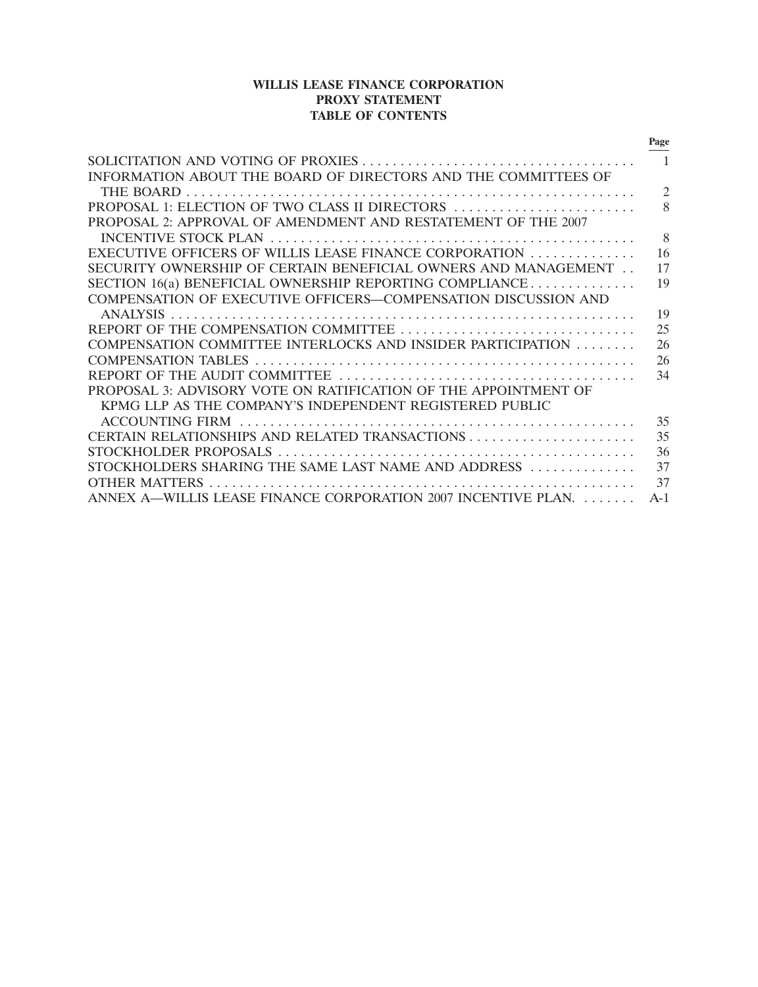# **WILLIS LEASE FINANCE CORPORATION PROXY STATEMENT TABLE OF CONTENTS**

|                                                                 | Page           |
|-----------------------------------------------------------------|----------------|
|                                                                 |                |
| INFORMATION ABOUT THE BOARD OF DIRECTORS AND THE COMMITTEES OF  |                |
|                                                                 | $\overline{2}$ |
| PROPOSAL 1: ELECTION OF TWO CLASS II DIRECTORS                  | 8              |
| PROPOSAL 2: APPROVAL OF AMENDMENT AND RESTATEMENT OF THE 2007   |                |
|                                                                 | 8              |
| EXECUTIVE OFFICERS OF WILLIS LEASE FINANCE CORPORATION          | 16             |
| SECURITY OWNERSHIP OF CERTAIN BENEFICIAL OWNERS AND MANAGEMENT  | 17             |
| SECTION 16(a) BENEFICIAL OWNERSHIP REPORTING COMPLIANCE         | 19             |
| COMPENSATION OF EXECUTIVE OFFICERS-COMPENSATION DISCUSSION AND  |                |
|                                                                 | 19             |
|                                                                 | 25             |
| COMPENSATION COMMITTEE INTERLOCKS AND INSIDER PARTICIPATION     | 26             |
|                                                                 | 26             |
|                                                                 | 34             |
| PROPOSAL 3: ADVISORY VOTE ON RATIFICATION OF THE APPOINTMENT OF |                |
| KPMG LLP AS THE COMPANY'S INDEPENDENT REGISTERED PUBLIC         |                |
|                                                                 | 35             |
|                                                                 | 35             |
|                                                                 | 36             |
| STOCKHOLDERS SHARING THE SAME LAST NAME AND ADDRESS             | 37             |
|                                                                 | 37             |
| ANNEX A—WILLIS LEASE FINANCE CORPORATION 2007 INCENTIVE PLAN.   | $A-1$          |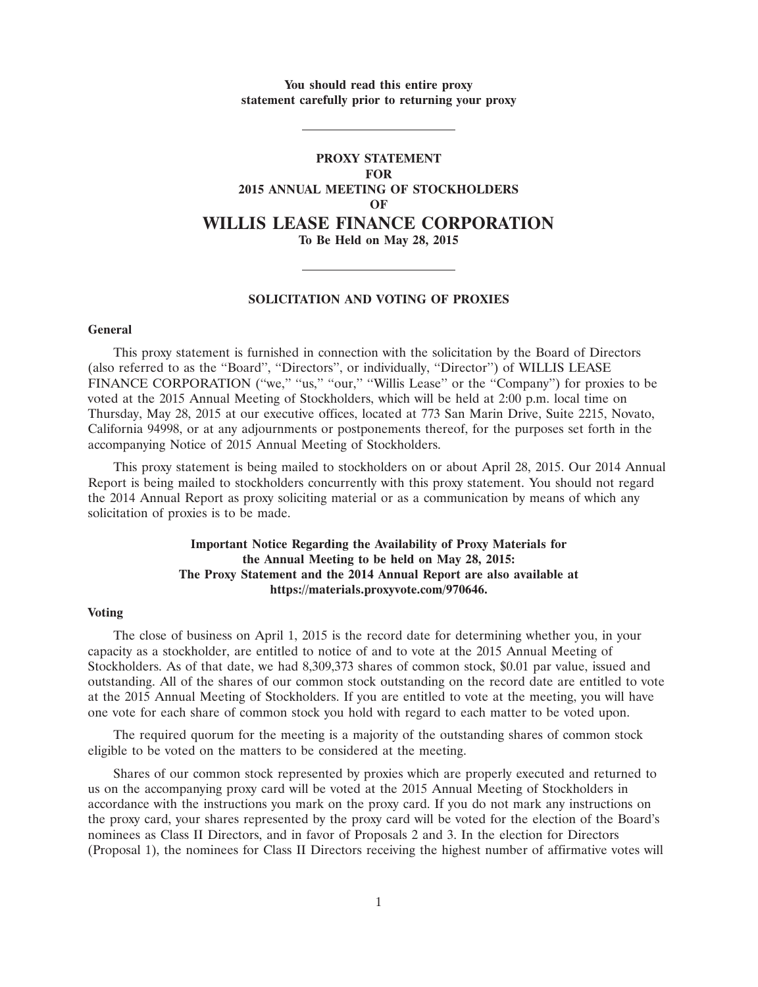**You should read this entire proxy statement carefully prior to returning your proxy**

# **PROXY STATEMENT FOR 2015 ANNUAL MEETING OF STOCKHOLDERS OF WILLIS LEASE FINANCE CORPORATION To Be Held on May 28, 2015**

#### **SOLICITATION AND VOTING OF PROXIES**

# **General**

This proxy statement is furnished in connection with the solicitation by the Board of Directors (also referred to as the ''Board'', ''Directors'', or individually, ''Director'') of WILLIS LEASE FINANCE CORPORATION ("we," "us," "our," "Willis Lease" or the "Company") for proxies to be voted at the 2015 Annual Meeting of Stockholders, which will be held at 2:00 p.m. local time on Thursday, May 28, 2015 at our executive offices, located at 773 San Marin Drive, Suite 2215, Novato, California 94998, or at any adjournments or postponements thereof, for the purposes set forth in the accompanying Notice of 2015 Annual Meeting of Stockholders.

This proxy statement is being mailed to stockholders on or about April 28, 2015. Our 2014 Annual Report is being mailed to stockholders concurrently with this proxy statement. You should not regard the 2014 Annual Report as proxy soliciting material or as a communication by means of which any solicitation of proxies is to be made.

# **Important Notice Regarding the Availability of Proxy Materials for the Annual Meeting to be held on May 28, 2015: The Proxy Statement and the 2014 Annual Report are also available at https://materials.proxyvote.com/970646.**

#### **Voting**

The close of business on April 1, 2015 is the record date for determining whether you, in your capacity as a stockholder, are entitled to notice of and to vote at the 2015 Annual Meeting of Stockholders. As of that date, we had 8,309,373 shares of common stock, \$0.01 par value, issued and outstanding. All of the shares of our common stock outstanding on the record date are entitled to vote at the 2015 Annual Meeting of Stockholders. If you are entitled to vote at the meeting, you will have one vote for each share of common stock you hold with regard to each matter to be voted upon.

The required quorum for the meeting is a majority of the outstanding shares of common stock eligible to be voted on the matters to be considered at the meeting.

Shares of our common stock represented by proxies which are properly executed and returned to us on the accompanying proxy card will be voted at the 2015 Annual Meeting of Stockholders in accordance with the instructions you mark on the proxy card. If you do not mark any instructions on the proxy card, your shares represented by the proxy card will be voted for the election of the Board's nominees as Class II Directors, and in favor of Proposals 2 and 3. In the election for Directors (Proposal 1), the nominees for Class II Directors receiving the highest number of affirmative votes will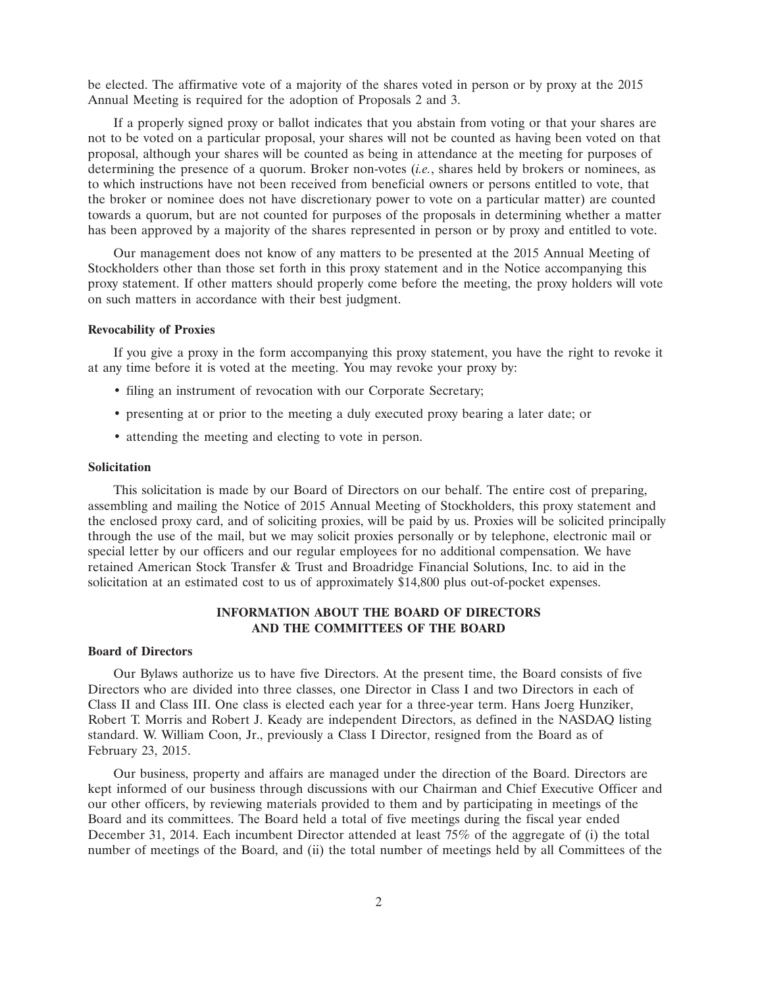be elected. The affirmative vote of a majority of the shares voted in person or by proxy at the 2015 Annual Meeting is required for the adoption of Proposals 2 and 3.

If a properly signed proxy or ballot indicates that you abstain from voting or that your shares are not to be voted on a particular proposal, your shares will not be counted as having been voted on that proposal, although your shares will be counted as being in attendance at the meeting for purposes of determining the presence of a quorum. Broker non-votes (*i.e.*, shares held by brokers or nominees, as to which instructions have not been received from beneficial owners or persons entitled to vote, that the broker or nominee does not have discretionary power to vote on a particular matter) are counted towards a quorum, but are not counted for purposes of the proposals in determining whether a matter has been approved by a majority of the shares represented in person or by proxy and entitled to vote.

Our management does not know of any matters to be presented at the 2015 Annual Meeting of Stockholders other than those set forth in this proxy statement and in the Notice accompanying this proxy statement. If other matters should properly come before the meeting, the proxy holders will vote on such matters in accordance with their best judgment.

# **Revocability of Proxies**

If you give a proxy in the form accompanying this proxy statement, you have the right to revoke it at any time before it is voted at the meeting. You may revoke your proxy by:

- filing an instrument of revocation with our Corporate Secretary;
- presenting at or prior to the meeting a duly executed proxy bearing a later date; or
- attending the meeting and electing to vote in person.

#### **Solicitation**

This solicitation is made by our Board of Directors on our behalf. The entire cost of preparing, assembling and mailing the Notice of 2015 Annual Meeting of Stockholders, this proxy statement and the enclosed proxy card, and of soliciting proxies, will be paid by us. Proxies will be solicited principally through the use of the mail, but we may solicit proxies personally or by telephone, electronic mail or special letter by our officers and our regular employees for no additional compensation. We have retained American Stock Transfer & Trust and Broadridge Financial Solutions, Inc. to aid in the solicitation at an estimated cost to us of approximately \$14,800 plus out-of-pocket expenses.

# **INFORMATION ABOUT THE BOARD OF DIRECTORS AND THE COMMITTEES OF THE BOARD**

# **Board of Directors**

Our Bylaws authorize us to have five Directors. At the present time, the Board consists of five Directors who are divided into three classes, one Director in Class I and two Directors in each of Class II and Class III. One class is elected each year for a three-year term. Hans Joerg Hunziker, Robert T. Morris and Robert J. Keady are independent Directors, as defined in the NASDAQ listing standard. W. William Coon, Jr., previously a Class I Director, resigned from the Board as of February 23, 2015.

Our business, property and affairs are managed under the direction of the Board. Directors are kept informed of our business through discussions with our Chairman and Chief Executive Officer and our other officers, by reviewing materials provided to them and by participating in meetings of the Board and its committees. The Board held a total of five meetings during the fiscal year ended December 31, 2014. Each incumbent Director attended at least 75% of the aggregate of (i) the total number of meetings of the Board, and (ii) the total number of meetings held by all Committees of the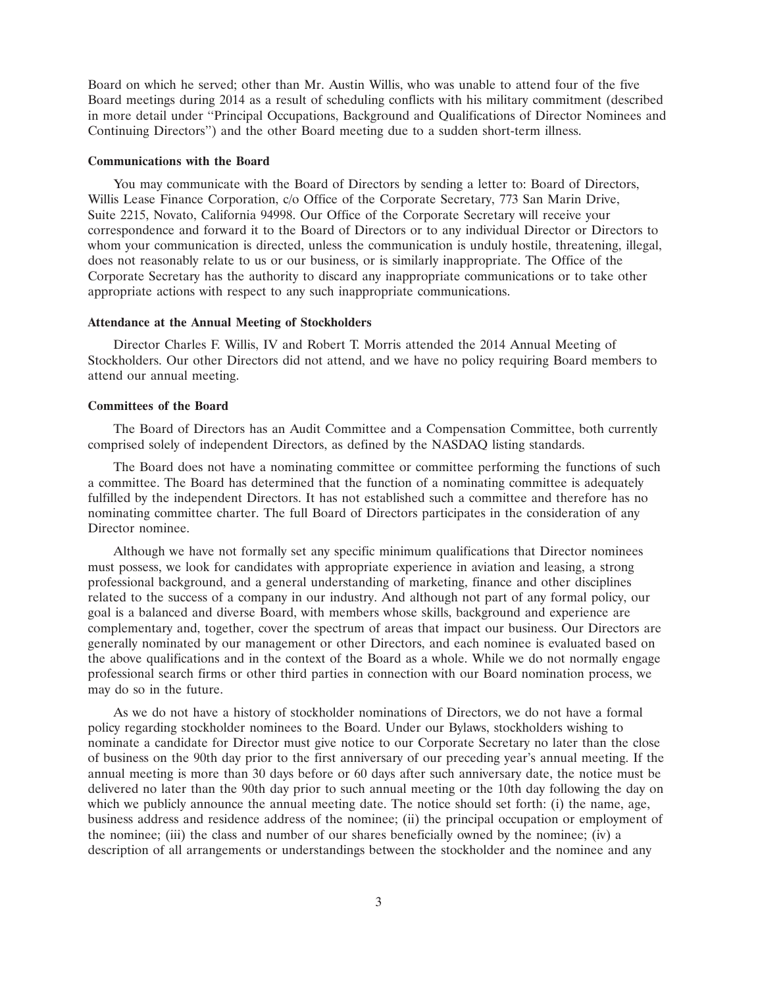Board on which he served; other than Mr. Austin Willis, who was unable to attend four of the five Board meetings during 2014 as a result of scheduling conflicts with his military commitment (described in more detail under ''Principal Occupations, Background and Qualifications of Director Nominees and Continuing Directors'') and the other Board meeting due to a sudden short-term illness.

#### **Communications with the Board**

You may communicate with the Board of Directors by sending a letter to: Board of Directors, Willis Lease Finance Corporation, c/o Office of the Corporate Secretary, 773 San Marin Drive, Suite 2215, Novato, California 94998. Our Office of the Corporate Secretary will receive your correspondence and forward it to the Board of Directors or to any individual Director or Directors to whom your communication is directed, unless the communication is unduly hostile, threatening, illegal, does not reasonably relate to us or our business, or is similarly inappropriate. The Office of the Corporate Secretary has the authority to discard any inappropriate communications or to take other appropriate actions with respect to any such inappropriate communications.

#### **Attendance at the Annual Meeting of Stockholders**

Director Charles F. Willis, IV and Robert T. Morris attended the 2014 Annual Meeting of Stockholders. Our other Directors did not attend, and we have no policy requiring Board members to attend our annual meeting.

# **Committees of the Board**

The Board of Directors has an Audit Committee and a Compensation Committee, both currently comprised solely of independent Directors, as defined by the NASDAQ listing standards.

The Board does not have a nominating committee or committee performing the functions of such a committee. The Board has determined that the function of a nominating committee is adequately fulfilled by the independent Directors. It has not established such a committee and therefore has no nominating committee charter. The full Board of Directors participates in the consideration of any Director nominee.

Although we have not formally set any specific minimum qualifications that Director nominees must possess, we look for candidates with appropriate experience in aviation and leasing, a strong professional background, and a general understanding of marketing, finance and other disciplines related to the success of a company in our industry. And although not part of any formal policy, our goal is a balanced and diverse Board, with members whose skills, background and experience are complementary and, together, cover the spectrum of areas that impact our business. Our Directors are generally nominated by our management or other Directors, and each nominee is evaluated based on the above qualifications and in the context of the Board as a whole. While we do not normally engage professional search firms or other third parties in connection with our Board nomination process, we may do so in the future.

As we do not have a history of stockholder nominations of Directors, we do not have a formal policy regarding stockholder nominees to the Board. Under our Bylaws, stockholders wishing to nominate a candidate for Director must give notice to our Corporate Secretary no later than the close of business on the 90th day prior to the first anniversary of our preceding year's annual meeting. If the annual meeting is more than 30 days before or 60 days after such anniversary date, the notice must be delivered no later than the 90th day prior to such annual meeting or the 10th day following the day on which we publicly announce the annual meeting date. The notice should set forth: (i) the name, age, business address and residence address of the nominee; (ii) the principal occupation or employment of the nominee; (iii) the class and number of our shares beneficially owned by the nominee; (iv) a description of all arrangements or understandings between the stockholder and the nominee and any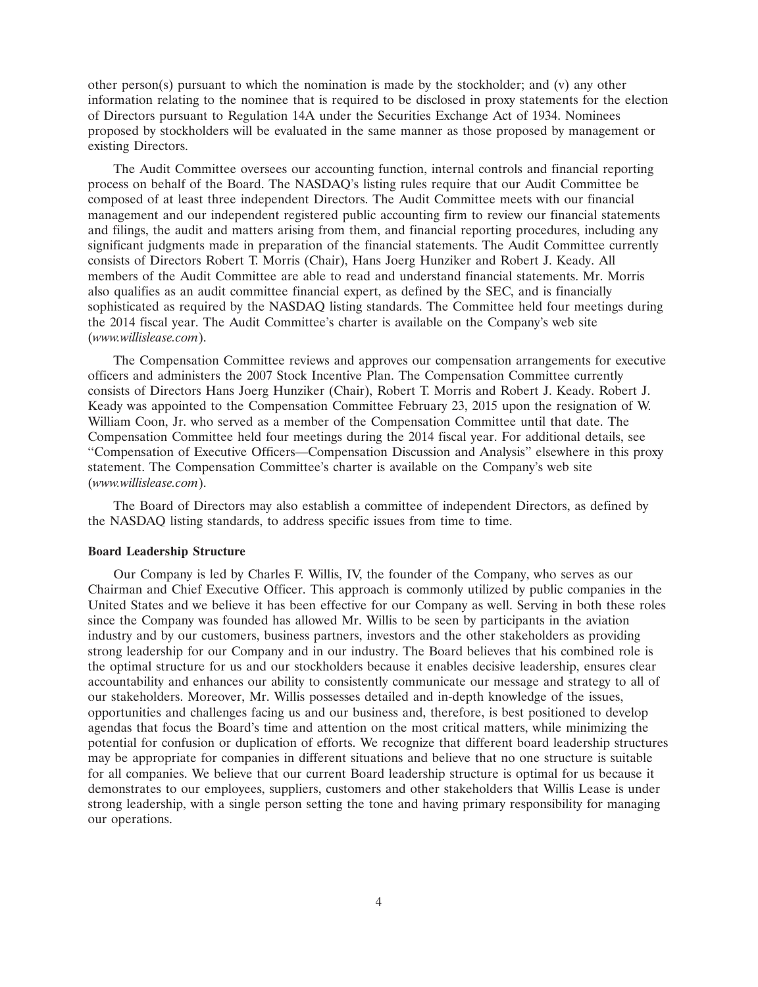other person(s) pursuant to which the nomination is made by the stockholder; and (v) any other information relating to the nominee that is required to be disclosed in proxy statements for the election of Directors pursuant to Regulation 14A under the Securities Exchange Act of 1934. Nominees proposed by stockholders will be evaluated in the same manner as those proposed by management or existing Directors.

The Audit Committee oversees our accounting function, internal controls and financial reporting process on behalf of the Board. The NASDAQ's listing rules require that our Audit Committee be composed of at least three independent Directors. The Audit Committee meets with our financial management and our independent registered public accounting firm to review our financial statements and filings, the audit and matters arising from them, and financial reporting procedures, including any significant judgments made in preparation of the financial statements. The Audit Committee currently consists of Directors Robert T. Morris (Chair), Hans Joerg Hunziker and Robert J. Keady. All members of the Audit Committee are able to read and understand financial statements. Mr. Morris also qualifies as an audit committee financial expert, as defined by the SEC, and is financially sophisticated as required by the NASDAQ listing standards. The Committee held four meetings during the 2014 fiscal year. The Audit Committee's charter is available on the Company's web site (*www.willislease.com*).

The Compensation Committee reviews and approves our compensation arrangements for executive officers and administers the 2007 Stock Incentive Plan. The Compensation Committee currently consists of Directors Hans Joerg Hunziker (Chair), Robert T. Morris and Robert J. Keady. Robert J. Keady was appointed to the Compensation Committee February 23, 2015 upon the resignation of W. William Coon, Jr. who served as a member of the Compensation Committee until that date. The Compensation Committee held four meetings during the 2014 fiscal year. For additional details, see ''Compensation of Executive Officers—Compensation Discussion and Analysis'' elsewhere in this proxy statement. The Compensation Committee's charter is available on the Company's web site (*www.willislease.com*).

The Board of Directors may also establish a committee of independent Directors, as defined by the NASDAQ listing standards, to address specific issues from time to time.

#### **Board Leadership Structure**

Our Company is led by Charles F. Willis, IV, the founder of the Company, who serves as our Chairman and Chief Executive Officer. This approach is commonly utilized by public companies in the United States and we believe it has been effective for our Company as well. Serving in both these roles since the Company was founded has allowed Mr. Willis to be seen by participants in the aviation industry and by our customers, business partners, investors and the other stakeholders as providing strong leadership for our Company and in our industry. The Board believes that his combined role is the optimal structure for us and our stockholders because it enables decisive leadership, ensures clear accountability and enhances our ability to consistently communicate our message and strategy to all of our stakeholders. Moreover, Mr. Willis possesses detailed and in-depth knowledge of the issues, opportunities and challenges facing us and our business and, therefore, is best positioned to develop agendas that focus the Board's time and attention on the most critical matters, while minimizing the potential for confusion or duplication of efforts. We recognize that different board leadership structures may be appropriate for companies in different situations and believe that no one structure is suitable for all companies. We believe that our current Board leadership structure is optimal for us because it demonstrates to our employees, suppliers, customers and other stakeholders that Willis Lease is under strong leadership, with a single person setting the tone and having primary responsibility for managing our operations.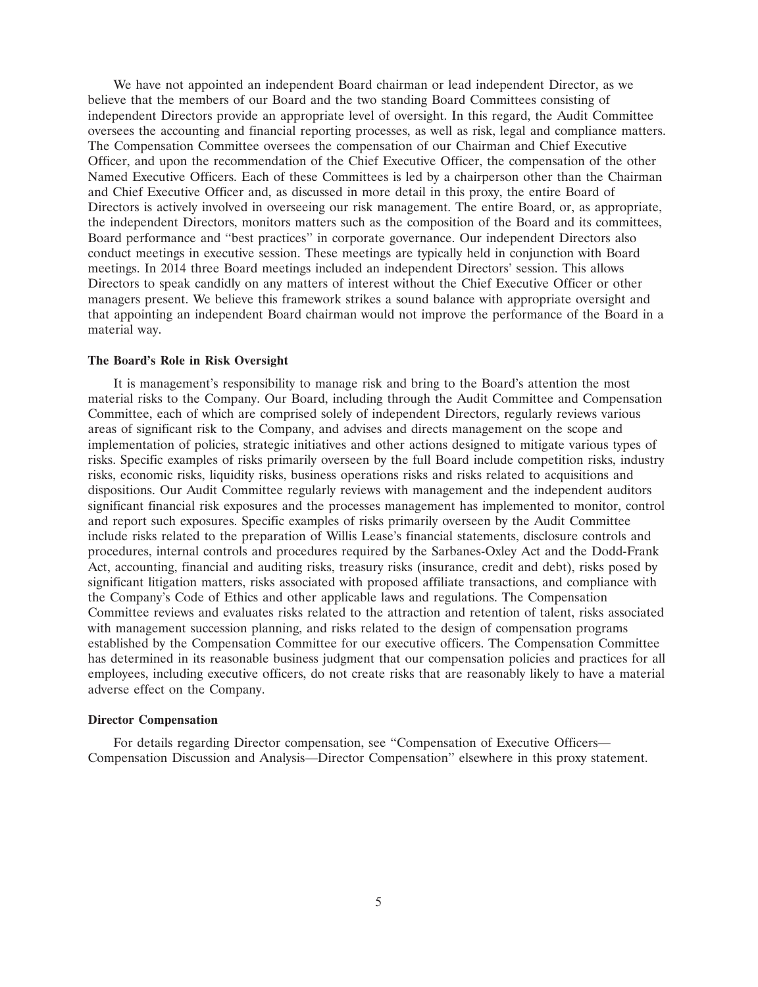We have not appointed an independent Board chairman or lead independent Director, as we believe that the members of our Board and the two standing Board Committees consisting of independent Directors provide an appropriate level of oversight. In this regard, the Audit Committee oversees the accounting and financial reporting processes, as well as risk, legal and compliance matters. The Compensation Committee oversees the compensation of our Chairman and Chief Executive Officer, and upon the recommendation of the Chief Executive Officer, the compensation of the other Named Executive Officers. Each of these Committees is led by a chairperson other than the Chairman and Chief Executive Officer and, as discussed in more detail in this proxy, the entire Board of Directors is actively involved in overseeing our risk management. The entire Board, or, as appropriate, the independent Directors, monitors matters such as the composition of the Board and its committees, Board performance and ''best practices'' in corporate governance. Our independent Directors also conduct meetings in executive session. These meetings are typically held in conjunction with Board meetings. In 2014 three Board meetings included an independent Directors' session. This allows Directors to speak candidly on any matters of interest without the Chief Executive Officer or other managers present. We believe this framework strikes a sound balance with appropriate oversight and that appointing an independent Board chairman would not improve the performance of the Board in a material way.

# **The Board's Role in Risk Oversight**

It is management's responsibility to manage risk and bring to the Board's attention the most material risks to the Company. Our Board, including through the Audit Committee and Compensation Committee, each of which are comprised solely of independent Directors, regularly reviews various areas of significant risk to the Company, and advises and directs management on the scope and implementation of policies, strategic initiatives and other actions designed to mitigate various types of risks. Specific examples of risks primarily overseen by the full Board include competition risks, industry risks, economic risks, liquidity risks, business operations risks and risks related to acquisitions and dispositions. Our Audit Committee regularly reviews with management and the independent auditors significant financial risk exposures and the processes management has implemented to monitor, control and report such exposures. Specific examples of risks primarily overseen by the Audit Committee include risks related to the preparation of Willis Lease's financial statements, disclosure controls and procedures, internal controls and procedures required by the Sarbanes-Oxley Act and the Dodd-Frank Act, accounting, financial and auditing risks, treasury risks (insurance, credit and debt), risks posed by significant litigation matters, risks associated with proposed affiliate transactions, and compliance with the Company's Code of Ethics and other applicable laws and regulations. The Compensation Committee reviews and evaluates risks related to the attraction and retention of talent, risks associated with management succession planning, and risks related to the design of compensation programs established by the Compensation Committee for our executive officers. The Compensation Committee has determined in its reasonable business judgment that our compensation policies and practices for all employees, including executive officers, do not create risks that are reasonably likely to have a material adverse effect on the Company.

#### **Director Compensation**

For details regarding Director compensation, see ''Compensation of Executive Officers— Compensation Discussion and Analysis—Director Compensation'' elsewhere in this proxy statement.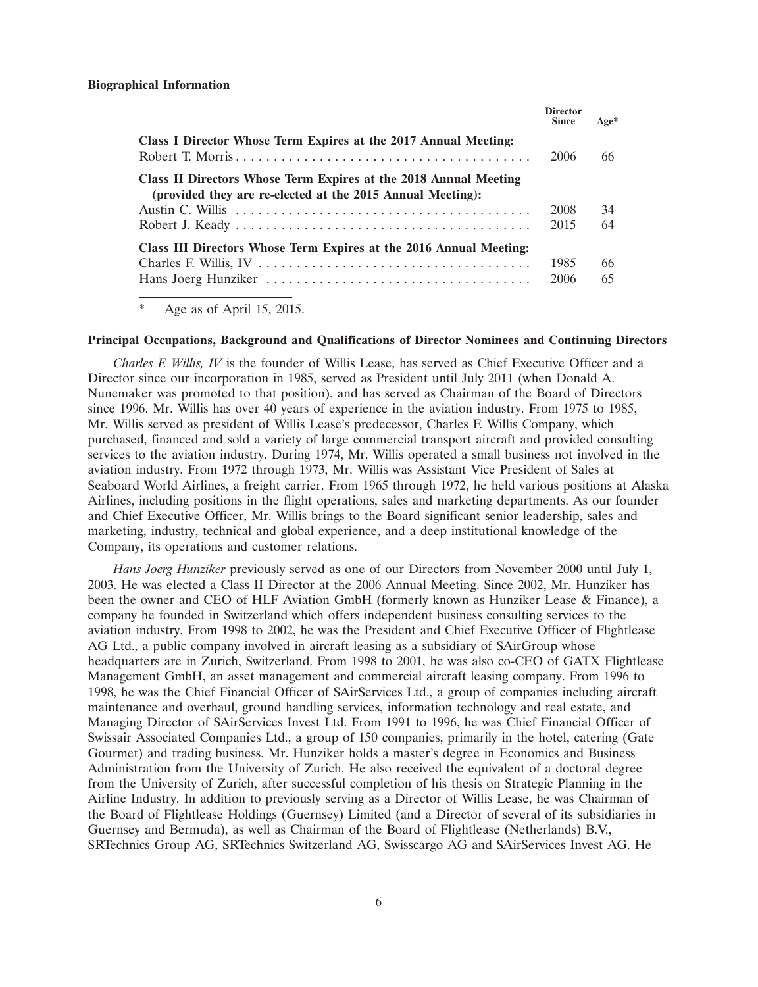|                                                                                                                                | <b>Director</b><br><b>Since</b> | $Age*$ |
|--------------------------------------------------------------------------------------------------------------------------------|---------------------------------|--------|
| Class I Director Whose Term Expires at the 2017 Annual Meeting:                                                                | 2006                            | 66     |
| Class II Directors Whose Term Expires at the 2018 Annual Meeting<br>(provided they are re-elected at the 2015 Annual Meeting): |                                 |        |
|                                                                                                                                | 2008                            | 34     |
|                                                                                                                                | 2015                            | 64     |
| Class III Directors Whose Term Expires at the 2016 Annual Meeting:                                                             |                                 |        |
|                                                                                                                                | 1985                            | 66     |
|                                                                                                                                | 2006                            | 65     |

Age as of April 15, 2015.

#### **Principal Occupations, Background and Qualifications of Director Nominees and Continuing Directors**

*Charles F. Willis, IV* is the founder of Willis Lease, has served as Chief Executive Officer and a Director since our incorporation in 1985, served as President until July 2011 (when Donald A. Nunemaker was promoted to that position), and has served as Chairman of the Board of Directors since 1996. Mr. Willis has over 40 years of experience in the aviation industry. From 1975 to 1985, Mr. Willis served as president of Willis Lease's predecessor, Charles F. Willis Company, which purchased, financed and sold a variety of large commercial transport aircraft and provided consulting services to the aviation industry. During 1974, Mr. Willis operated a small business not involved in the aviation industry. From 1972 through 1973, Mr. Willis was Assistant Vice President of Sales at Seaboard World Airlines, a freight carrier. From 1965 through 1972, he held various positions at Alaska Airlines, including positions in the flight operations, sales and marketing departments. As our founder and Chief Executive Officer, Mr. Willis brings to the Board significant senior leadership, sales and marketing, industry, technical and global experience, and a deep institutional knowledge of the Company, its operations and customer relations.

*Hans Joerg Hunziker* previously served as one of our Directors from November 2000 until July 1, 2003. He was elected a Class II Director at the 2006 Annual Meeting. Since 2002, Mr. Hunziker has been the owner and CEO of HLF Aviation GmbH (formerly known as Hunziker Lease & Finance), a company he founded in Switzerland which offers independent business consulting services to the aviation industry. From 1998 to 2002, he was the President and Chief Executive Officer of Flightlease AG Ltd., a public company involved in aircraft leasing as a subsidiary of SAirGroup whose headquarters are in Zurich, Switzerland. From 1998 to 2001, he was also co-CEO of GATX Flightlease Management GmbH, an asset management and commercial aircraft leasing company. From 1996 to 1998, he was the Chief Financial Officer of SAirServices Ltd., a group of companies including aircraft maintenance and overhaul, ground handling services, information technology and real estate, and Managing Director of SAirServices Invest Ltd. From 1991 to 1996, he was Chief Financial Officer of Swissair Associated Companies Ltd., a group of 150 companies, primarily in the hotel, catering (Gate Gourmet) and trading business. Mr. Hunziker holds a master's degree in Economics and Business Administration from the University of Zurich. He also received the equivalent of a doctoral degree from the University of Zurich, after successful completion of his thesis on Strategic Planning in the Airline Industry. In addition to previously serving as a Director of Willis Lease, he was Chairman of the Board of Flightlease Holdings (Guernsey) Limited (and a Director of several of its subsidiaries in Guernsey and Bermuda), as well as Chairman of the Board of Flightlease (Netherlands) B.V., SRTechnics Group AG, SRTechnics Switzerland AG, Swisscargo AG and SAirServices Invest AG. He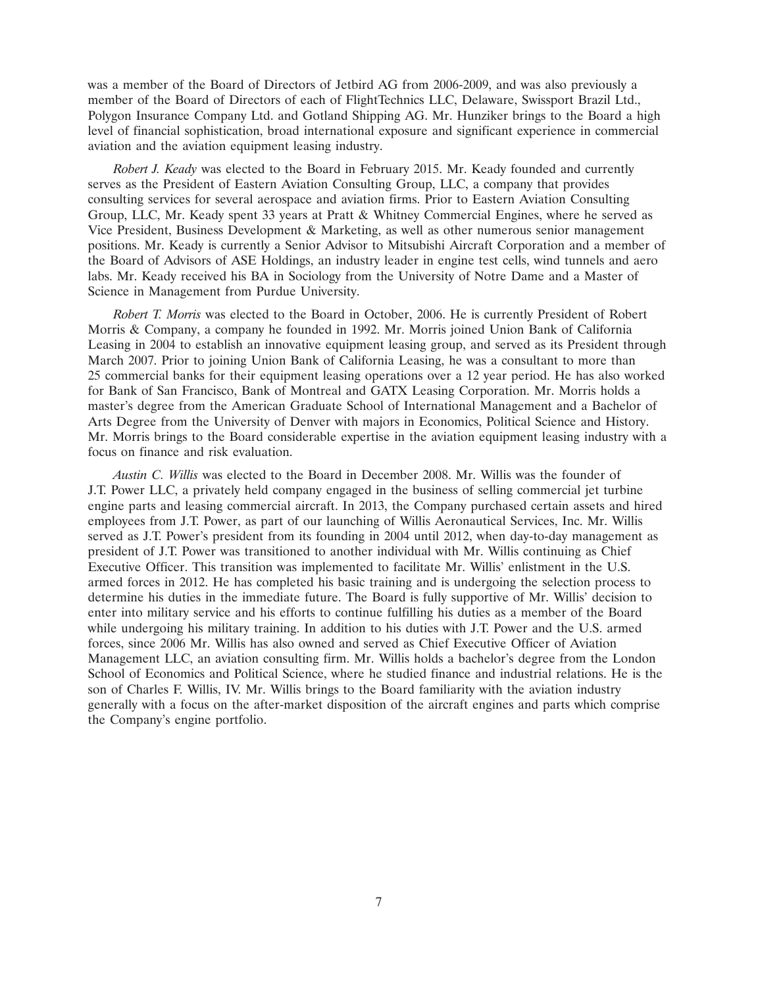was a member of the Board of Directors of Jetbird AG from 2006-2009, and was also previously a member of the Board of Directors of each of FlightTechnics LLC, Delaware, Swissport Brazil Ltd., Polygon Insurance Company Ltd. and Gotland Shipping AG. Mr. Hunziker brings to the Board a high level of financial sophistication, broad international exposure and significant experience in commercial aviation and the aviation equipment leasing industry.

*Robert J. Keady* was elected to the Board in February 2015. Mr. Keady founded and currently serves as the President of Eastern Aviation Consulting Group, LLC, a company that provides consulting services for several aerospace and aviation firms. Prior to Eastern Aviation Consulting Group, LLC, Mr. Keady spent 33 years at Pratt & Whitney Commercial Engines, where he served as Vice President, Business Development & Marketing, as well as other numerous senior management positions. Mr. Keady is currently a Senior Advisor to Mitsubishi Aircraft Corporation and a member of the Board of Advisors of ASE Holdings, an industry leader in engine test cells, wind tunnels and aero labs. Mr. Keady received his BA in Sociology from the University of Notre Dame and a Master of Science in Management from Purdue University.

*Robert T. Morris* was elected to the Board in October, 2006. He is currently President of Robert Morris & Company, a company he founded in 1992. Mr. Morris joined Union Bank of California Leasing in 2004 to establish an innovative equipment leasing group, and served as its President through March 2007. Prior to joining Union Bank of California Leasing, he was a consultant to more than 25 commercial banks for their equipment leasing operations over a 12 year period. He has also worked for Bank of San Francisco, Bank of Montreal and GATX Leasing Corporation. Mr. Morris holds a master's degree from the American Graduate School of International Management and a Bachelor of Arts Degree from the University of Denver with majors in Economics, Political Science and History. Mr. Morris brings to the Board considerable expertise in the aviation equipment leasing industry with a focus on finance and risk evaluation.

*Austin C. Willis* was elected to the Board in December 2008. Mr. Willis was the founder of J.T. Power LLC, a privately held company engaged in the business of selling commercial jet turbine engine parts and leasing commercial aircraft. In 2013, the Company purchased certain assets and hired employees from J.T. Power, as part of our launching of Willis Aeronautical Services, Inc. Mr. Willis served as J.T. Power's president from its founding in 2004 until 2012, when day-to-day management as president of J.T. Power was transitioned to another individual with Mr. Willis continuing as Chief Executive Officer. This transition was implemented to facilitate Mr. Willis' enlistment in the U.S. armed forces in 2012. He has completed his basic training and is undergoing the selection process to determine his duties in the immediate future. The Board is fully supportive of Mr. Willis' decision to enter into military service and his efforts to continue fulfilling his duties as a member of the Board while undergoing his military training. In addition to his duties with J.T. Power and the U.S. armed forces, since 2006 Mr. Willis has also owned and served as Chief Executive Officer of Aviation Management LLC, an aviation consulting firm. Mr. Willis holds a bachelor's degree from the London School of Economics and Political Science, where he studied finance and industrial relations. He is the son of Charles F. Willis, IV. Mr. Willis brings to the Board familiarity with the aviation industry generally with a focus on the after-market disposition of the aircraft engines and parts which comprise the Company's engine portfolio.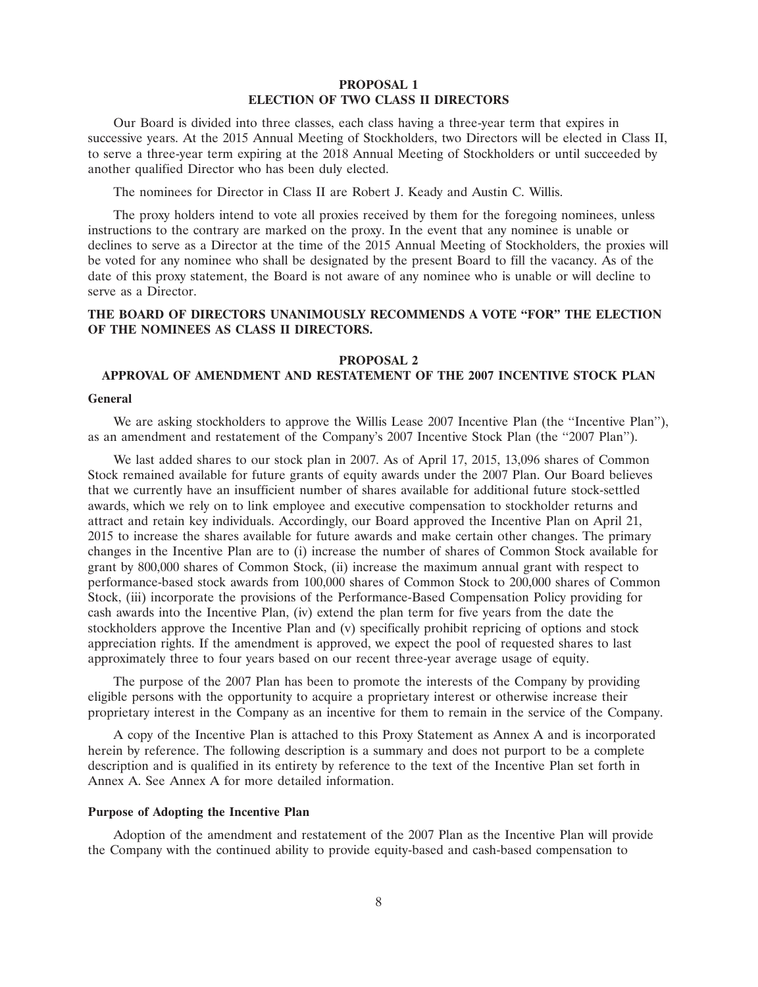# **PROPOSAL 1 ELECTION OF TWO CLASS II DIRECTORS**

Our Board is divided into three classes, each class having a three-year term that expires in successive years. At the 2015 Annual Meeting of Stockholders, two Directors will be elected in Class II, to serve a three-year term expiring at the 2018 Annual Meeting of Stockholders or until succeeded by another qualified Director who has been duly elected.

The nominees for Director in Class II are Robert J. Keady and Austin C. Willis.

The proxy holders intend to vote all proxies received by them for the foregoing nominees, unless instructions to the contrary are marked on the proxy. In the event that any nominee is unable or declines to serve as a Director at the time of the 2015 Annual Meeting of Stockholders, the proxies will be voted for any nominee who shall be designated by the present Board to fill the vacancy. As of the date of this proxy statement, the Board is not aware of any nominee who is unable or will decline to serve as a Director.

# **THE BOARD OF DIRECTORS UNANIMOUSLY RECOMMENDS A VOTE ''FOR'' THE ELECTION OF THE NOMINEES AS CLASS II DIRECTORS.**

# **PROPOSAL 2**

# **APPROVAL OF AMENDMENT AND RESTATEMENT OF THE 2007 INCENTIVE STOCK PLAN**

#### **General**

We are asking stockholders to approve the Willis Lease 2007 Incentive Plan (the "Incentive Plan"), as an amendment and restatement of the Company's 2007 Incentive Stock Plan (the ''2007 Plan'').

We last added shares to our stock plan in 2007. As of April 17, 2015, 13,096 shares of Common Stock remained available for future grants of equity awards under the 2007 Plan. Our Board believes that we currently have an insufficient number of shares available for additional future stock-settled awards, which we rely on to link employee and executive compensation to stockholder returns and attract and retain key individuals. Accordingly, our Board approved the Incentive Plan on April 21, 2015 to increase the shares available for future awards and make certain other changes. The primary changes in the Incentive Plan are to (i) increase the number of shares of Common Stock available for grant by 800,000 shares of Common Stock, (ii) increase the maximum annual grant with respect to performance-based stock awards from 100,000 shares of Common Stock to 200,000 shares of Common Stock, (iii) incorporate the provisions of the Performance-Based Compensation Policy providing for cash awards into the Incentive Plan, (iv) extend the plan term for five years from the date the stockholders approve the Incentive Plan and (v) specifically prohibit repricing of options and stock appreciation rights. If the amendment is approved, we expect the pool of requested shares to last approximately three to four years based on our recent three-year average usage of equity.

The purpose of the 2007 Plan has been to promote the interests of the Company by providing eligible persons with the opportunity to acquire a proprietary interest or otherwise increase their proprietary interest in the Company as an incentive for them to remain in the service of the Company.

A copy of the Incentive Plan is attached to this Proxy Statement as Annex A and is incorporated herein by reference. The following description is a summary and does not purport to be a complete description and is qualified in its entirety by reference to the text of the Incentive Plan set forth in Annex A. See Annex A for more detailed information.

# **Purpose of Adopting the Incentive Plan**

Adoption of the amendment and restatement of the 2007 Plan as the Incentive Plan will provide the Company with the continued ability to provide equity-based and cash-based compensation to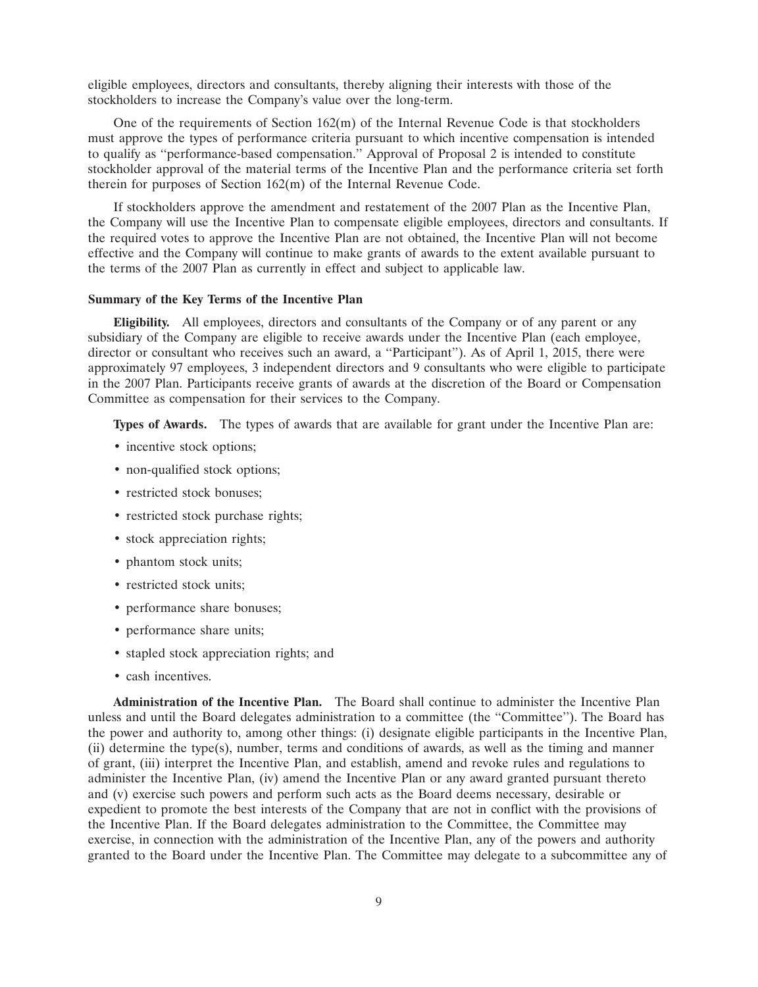eligible employees, directors and consultants, thereby aligning their interests with those of the stockholders to increase the Company's value over the long-term.

One of the requirements of Section  $162(m)$  of the Internal Revenue Code is that stockholders must approve the types of performance criteria pursuant to which incentive compensation is intended to qualify as ''performance-based compensation.'' Approval of Proposal 2 is intended to constitute stockholder approval of the material terms of the Incentive Plan and the performance criteria set forth therein for purposes of Section 162(m) of the Internal Revenue Code.

If stockholders approve the amendment and restatement of the 2007 Plan as the Incentive Plan, the Company will use the Incentive Plan to compensate eligible employees, directors and consultants. If the required votes to approve the Incentive Plan are not obtained, the Incentive Plan will not become effective and the Company will continue to make grants of awards to the extent available pursuant to the terms of the 2007 Plan as currently in effect and subject to applicable law.

#### **Summary of the Key Terms of the Incentive Plan**

**Eligibility.** All employees, directors and consultants of the Company or of any parent or any subsidiary of the Company are eligible to receive awards under the Incentive Plan (each employee, director or consultant who receives such an award, a ''Participant''). As of April 1, 2015, there were approximately 97 employees, 3 independent directors and 9 consultants who were eligible to participate in the 2007 Plan. Participants receive grants of awards at the discretion of the Board or Compensation Committee as compensation for their services to the Company.

**Types of Awards.** The types of awards that are available for grant under the Incentive Plan are:

- incentive stock options;
- non-qualified stock options;
- restricted stock bonuses;
- restricted stock purchase rights;
- stock appreciation rights;
- phantom stock units;
- restricted stock units;
- performance share bonuses;
- performance share units;
- stapled stock appreciation rights; and
- cash incentives.

**Administration of the Incentive Plan.** The Board shall continue to administer the Incentive Plan unless and until the Board delegates administration to a committee (the ''Committee''). The Board has the power and authority to, among other things: (i) designate eligible participants in the Incentive Plan, (ii) determine the type(s), number, terms and conditions of awards, as well as the timing and manner of grant, (iii) interpret the Incentive Plan, and establish, amend and revoke rules and regulations to administer the Incentive Plan, (iv) amend the Incentive Plan or any award granted pursuant thereto and (v) exercise such powers and perform such acts as the Board deems necessary, desirable or expedient to promote the best interests of the Company that are not in conflict with the provisions of the Incentive Plan. If the Board delegates administration to the Committee, the Committee may exercise, in connection with the administration of the Incentive Plan, any of the powers and authority granted to the Board under the Incentive Plan. The Committee may delegate to a subcommittee any of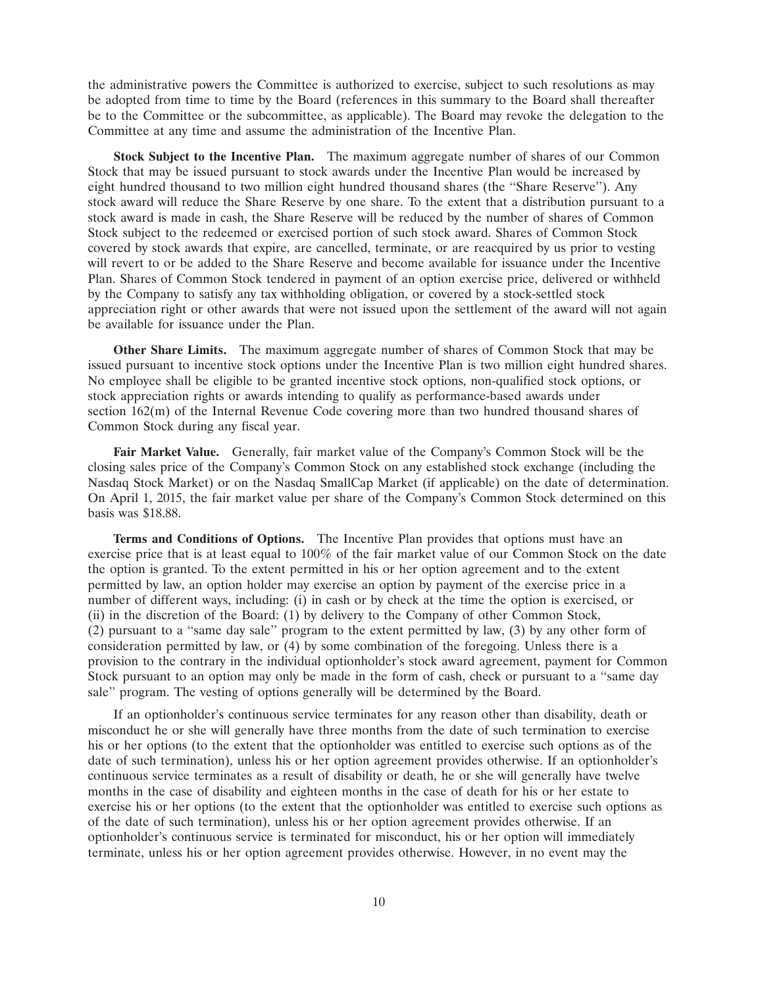the administrative powers the Committee is authorized to exercise, subject to such resolutions as may be adopted from time to time by the Board (references in this summary to the Board shall thereafter be to the Committee or the subcommittee, as applicable). The Board may revoke the delegation to the Committee at any time and assume the administration of the Incentive Plan.

**Stock Subject to the Incentive Plan.** The maximum aggregate number of shares of our Common Stock that may be issued pursuant to stock awards under the Incentive Plan would be increased by eight hundred thousand to two million eight hundred thousand shares (the ''Share Reserve''). Any stock award will reduce the Share Reserve by one share. To the extent that a distribution pursuant to a stock award is made in cash, the Share Reserve will be reduced by the number of shares of Common Stock subject to the redeemed or exercised portion of such stock award. Shares of Common Stock covered by stock awards that expire, are cancelled, terminate, or are reacquired by us prior to vesting will revert to or be added to the Share Reserve and become available for issuance under the Incentive Plan. Shares of Common Stock tendered in payment of an option exercise price, delivered or withheld by the Company to satisfy any tax withholding obligation, or covered by a stock-settled stock appreciation right or other awards that were not issued upon the settlement of the award will not again be available for issuance under the Plan.

**Other Share Limits.** The maximum aggregate number of shares of Common Stock that may be issued pursuant to incentive stock options under the Incentive Plan is two million eight hundred shares. No employee shall be eligible to be granted incentive stock options, non-qualified stock options, or stock appreciation rights or awards intending to qualify as performance-based awards under section 162(m) of the Internal Revenue Code covering more than two hundred thousand shares of Common Stock during any fiscal year.

**Fair Market Value.** Generally, fair market value of the Company's Common Stock will be the closing sales price of the Company's Common Stock on any established stock exchange (including the Nasdaq Stock Market) or on the Nasdaq SmallCap Market (if applicable) on the date of determination. On April 1, 2015, the fair market value per share of the Company's Common Stock determined on this basis was \$18.88.

**Terms and Conditions of Options.** The Incentive Plan provides that options must have an exercise price that is at least equal to 100% of the fair market value of our Common Stock on the date the option is granted. To the extent permitted in his or her option agreement and to the extent permitted by law, an option holder may exercise an option by payment of the exercise price in a number of different ways, including: (i) in cash or by check at the time the option is exercised, or (ii) in the discretion of the Board: (1) by delivery to the Company of other Common Stock, (2) pursuant to a ''same day sale'' program to the extent permitted by law, (3) by any other form of consideration permitted by law, or (4) by some combination of the foregoing. Unless there is a provision to the contrary in the individual optionholder's stock award agreement, payment for Common Stock pursuant to an option may only be made in the form of cash, check or pursuant to a ''same day sale'' program. The vesting of options generally will be determined by the Board.

If an optionholder's continuous service terminates for any reason other than disability, death or misconduct he or she will generally have three months from the date of such termination to exercise his or her options (to the extent that the optionholder was entitled to exercise such options as of the date of such termination), unless his or her option agreement provides otherwise. If an optionholder's continuous service terminates as a result of disability or death, he or she will generally have twelve months in the case of disability and eighteen months in the case of death for his or her estate to exercise his or her options (to the extent that the optionholder was entitled to exercise such options as of the date of such termination), unless his or her option agreement provides otherwise. If an optionholder's continuous service is terminated for misconduct, his or her option will immediately terminate, unless his or her option agreement provides otherwise. However, in no event may the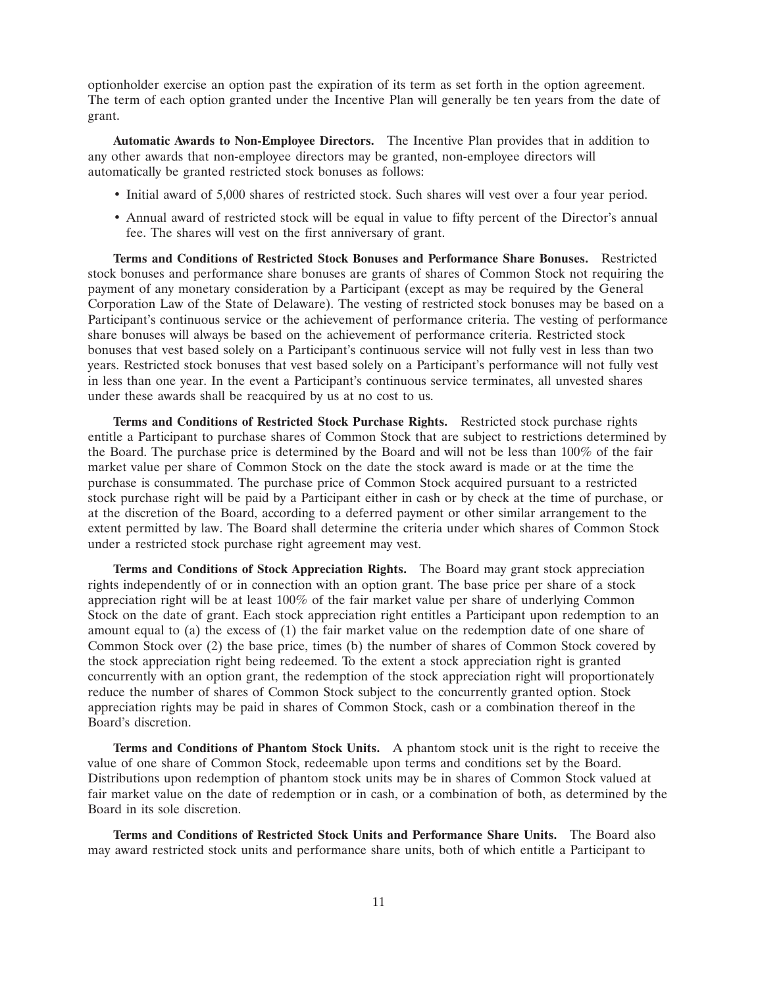optionholder exercise an option past the expiration of its term as set forth in the option agreement. The term of each option granted under the Incentive Plan will generally be ten years from the date of grant.

**Automatic Awards to Non-Employee Directors.** The Incentive Plan provides that in addition to any other awards that non-employee directors may be granted, non-employee directors will automatically be granted restricted stock bonuses as follows:

- Initial award of 5,000 shares of restricted stock. Such shares will vest over a four year period.
- Annual award of restricted stock will be equal in value to fifty percent of the Director's annual fee. The shares will vest on the first anniversary of grant.

**Terms and Conditions of Restricted Stock Bonuses and Performance Share Bonuses.** Restricted stock bonuses and performance share bonuses are grants of shares of Common Stock not requiring the payment of any monetary consideration by a Participant (except as may be required by the General Corporation Law of the State of Delaware). The vesting of restricted stock bonuses may be based on a Participant's continuous service or the achievement of performance criteria. The vesting of performance share bonuses will always be based on the achievement of performance criteria. Restricted stock bonuses that vest based solely on a Participant's continuous service will not fully vest in less than two years. Restricted stock bonuses that vest based solely on a Participant's performance will not fully vest in less than one year. In the event a Participant's continuous service terminates, all unvested shares under these awards shall be reacquired by us at no cost to us.

**Terms and Conditions of Restricted Stock Purchase Rights.** Restricted stock purchase rights entitle a Participant to purchase shares of Common Stock that are subject to restrictions determined by the Board. The purchase price is determined by the Board and will not be less than 100% of the fair market value per share of Common Stock on the date the stock award is made or at the time the purchase is consummated. The purchase price of Common Stock acquired pursuant to a restricted stock purchase right will be paid by a Participant either in cash or by check at the time of purchase, or at the discretion of the Board, according to a deferred payment or other similar arrangement to the extent permitted by law. The Board shall determine the criteria under which shares of Common Stock under a restricted stock purchase right agreement may vest.

**Terms and Conditions of Stock Appreciation Rights.** The Board may grant stock appreciation rights independently of or in connection with an option grant. The base price per share of a stock appreciation right will be at least 100% of the fair market value per share of underlying Common Stock on the date of grant. Each stock appreciation right entitles a Participant upon redemption to an amount equal to (a) the excess of (1) the fair market value on the redemption date of one share of Common Stock over (2) the base price, times (b) the number of shares of Common Stock covered by the stock appreciation right being redeemed. To the extent a stock appreciation right is granted concurrently with an option grant, the redemption of the stock appreciation right will proportionately reduce the number of shares of Common Stock subject to the concurrently granted option. Stock appreciation rights may be paid in shares of Common Stock, cash or a combination thereof in the Board's discretion.

**Terms and Conditions of Phantom Stock Units.** A phantom stock unit is the right to receive the value of one share of Common Stock, redeemable upon terms and conditions set by the Board. Distributions upon redemption of phantom stock units may be in shares of Common Stock valued at fair market value on the date of redemption or in cash, or a combination of both, as determined by the Board in its sole discretion.

**Terms and Conditions of Restricted Stock Units and Performance Share Units.** The Board also may award restricted stock units and performance share units, both of which entitle a Participant to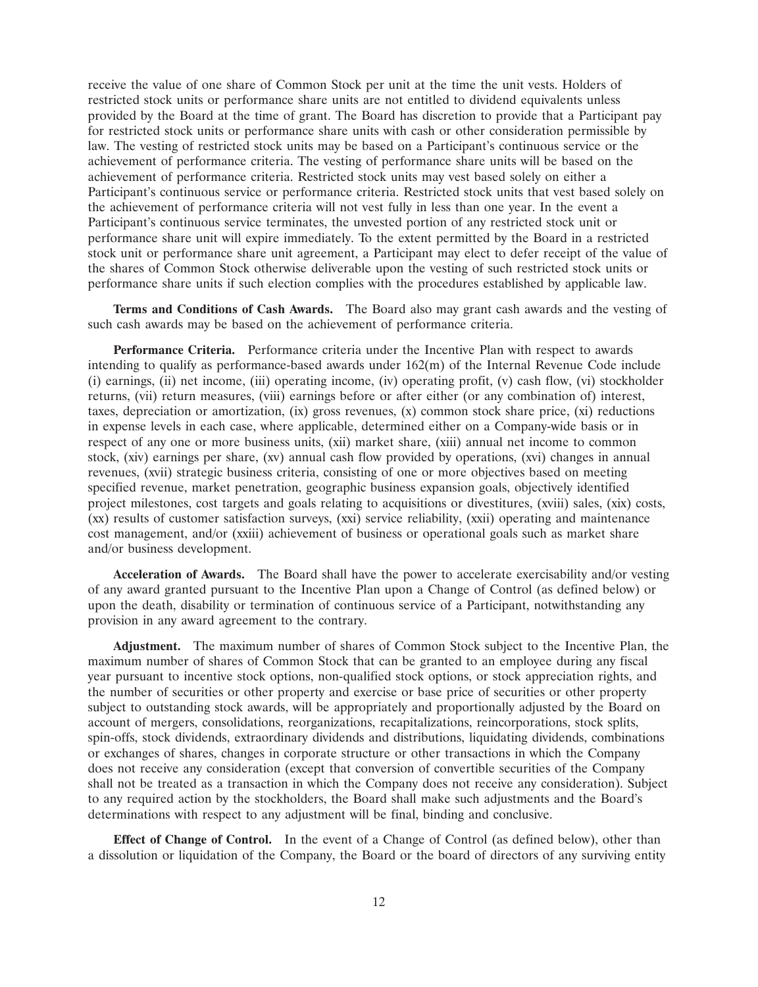receive the value of one share of Common Stock per unit at the time the unit vests. Holders of restricted stock units or performance share units are not entitled to dividend equivalents unless provided by the Board at the time of grant. The Board has discretion to provide that a Participant pay for restricted stock units or performance share units with cash or other consideration permissible by law. The vesting of restricted stock units may be based on a Participant's continuous service or the achievement of performance criteria. The vesting of performance share units will be based on the achievement of performance criteria. Restricted stock units may vest based solely on either a Participant's continuous service or performance criteria. Restricted stock units that vest based solely on the achievement of performance criteria will not vest fully in less than one year. In the event a Participant's continuous service terminates, the unvested portion of any restricted stock unit or performance share unit will expire immediately. To the extent permitted by the Board in a restricted stock unit or performance share unit agreement, a Participant may elect to defer receipt of the value of the shares of Common Stock otherwise deliverable upon the vesting of such restricted stock units or performance share units if such election complies with the procedures established by applicable law.

**Terms and Conditions of Cash Awards.** The Board also may grant cash awards and the vesting of such cash awards may be based on the achievement of performance criteria.

**Performance Criteria.** Performance criteria under the Incentive Plan with respect to awards intending to qualify as performance-based awards under 162(m) of the Internal Revenue Code include (i) earnings, (ii) net income, (iii) operating income, (iv) operating profit, (v) cash flow, (vi) stockholder returns, (vii) return measures, (viii) earnings before or after either (or any combination of) interest, taxes, depreciation or amortization, (ix) gross revenues, (x) common stock share price, (xi) reductions in expense levels in each case, where applicable, determined either on a Company-wide basis or in respect of any one or more business units, (xii) market share, (xiii) annual net income to common stock, (xiv) earnings per share, (xv) annual cash flow provided by operations, (xvi) changes in annual revenues, (xvii) strategic business criteria, consisting of one or more objectives based on meeting specified revenue, market penetration, geographic business expansion goals, objectively identified project milestones, cost targets and goals relating to acquisitions or divestitures, (xviii) sales, (xix) costs, (xx) results of customer satisfaction surveys, (xxi) service reliability, (xxii) operating and maintenance cost management, and/or (xxiii) achievement of business or operational goals such as market share and/or business development.

**Acceleration of Awards.** The Board shall have the power to accelerate exercisability and/or vesting of any award granted pursuant to the Incentive Plan upon a Change of Control (as defined below) or upon the death, disability or termination of continuous service of a Participant, notwithstanding any provision in any award agreement to the contrary.

**Adjustment.** The maximum number of shares of Common Stock subject to the Incentive Plan, the maximum number of shares of Common Stock that can be granted to an employee during any fiscal year pursuant to incentive stock options, non-qualified stock options, or stock appreciation rights, and the number of securities or other property and exercise or base price of securities or other property subject to outstanding stock awards, will be appropriately and proportionally adjusted by the Board on account of mergers, consolidations, reorganizations, recapitalizations, reincorporations, stock splits, spin-offs, stock dividends, extraordinary dividends and distributions, liquidating dividends, combinations or exchanges of shares, changes in corporate structure or other transactions in which the Company does not receive any consideration (except that conversion of convertible securities of the Company shall not be treated as a transaction in which the Company does not receive any consideration). Subject to any required action by the stockholders, the Board shall make such adjustments and the Board's determinations with respect to any adjustment will be final, binding and conclusive.

**Effect of Change of Control.** In the event of a Change of Control (as defined below), other than a dissolution or liquidation of the Company, the Board or the board of directors of any surviving entity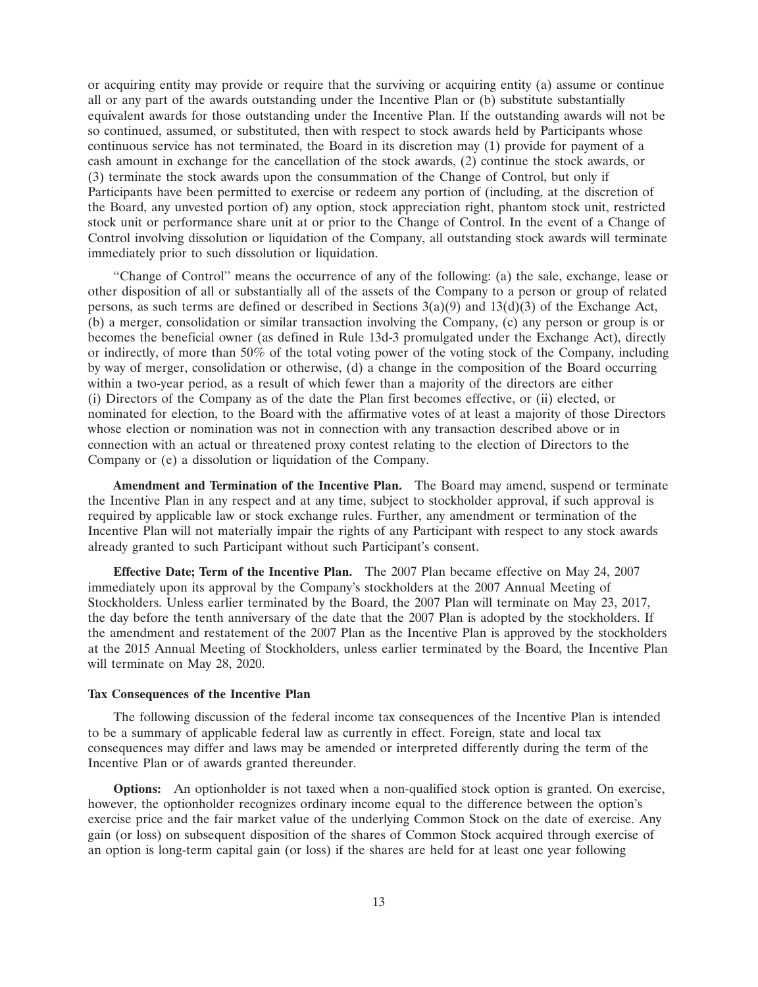or acquiring entity may provide or require that the surviving or acquiring entity (a) assume or continue all or any part of the awards outstanding under the Incentive Plan or (b) substitute substantially equivalent awards for those outstanding under the Incentive Plan. If the outstanding awards will not be so continued, assumed, or substituted, then with respect to stock awards held by Participants whose continuous service has not terminated, the Board in its discretion may (1) provide for payment of a cash amount in exchange for the cancellation of the stock awards, (2) continue the stock awards, or (3) terminate the stock awards upon the consummation of the Change of Control, but only if Participants have been permitted to exercise or redeem any portion of (including, at the discretion of the Board, any unvested portion of) any option, stock appreciation right, phantom stock unit, restricted stock unit or performance share unit at or prior to the Change of Control. In the event of a Change of Control involving dissolution or liquidation of the Company, all outstanding stock awards will terminate immediately prior to such dissolution or liquidation.

''Change of Control'' means the occurrence of any of the following: (a) the sale, exchange, lease or other disposition of all or substantially all of the assets of the Company to a person or group of related persons, as such terms are defined or described in Sections  $3(a)(9)$  and  $13(d)(3)$  of the Exchange Act, (b) a merger, consolidation or similar transaction involving the Company, (c) any person or group is or becomes the beneficial owner (as defined in Rule 13d-3 promulgated under the Exchange Act), directly or indirectly, of more than 50% of the total voting power of the voting stock of the Company, including by way of merger, consolidation or otherwise, (d) a change in the composition of the Board occurring within a two-year period, as a result of which fewer than a majority of the directors are either (i) Directors of the Company as of the date the Plan first becomes effective, or (ii) elected, or nominated for election, to the Board with the affirmative votes of at least a majority of those Directors whose election or nomination was not in connection with any transaction described above or in connection with an actual or threatened proxy contest relating to the election of Directors to the Company or (e) a dissolution or liquidation of the Company.

**Amendment and Termination of the Incentive Plan.** The Board may amend, suspend or terminate the Incentive Plan in any respect and at any time, subject to stockholder approval, if such approval is required by applicable law or stock exchange rules. Further, any amendment or termination of the Incentive Plan will not materially impair the rights of any Participant with respect to any stock awards already granted to such Participant without such Participant's consent.

**Effective Date; Term of the Incentive Plan.** The 2007 Plan became effective on May 24, 2007 immediately upon its approval by the Company's stockholders at the 2007 Annual Meeting of Stockholders. Unless earlier terminated by the Board, the 2007 Plan will terminate on May 23, 2017, the day before the tenth anniversary of the date that the 2007 Plan is adopted by the stockholders. If the amendment and restatement of the 2007 Plan as the Incentive Plan is approved by the stockholders at the 2015 Annual Meeting of Stockholders, unless earlier terminated by the Board, the Incentive Plan will terminate on May 28, 2020.

# **Tax Consequences of the Incentive Plan**

The following discussion of the federal income tax consequences of the Incentive Plan is intended to be a summary of applicable federal law as currently in effect. Foreign, state and local tax consequences may differ and laws may be amended or interpreted differently during the term of the Incentive Plan or of awards granted thereunder.

**Options:** An optionholder is not taxed when a non-qualified stock option is granted. On exercise, however, the optionholder recognizes ordinary income equal to the difference between the option's exercise price and the fair market value of the underlying Common Stock on the date of exercise. Any gain (or loss) on subsequent disposition of the shares of Common Stock acquired through exercise of an option is long-term capital gain (or loss) if the shares are held for at least one year following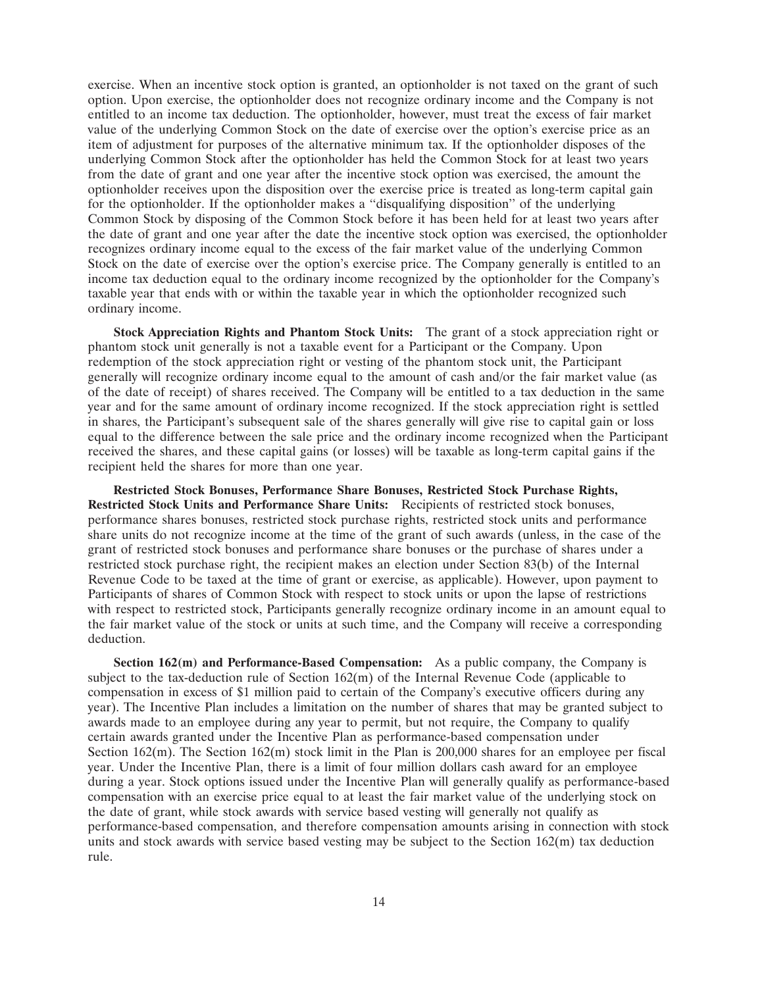exercise. When an incentive stock option is granted, an optionholder is not taxed on the grant of such option. Upon exercise, the optionholder does not recognize ordinary income and the Company is not entitled to an income tax deduction. The optionholder, however, must treat the excess of fair market value of the underlying Common Stock on the date of exercise over the option's exercise price as an item of adjustment for purposes of the alternative minimum tax. If the optionholder disposes of the underlying Common Stock after the optionholder has held the Common Stock for at least two years from the date of grant and one year after the incentive stock option was exercised, the amount the optionholder receives upon the disposition over the exercise price is treated as long-term capital gain for the optionholder. If the optionholder makes a ''disqualifying disposition'' of the underlying Common Stock by disposing of the Common Stock before it has been held for at least two years after the date of grant and one year after the date the incentive stock option was exercised, the optionholder recognizes ordinary income equal to the excess of the fair market value of the underlying Common Stock on the date of exercise over the option's exercise price. The Company generally is entitled to an income tax deduction equal to the ordinary income recognized by the optionholder for the Company's taxable year that ends with or within the taxable year in which the optionholder recognized such ordinary income.

**Stock Appreciation Rights and Phantom Stock Units:** The grant of a stock appreciation right or phantom stock unit generally is not a taxable event for a Participant or the Company. Upon redemption of the stock appreciation right or vesting of the phantom stock unit, the Participant generally will recognize ordinary income equal to the amount of cash and/or the fair market value (as of the date of receipt) of shares received. The Company will be entitled to a tax deduction in the same year and for the same amount of ordinary income recognized. If the stock appreciation right is settled in shares, the Participant's subsequent sale of the shares generally will give rise to capital gain or loss equal to the difference between the sale price and the ordinary income recognized when the Participant received the shares, and these capital gains (or losses) will be taxable as long-term capital gains if the recipient held the shares for more than one year.

**Restricted Stock Bonuses, Performance Share Bonuses, Restricted Stock Purchase Rights, Restricted Stock Units and Performance Share Units:** Recipients of restricted stock bonuses, performance shares bonuses, restricted stock purchase rights, restricted stock units and performance share units do not recognize income at the time of the grant of such awards (unless, in the case of the grant of restricted stock bonuses and performance share bonuses or the purchase of shares under a restricted stock purchase right, the recipient makes an election under Section 83(b) of the Internal Revenue Code to be taxed at the time of grant or exercise, as applicable). However, upon payment to Participants of shares of Common Stock with respect to stock units or upon the lapse of restrictions with respect to restricted stock, Participants generally recognize ordinary income in an amount equal to the fair market value of the stock or units at such time, and the Company will receive a corresponding deduction.

**Section 162(m) and Performance-Based Compensation:** As a public company, the Company is subject to the tax-deduction rule of Section  $162(m)$  of the Internal Revenue Code (applicable to compensation in excess of \$1 million paid to certain of the Company's executive officers during any year). The Incentive Plan includes a limitation on the number of shares that may be granted subject to awards made to an employee during any year to permit, but not require, the Company to qualify certain awards granted under the Incentive Plan as performance-based compensation under Section  $162(m)$ . The Section  $162(m)$  stock limit in the Plan is 200,000 shares for an employee per fiscal year. Under the Incentive Plan, there is a limit of four million dollars cash award for an employee during a year. Stock options issued under the Incentive Plan will generally qualify as performance-based compensation with an exercise price equal to at least the fair market value of the underlying stock on the date of grant, while stock awards with service based vesting will generally not qualify as performance-based compensation, and therefore compensation amounts arising in connection with stock units and stock awards with service based vesting may be subject to the Section  $162(m)$  tax deduction rule.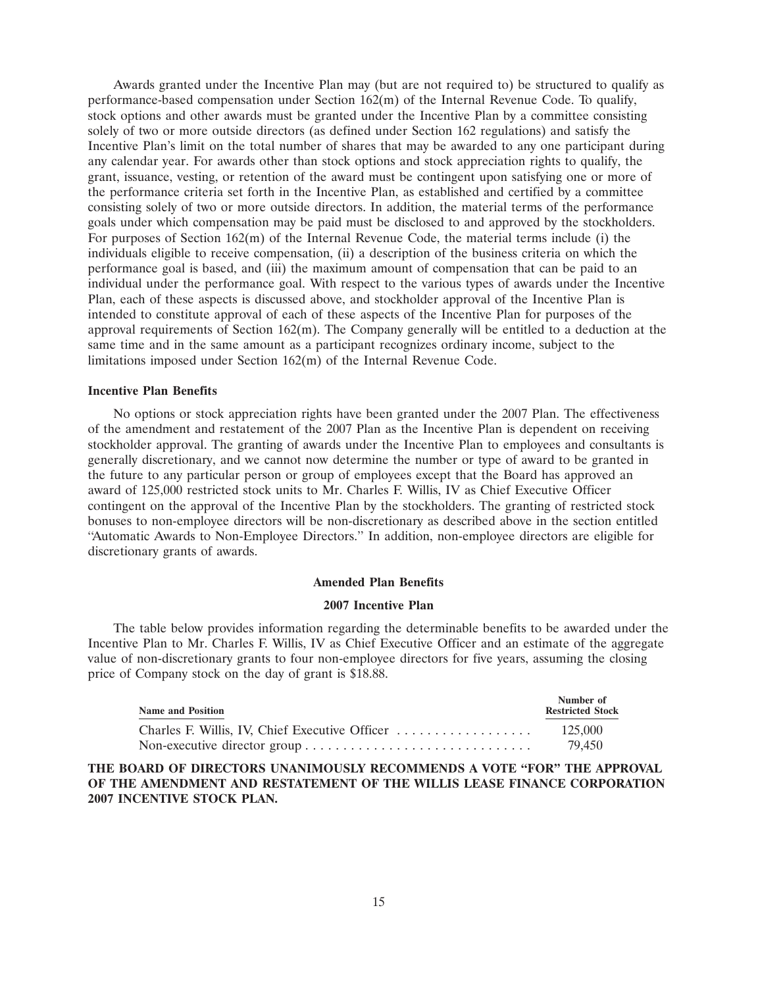Awards granted under the Incentive Plan may (but are not required to) be structured to qualify as performance-based compensation under Section 162(m) of the Internal Revenue Code. To qualify, stock options and other awards must be granted under the Incentive Plan by a committee consisting solely of two or more outside directors (as defined under Section 162 regulations) and satisfy the Incentive Plan's limit on the total number of shares that may be awarded to any one participant during any calendar year. For awards other than stock options and stock appreciation rights to qualify, the grant, issuance, vesting, or retention of the award must be contingent upon satisfying one or more of the performance criteria set forth in the Incentive Plan, as established and certified by a committee consisting solely of two or more outside directors. In addition, the material terms of the performance goals under which compensation may be paid must be disclosed to and approved by the stockholders. For purposes of Section 162(m) of the Internal Revenue Code, the material terms include (i) the individuals eligible to receive compensation, (ii) a description of the business criteria on which the performance goal is based, and (iii) the maximum amount of compensation that can be paid to an individual under the performance goal. With respect to the various types of awards under the Incentive Plan, each of these aspects is discussed above, and stockholder approval of the Incentive Plan is intended to constitute approval of each of these aspects of the Incentive Plan for purposes of the approval requirements of Section  $162(m)$ . The Company generally will be entitled to a deduction at the same time and in the same amount as a participant recognizes ordinary income, subject to the limitations imposed under Section 162(m) of the Internal Revenue Code.

#### **Incentive Plan Benefits**

No options or stock appreciation rights have been granted under the 2007 Plan. The effectiveness of the amendment and restatement of the 2007 Plan as the Incentive Plan is dependent on receiving stockholder approval. The granting of awards under the Incentive Plan to employees and consultants is generally discretionary, and we cannot now determine the number or type of award to be granted in the future to any particular person or group of employees except that the Board has approved an award of 125,000 restricted stock units to Mr. Charles F. Willis, IV as Chief Executive Officer contingent on the approval of the Incentive Plan by the stockholders. The granting of restricted stock bonuses to non-employee directors will be non-discretionary as described above in the section entitled ''Automatic Awards to Non-Employee Directors.'' In addition, non-employee directors are eligible for discretionary grants of awards.

#### **Amended Plan Benefits**

#### **2007 Incentive Plan**

The table below provides information regarding the determinable benefits to be awarded under the Incentive Plan to Mr. Charles F. Willis, IV as Chief Executive Officer and an estimate of the aggregate value of non-discretionary grants to four non-employee directors for five years, assuming the closing price of Company stock on the day of grant is \$18.88.

| <b>Name and Position</b>                       | Number of<br><b>Restricted Stock</b> |
|------------------------------------------------|--------------------------------------|
| Charles F. Willis, IV, Chief Executive Officer | 125,000                              |
|                                                | 79.450                               |

**THE BOARD OF DIRECTORS UNANIMOUSLY RECOMMENDS A VOTE ''FOR'' THE APPROVAL OF THE AMENDMENT AND RESTATEMENT OF THE WILLIS LEASE FINANCE CORPORATION 2007 INCENTIVE STOCK PLAN.**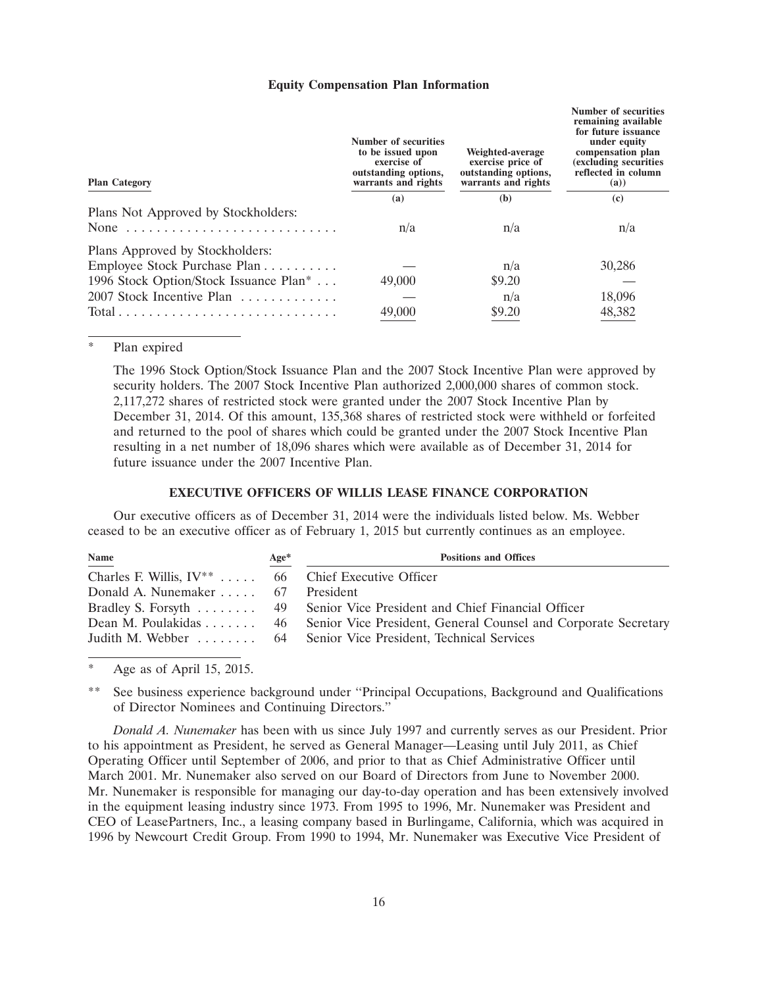#### **Equity Compensation Plan Information**

| <b>Plan Category</b>                               | Number of securities<br>to be issued upon<br>exercise of<br>outstanding options,<br>warrants and rights | Weighted-average<br>exercise price of<br>outstanding options,<br>warrants and rights | Number of securities<br>remaining available<br>for future issuance<br>under equity<br>compensation plan<br>(excluding securities<br>reflected in column<br>(a)) |
|----------------------------------------------------|---------------------------------------------------------------------------------------------------------|--------------------------------------------------------------------------------------|-----------------------------------------------------------------------------------------------------------------------------------------------------------------|
|                                                    | (a)                                                                                                     | (b)                                                                                  | (c)                                                                                                                                                             |
| Plans Not Approved by Stockholders:<br>None        | n/a                                                                                                     | n/a                                                                                  | n/a                                                                                                                                                             |
| Plans Approved by Stockholders:                    |                                                                                                         |                                                                                      |                                                                                                                                                                 |
| Employee Stock Purchase Plan                       |                                                                                                         | n/a                                                                                  | 30,286                                                                                                                                                          |
| 1996 Stock Option/Stock Issuance Plan <sup>*</sup> | 49,000                                                                                                  | \$9.20                                                                               |                                                                                                                                                                 |
| 2007 Stock Incentive Plan                          |                                                                                                         | n/a                                                                                  | 18,096                                                                                                                                                          |
|                                                    | 49,000                                                                                                  | \$9.20                                                                               | 48,382                                                                                                                                                          |

#### Plan expired

The 1996 Stock Option/Stock Issuance Plan and the 2007 Stock Incentive Plan were approved by security holders. The 2007 Stock Incentive Plan authorized 2,000,000 shares of common stock. 2,117,272 shares of restricted stock were granted under the 2007 Stock Incentive Plan by December 31, 2014. Of this amount, 135,368 shares of restricted stock were withheld or forfeited and returned to the pool of shares which could be granted under the 2007 Stock Incentive Plan resulting in a net number of 18,096 shares which were available as of December 31, 2014 for future issuance under the 2007 Incentive Plan.

# **EXECUTIVE OFFICERS OF WILLIS LEASE FINANCE CORPORATION**

Our executive officers as of December 31, 2014 were the individuals listed below. Ms. Webber ceased to be an executive officer as of February 1, 2015 but currently continues as an employee.

| Name                                                    | Age* | <b>Positions and Offices</b>                                                         |
|---------------------------------------------------------|------|--------------------------------------------------------------------------------------|
| Charles F. Willis, $IV^{**}$ 66 Chief Executive Officer |      |                                                                                      |
| Donald A. Nunemaker 67 President                        |      |                                                                                      |
|                                                         |      | Bradley S. Forsyth  49 Senior Vice President and Chief Financial Officer             |
|                                                         |      | Dean M. Poulakidas 46 Senior Vice President, General Counsel and Corporate Secretary |
|                                                         |      | Judith M. Webber  64 Senior Vice President, Technical Services                       |

Age as of April 15, 2015.

See business experience background under "Principal Occupations, Background and Qualifications of Director Nominees and Continuing Directors.''

*Donald A. Nunemaker* has been with us since July 1997 and currently serves as our President. Prior to his appointment as President, he served as General Manager—Leasing until July 2011, as Chief Operating Officer until September of 2006, and prior to that as Chief Administrative Officer until March 2001. Mr. Nunemaker also served on our Board of Directors from June to November 2000. Mr. Nunemaker is responsible for managing our day-to-day operation and has been extensively involved in the equipment leasing industry since 1973. From 1995 to 1996, Mr. Nunemaker was President and CEO of LeasePartners, Inc., a leasing company based in Burlingame, California, which was acquired in 1996 by Newcourt Credit Group. From 1990 to 1994, Mr. Nunemaker was Executive Vice President of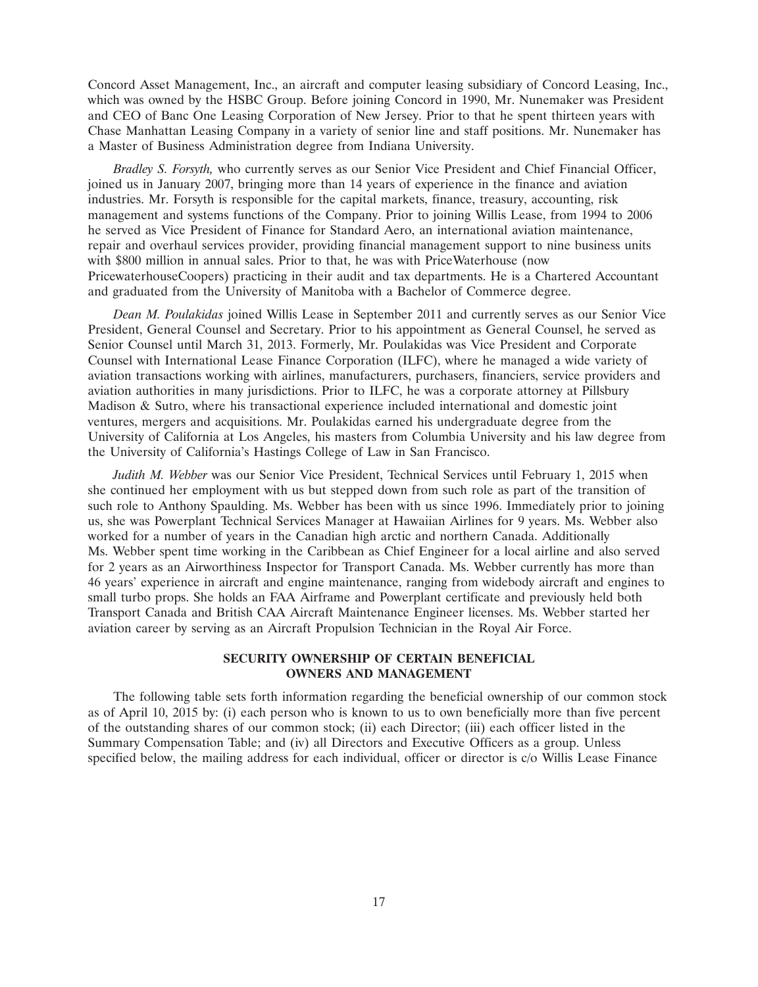Concord Asset Management, Inc., an aircraft and computer leasing subsidiary of Concord Leasing, Inc., which was owned by the HSBC Group. Before joining Concord in 1990, Mr. Nunemaker was President and CEO of Banc One Leasing Corporation of New Jersey. Prior to that he spent thirteen years with Chase Manhattan Leasing Company in a variety of senior line and staff positions. Mr. Nunemaker has a Master of Business Administration degree from Indiana University.

*Bradley S. Forsyth,* who currently serves as our Senior Vice President and Chief Financial Officer, joined us in January 2007, bringing more than 14 years of experience in the finance and aviation industries. Mr. Forsyth is responsible for the capital markets, finance, treasury, accounting, risk management and systems functions of the Company. Prior to joining Willis Lease, from 1994 to 2006 he served as Vice President of Finance for Standard Aero, an international aviation maintenance, repair and overhaul services provider, providing financial management support to nine business units with \$800 million in annual sales. Prior to that, he was with PriceWaterhouse (now PricewaterhouseCoopers) practicing in their audit and tax departments. He is a Chartered Accountant and graduated from the University of Manitoba with a Bachelor of Commerce degree.

*Dean M. Poulakidas* joined Willis Lease in September 2011 and currently serves as our Senior Vice President, General Counsel and Secretary. Prior to his appointment as General Counsel, he served as Senior Counsel until March 31, 2013. Formerly, Mr. Poulakidas was Vice President and Corporate Counsel with International Lease Finance Corporation (ILFC), where he managed a wide variety of aviation transactions working with airlines, manufacturers, purchasers, financiers, service providers and aviation authorities in many jurisdictions. Prior to ILFC, he was a corporate attorney at Pillsbury Madison & Sutro, where his transactional experience included international and domestic joint ventures, mergers and acquisitions. Mr. Poulakidas earned his undergraduate degree from the University of California at Los Angeles, his masters from Columbia University and his law degree from the University of California's Hastings College of Law in San Francisco.

*Judith M. Webber* was our Senior Vice President, Technical Services until February 1, 2015 when she continued her employment with us but stepped down from such role as part of the transition of such role to Anthony Spaulding. Ms. Webber has been with us since 1996. Immediately prior to joining us, she was Powerplant Technical Services Manager at Hawaiian Airlines for 9 years. Ms. Webber also worked for a number of years in the Canadian high arctic and northern Canada. Additionally Ms. Webber spent time working in the Caribbean as Chief Engineer for a local airline and also served for 2 years as an Airworthiness Inspector for Transport Canada. Ms. Webber currently has more than 46 years' experience in aircraft and engine maintenance, ranging from widebody aircraft and engines to small turbo props. She holds an FAA Airframe and Powerplant certificate and previously held both Transport Canada and British CAA Aircraft Maintenance Engineer licenses. Ms. Webber started her aviation career by serving as an Aircraft Propulsion Technician in the Royal Air Force.

# **SECURITY OWNERSHIP OF CERTAIN BENEFICIAL OWNERS AND MANAGEMENT**

The following table sets forth information regarding the beneficial ownership of our common stock as of April 10, 2015 by: (i) each person who is known to us to own beneficially more than five percent of the outstanding shares of our common stock; (ii) each Director; (iii) each officer listed in the Summary Compensation Table; and (iv) all Directors and Executive Officers as a group. Unless specified below, the mailing address for each individual, officer or director is c/o Willis Lease Finance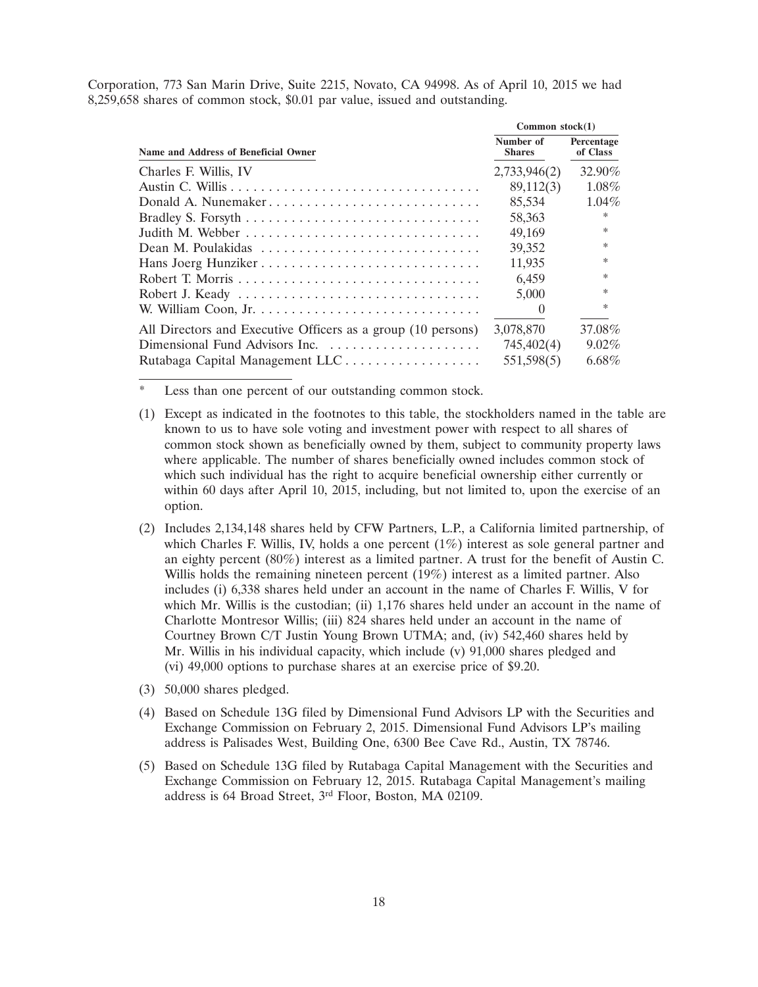Corporation, 773 San Marin Drive, Suite 2215, Novato, CA 94998. As of April 10, 2015 we had 8,259,658 shares of common stock, \$0.01 par value, issued and outstanding.

|                                                              | Common $stock(1)$          |                        |  |
|--------------------------------------------------------------|----------------------------|------------------------|--|
| Name and Address of Beneficial Owner                         | Number of<br><b>Shares</b> | Percentage<br>of Class |  |
| Charles F. Willis, IV                                        | 2,733,946(2)               | 32.90%                 |  |
|                                                              | 89,112(3)                  | 1.08%                  |  |
| Donald A. Nunemaker                                          | 85,534                     | $1.04\%$               |  |
|                                                              | 58,363                     | $\ast$                 |  |
|                                                              | 49,169                     | $\ast$                 |  |
|                                                              | 39,352                     | *                      |  |
| Hans Joerg Hunziker                                          | 11,935                     | *                      |  |
|                                                              | 6,459                      | $\ast$                 |  |
|                                                              | 5,000                      | *                      |  |
|                                                              | $\theta$                   | $*$                    |  |
| All Directors and Executive Officers as a group (10 persons) | 3,078,870                  | 37.08%                 |  |
| Dimensional Fund Advisors Inc.                               | 745,402(4)                 | $9.02\%$               |  |
| Rutabaga Capital Management LLC                              | 551,598(5)                 | $6.68\%$               |  |

Less than one percent of our outstanding common stock.

- (1) Except as indicated in the footnotes to this table, the stockholders named in the table are known to us to have sole voting and investment power with respect to all shares of common stock shown as beneficially owned by them, subject to community property laws where applicable. The number of shares beneficially owned includes common stock of which such individual has the right to acquire beneficial ownership either currently or within 60 days after April 10, 2015, including, but not limited to, upon the exercise of an option.
- (2) Includes 2,134,148 shares held by CFW Partners, L.P., a California limited partnership, of which Charles F. Willis, IV, holds a one percent (1%) interest as sole general partner and an eighty percent (80%) interest as a limited partner. A trust for the benefit of Austin C. Willis holds the remaining nineteen percent (19%) interest as a limited partner. Also includes (i) 6,338 shares held under an account in the name of Charles F. Willis, V for which Mr. Willis is the custodian; (ii) 1,176 shares held under an account in the name of Charlotte Montresor Willis; (iii) 824 shares held under an account in the name of Courtney Brown C/T Justin Young Brown UTMA; and, (iv) 542,460 shares held by Mr. Willis in his individual capacity, which include (v) 91,000 shares pledged and (vi) 49,000 options to purchase shares at an exercise price of \$9.20.
- (3) 50,000 shares pledged.
- (4) Based on Schedule 13G filed by Dimensional Fund Advisors LP with the Securities and Exchange Commission on February 2, 2015. Dimensional Fund Advisors LP's mailing address is Palisades West, Building One, 6300 Bee Cave Rd., Austin, TX 78746.
- (5) Based on Schedule 13G filed by Rutabaga Capital Management with the Securities and Exchange Commission on February 12, 2015. Rutabaga Capital Management's mailing address is 64 Broad Street, 3rd Floor, Boston, MA 02109.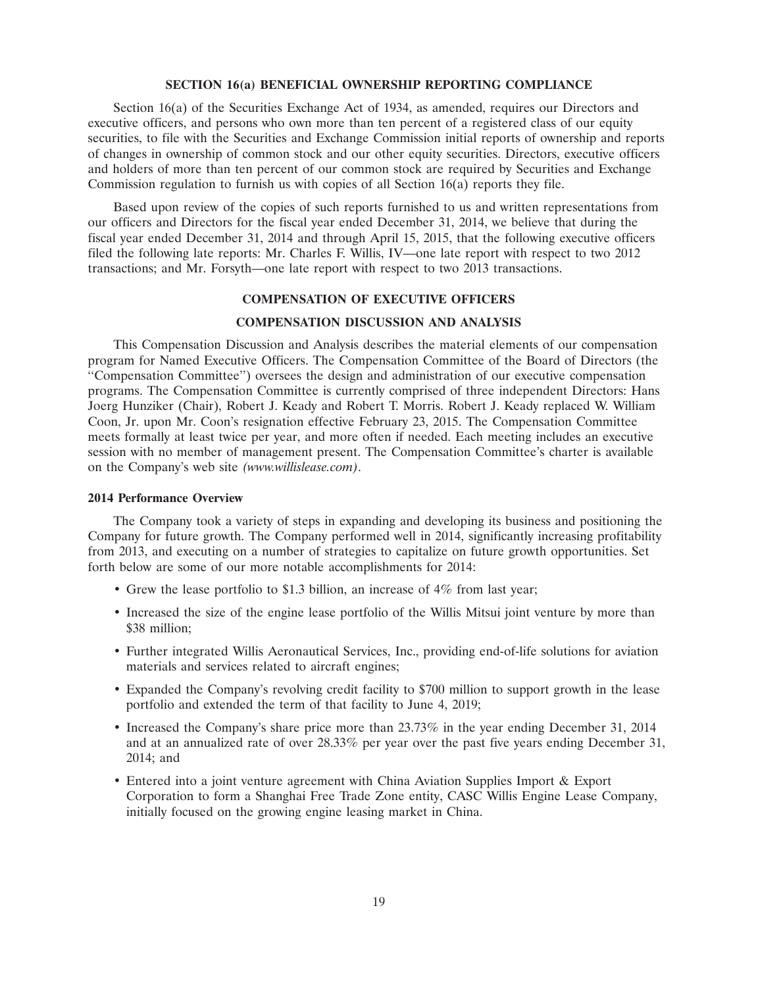#### **SECTION 16(a) BENEFICIAL OWNERSHIP REPORTING COMPLIANCE**

Section 16(a) of the Securities Exchange Act of 1934, as amended, requires our Directors and executive officers, and persons who own more than ten percent of a registered class of our equity securities, to file with the Securities and Exchange Commission initial reports of ownership and reports of changes in ownership of common stock and our other equity securities. Directors, executive officers and holders of more than ten percent of our common stock are required by Securities and Exchange Commission regulation to furnish us with copies of all Section 16(a) reports they file.

Based upon review of the copies of such reports furnished to us and written representations from our officers and Directors for the fiscal year ended December 31, 2014, we believe that during the fiscal year ended December 31, 2014 and through April 15, 2015, that the following executive officers filed the following late reports: Mr. Charles F. Willis, IV—one late report with respect to two 2012 transactions; and Mr. Forsyth—one late report with respect to two 2013 transactions.

#### **COMPENSATION OF EXECUTIVE OFFICERS**

# **COMPENSATION DISCUSSION AND ANALYSIS**

This Compensation Discussion and Analysis describes the material elements of our compensation program for Named Executive Officers. The Compensation Committee of the Board of Directors (the ''Compensation Committee'') oversees the design and administration of our executive compensation programs. The Compensation Committee is currently comprised of three independent Directors: Hans Joerg Hunziker (Chair), Robert J. Keady and Robert T. Morris. Robert J. Keady replaced W. William Coon, Jr. upon Mr. Coon's resignation effective February 23, 2015. The Compensation Committee meets formally at least twice per year, and more often if needed. Each meeting includes an executive session with no member of management present. The Compensation Committee's charter is available on the Company's web site *(www.willislease.com)*.

#### **2014 Performance Overview**

The Company took a variety of steps in expanding and developing its business and positioning the Company for future growth. The Company performed well in 2014, significantly increasing profitability from 2013, and executing on a number of strategies to capitalize on future growth opportunities. Set forth below are some of our more notable accomplishments for 2014:

- Grew the lease portfolio to \$1.3 billion, an increase of 4% from last year;
- Increased the size of the engine lease portfolio of the Willis Mitsui joint venture by more than \$38 million;
- Further integrated Willis Aeronautical Services, Inc., providing end-of-life solutions for aviation materials and services related to aircraft engines;
- Expanded the Company's revolving credit facility to \$700 million to support growth in the lease portfolio and extended the term of that facility to June 4, 2019;
- Increased the Company's share price more than 23.73% in the year ending December 31, 2014 and at an annualized rate of over 28.33% per year over the past five years ending December 31, 2014; and
- Entered into a joint venture agreement with China Aviation Supplies Import & Export Corporation to form a Shanghai Free Trade Zone entity, CASC Willis Engine Lease Company, initially focused on the growing engine leasing market in China.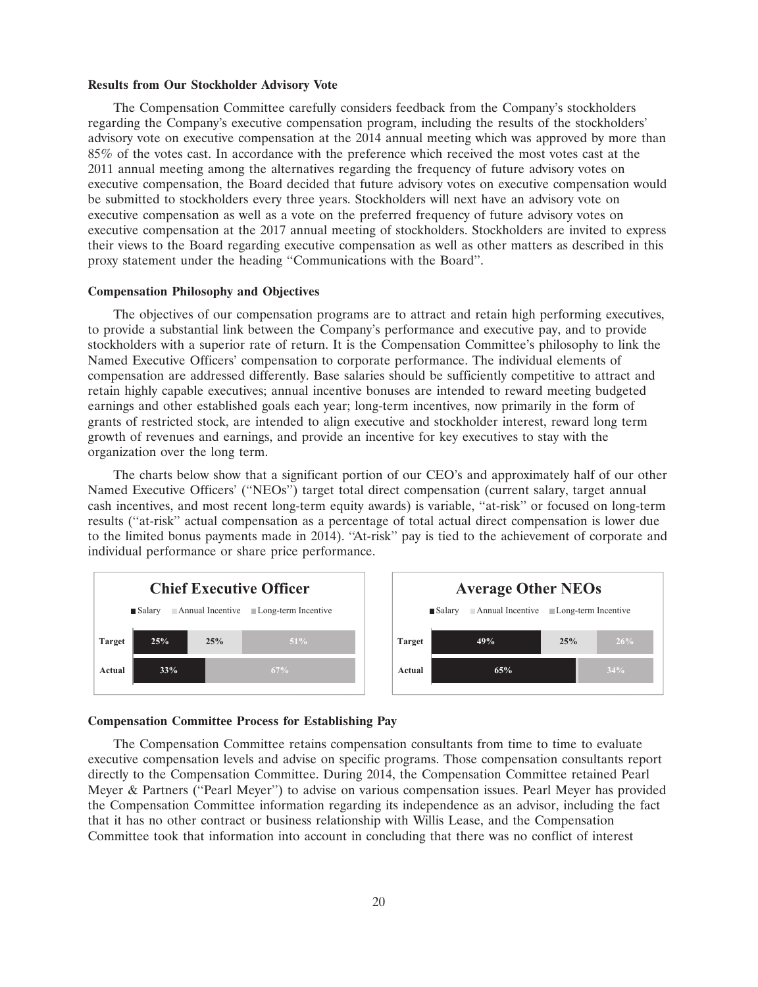#### **Results from Our Stockholder Advisory Vote**

The Compensation Committee carefully considers feedback from the Company's stockholders regarding the Company's executive compensation program, including the results of the stockholders' advisory vote on executive compensation at the 2014 annual meeting which was approved by more than 85% of the votes cast. In accordance with the preference which received the most votes cast at the 2011 annual meeting among the alternatives regarding the frequency of future advisory votes on executive compensation, the Board decided that future advisory votes on executive compensation would be submitted to stockholders every three years. Stockholders will next have an advisory vote on executive compensation as well as a vote on the preferred frequency of future advisory votes on executive compensation at the 2017 annual meeting of stockholders. Stockholders are invited to express their views to the Board regarding executive compensation as well as other matters as described in this proxy statement under the heading ''Communications with the Board''.

#### **Compensation Philosophy and Objectives**

The objectives of our compensation programs are to attract and retain high performing executives, to provide a substantial link between the Company's performance and executive pay, and to provide stockholders with a superior rate of return. It is the Compensation Committee's philosophy to link the Named Executive Officers' compensation to corporate performance. The individual elements of compensation are addressed differently. Base salaries should be sufficiently competitive to attract and retain highly capable executives; annual incentive bonuses are intended to reward meeting budgeted earnings and other established goals each year; long-term incentives, now primarily in the form of grants of restricted stock, are intended to align executive and stockholder interest, reward long term growth of revenues and earnings, and provide an incentive for key executives to stay with the organization over the long term.

The charts below show that a significant portion of our CEO's and approximately half of our other Named Executive Officers' (''NEOs'') target total direct compensation (current salary, target annual cash incentives, and most recent long-term equity awards) is variable, ''at-risk'' or focused on long-term results (''at-risk'' actual compensation as a percentage of total actual direct compensation is lower due to the limited bonus payments made in 2014). ''At-risk'' pay is tied to the achievement of corporate and individual performance or share price performance.



#### **Compensation Committee Process for Establishing Pay**

The Compensation Committee retains compensation consultants from time to time to evaluate executive compensation levels and advise on specific programs. Those compensation consultants report directly to the Compensation Committee. During 2014, the Compensation Committee retained Pearl Meyer & Partners (''Pearl Meyer'') to advise on various compensation issues. Pearl Meyer has provided the Compensation Committee information regarding its independence as an advisor, including the fact that it has no other contract or business relationship with Willis Lease, and the Compensation Committee took that information into account in concluding that there was no conflict of interest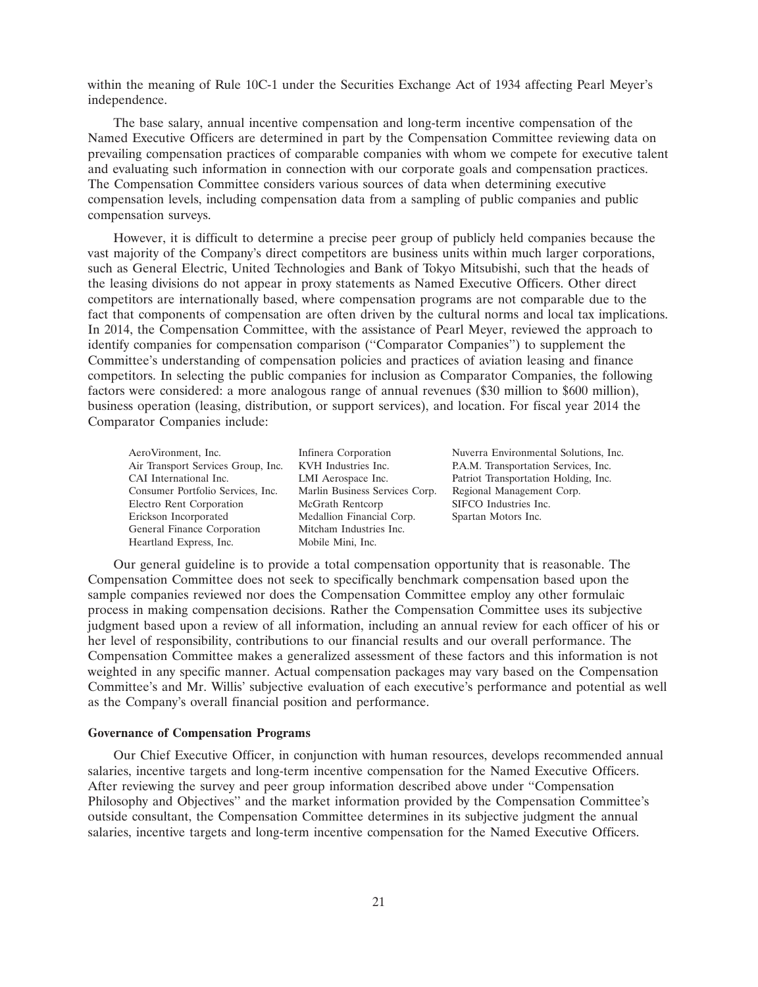within the meaning of Rule 10C-1 under the Securities Exchange Act of 1934 affecting Pearl Meyer's independence.

The base salary, annual incentive compensation and long-term incentive compensation of the Named Executive Officers are determined in part by the Compensation Committee reviewing data on prevailing compensation practices of comparable companies with whom we compete for executive talent and evaluating such information in connection with our corporate goals and compensation practices. The Compensation Committee considers various sources of data when determining executive compensation levels, including compensation data from a sampling of public companies and public compensation surveys.

However, it is difficult to determine a precise peer group of publicly held companies because the vast majority of the Company's direct competitors are business units within much larger corporations, such as General Electric, United Technologies and Bank of Tokyo Mitsubishi, such that the heads of the leasing divisions do not appear in proxy statements as Named Executive Officers. Other direct competitors are internationally based, where compensation programs are not comparable due to the fact that components of compensation are often driven by the cultural norms and local tax implications. In 2014, the Compensation Committee, with the assistance of Pearl Meyer, reviewed the approach to identify companies for compensation comparison (''Comparator Companies'') to supplement the Committee's understanding of compensation policies and practices of aviation leasing and finance competitors. In selecting the public companies for inclusion as Comparator Companies, the following factors were considered: a more analogous range of annual revenues (\$30 million to \$600 million), business operation (leasing, distribution, or support services), and location. For fiscal year 2014 the Comparator Companies include:

| AeroVironment, Inc.                | Infinera Corporation    |
|------------------------------------|-------------------------|
| Air Transport Services Group, Inc. | KVH Industries Inc.     |
| CAI International Inc.             | LMI Aerospace Inc.      |
| Consumer Portfolio Services, Inc.  | Marlin Business Service |
| Electro Rent Corporation           | McGrath Rentcorp        |
| Erickson Incorporated              | Medallion Financial Co  |
| General Finance Corporation        | Mitcham Industries Inc. |
| Heartland Express, Inc.            | Mobile Mini, Inc.       |
|                                    |                         |

Nuverra Environmental Solutions, Inc. P.A.M. Transportation Services, Inc. Patriot Transportation Holding, Inc. es Corp. Regional Management Corp. SIFCO Industries Inc. rp. Spartan Motors Inc.

Our general guideline is to provide a total compensation opportunity that is reasonable. The Compensation Committee does not seek to specifically benchmark compensation based upon the sample companies reviewed nor does the Compensation Committee employ any other formulaic process in making compensation decisions. Rather the Compensation Committee uses its subjective judgment based upon a review of all information, including an annual review for each officer of his or her level of responsibility, contributions to our financial results and our overall performance. The Compensation Committee makes a generalized assessment of these factors and this information is not weighted in any specific manner. Actual compensation packages may vary based on the Compensation Committee's and Mr. Willis' subjective evaluation of each executive's performance and potential as well as the Company's overall financial position and performance.

#### **Governance of Compensation Programs**

Our Chief Executive Officer, in conjunction with human resources, develops recommended annual salaries, incentive targets and long-term incentive compensation for the Named Executive Officers. After reviewing the survey and peer group information described above under ''Compensation Philosophy and Objectives'' and the market information provided by the Compensation Committee's outside consultant, the Compensation Committee determines in its subjective judgment the annual salaries, incentive targets and long-term incentive compensation for the Named Executive Officers.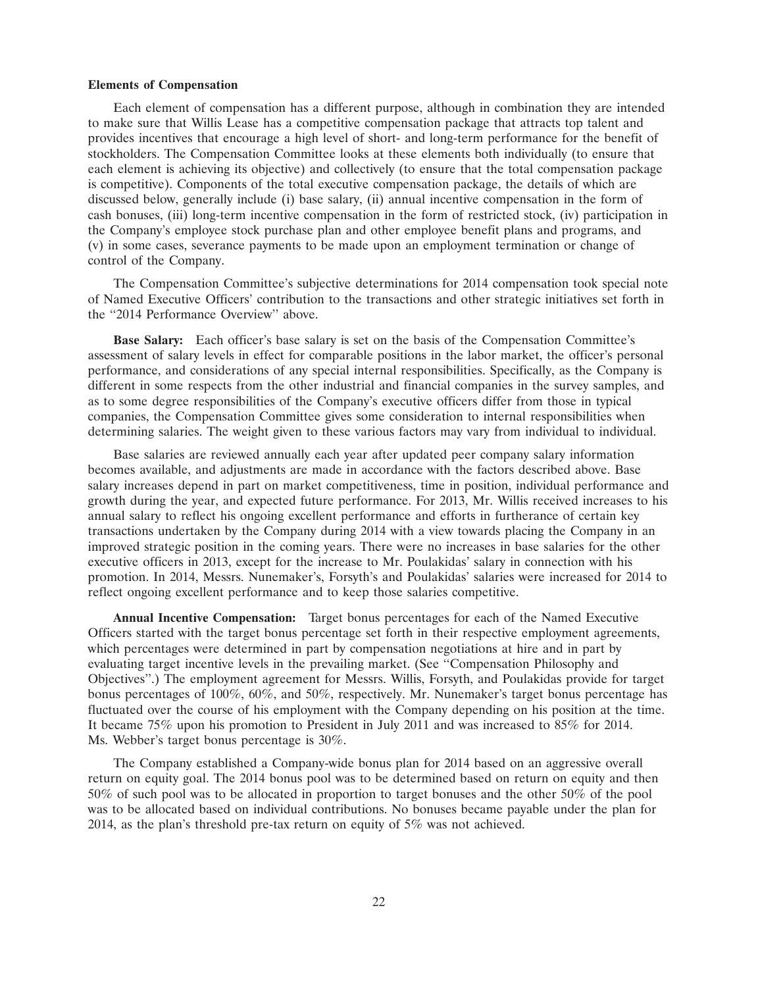#### **Elements of Compensation**

Each element of compensation has a different purpose, although in combination they are intended to make sure that Willis Lease has a competitive compensation package that attracts top talent and provides incentives that encourage a high level of short- and long-term performance for the benefit of stockholders. The Compensation Committee looks at these elements both individually (to ensure that each element is achieving its objective) and collectively (to ensure that the total compensation package is competitive). Components of the total executive compensation package, the details of which are discussed below, generally include (i) base salary, (ii) annual incentive compensation in the form of cash bonuses, (iii) long-term incentive compensation in the form of restricted stock, (iv) participation in the Company's employee stock purchase plan and other employee benefit plans and programs, and (v) in some cases, severance payments to be made upon an employment termination or change of control of the Company.

The Compensation Committee's subjective determinations for 2014 compensation took special note of Named Executive Officers' contribution to the transactions and other strategic initiatives set forth in the ''2014 Performance Overview'' above.

**Base Salary:** Each officer's base salary is set on the basis of the Compensation Committee's assessment of salary levels in effect for comparable positions in the labor market, the officer's personal performance, and considerations of any special internal responsibilities. Specifically, as the Company is different in some respects from the other industrial and financial companies in the survey samples, and as to some degree responsibilities of the Company's executive officers differ from those in typical companies, the Compensation Committee gives some consideration to internal responsibilities when determining salaries. The weight given to these various factors may vary from individual to individual.

Base salaries are reviewed annually each year after updated peer company salary information becomes available, and adjustments are made in accordance with the factors described above. Base salary increases depend in part on market competitiveness, time in position, individual performance and growth during the year, and expected future performance. For 2013, Mr. Willis received increases to his annual salary to reflect his ongoing excellent performance and efforts in furtherance of certain key transactions undertaken by the Company during 2014 with a view towards placing the Company in an improved strategic position in the coming years. There were no increases in base salaries for the other executive officers in 2013, except for the increase to Mr. Poulakidas' salary in connection with his promotion. In 2014, Messrs. Nunemaker's, Forsyth's and Poulakidas' salaries were increased for 2014 to reflect ongoing excellent performance and to keep those salaries competitive.

**Annual Incentive Compensation:** Target bonus percentages for each of the Named Executive Officers started with the target bonus percentage set forth in their respective employment agreements, which percentages were determined in part by compensation negotiations at hire and in part by evaluating target incentive levels in the prevailing market. (See ''Compensation Philosophy and Objectives''.) The employment agreement for Messrs. Willis, Forsyth, and Poulakidas provide for target bonus percentages of 100%, 60%, and 50%, respectively. Mr. Nunemaker's target bonus percentage has fluctuated over the course of his employment with the Company depending on his position at the time. It became 75% upon his promotion to President in July 2011 and was increased to 85% for 2014. Ms. Webber's target bonus percentage is 30%.

The Company established a Company-wide bonus plan for 2014 based on an aggressive overall return on equity goal. The 2014 bonus pool was to be determined based on return on equity and then 50% of such pool was to be allocated in proportion to target bonuses and the other 50% of the pool was to be allocated based on individual contributions. No bonuses became payable under the plan for 2014, as the plan's threshold pre-tax return on equity of 5% was not achieved.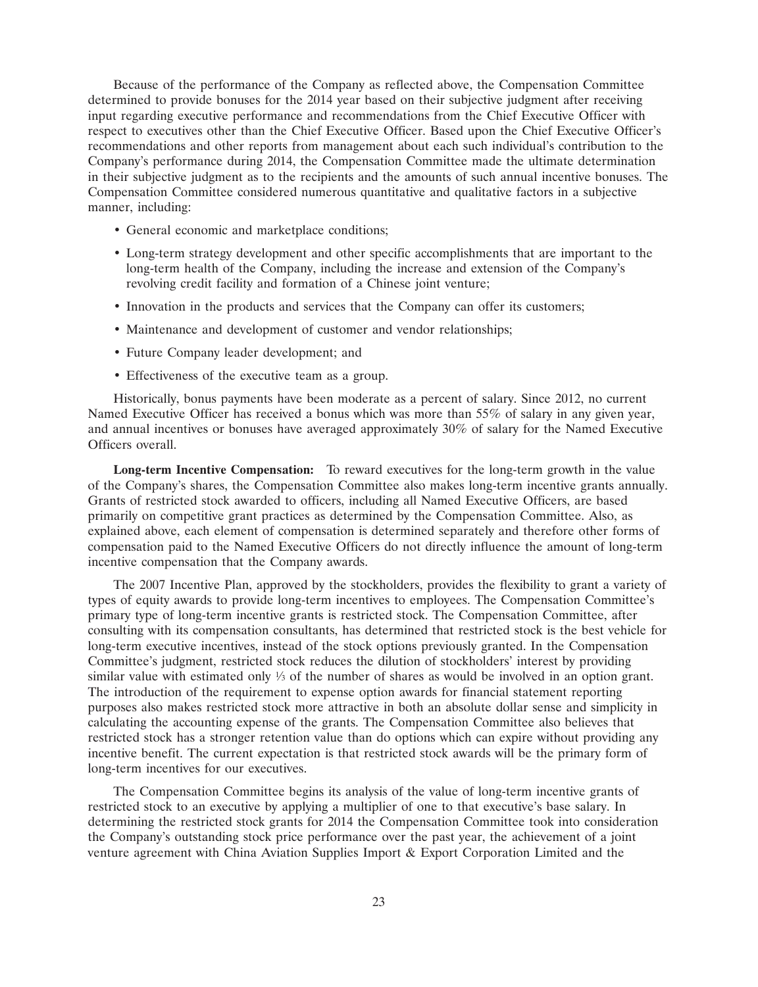Because of the performance of the Company as reflected above, the Compensation Committee determined to provide bonuses for the 2014 year based on their subjective judgment after receiving input regarding executive performance and recommendations from the Chief Executive Officer with respect to executives other than the Chief Executive Officer. Based upon the Chief Executive Officer's recommendations and other reports from management about each such individual's contribution to the Company's performance during 2014, the Compensation Committee made the ultimate determination in their subjective judgment as to the recipients and the amounts of such annual incentive bonuses. The Compensation Committee considered numerous quantitative and qualitative factors in a subjective manner, including:

- General economic and marketplace conditions;
- Long-term strategy development and other specific accomplishments that are important to the long-term health of the Company, including the increase and extension of the Company's revolving credit facility and formation of a Chinese joint venture;
- Innovation in the products and services that the Company can offer its customers;
- Maintenance and development of customer and vendor relationships;
- Future Company leader development; and
- Effectiveness of the executive team as a group.

Historically, bonus payments have been moderate as a percent of salary. Since 2012, no current Named Executive Officer has received a bonus which was more than 55% of salary in any given year, and annual incentives or bonuses have averaged approximately 30% of salary for the Named Executive Officers overall.

**Long-term Incentive Compensation:** To reward executives for the long-term growth in the value of the Company's shares, the Compensation Committee also makes long-term incentive grants annually. Grants of restricted stock awarded to officers, including all Named Executive Officers, are based primarily on competitive grant practices as determined by the Compensation Committee. Also, as explained above, each element of compensation is determined separately and therefore other forms of compensation paid to the Named Executive Officers do not directly influence the amount of long-term incentive compensation that the Company awards.

The 2007 Incentive Plan, approved by the stockholders, provides the flexibility to grant a variety of types of equity awards to provide long-term incentives to employees. The Compensation Committee's primary type of long-term incentive grants is restricted stock. The Compensation Committee, after consulting with its compensation consultants, has determined that restricted stock is the best vehicle for long-term executive incentives, instead of the stock options previously granted. In the Compensation Committee's judgment, restricted stock reduces the dilution of stockholders' interest by providing similar value with estimated only  $\frac{1}{3}$  of the number of shares as would be involved in an option grant. The introduction of the requirement to expense option awards for financial statement reporting purposes also makes restricted stock more attractive in both an absolute dollar sense and simplicity in calculating the accounting expense of the grants. The Compensation Committee also believes that restricted stock has a stronger retention value than do options which can expire without providing any incentive benefit. The current expectation is that restricted stock awards will be the primary form of long-term incentives for our executives.

The Compensation Committee begins its analysis of the value of long-term incentive grants of restricted stock to an executive by applying a multiplier of one to that executive's base salary. In determining the restricted stock grants for 2014 the Compensation Committee took into consideration the Company's outstanding stock price performance over the past year, the achievement of a joint venture agreement with China Aviation Supplies Import & Export Corporation Limited and the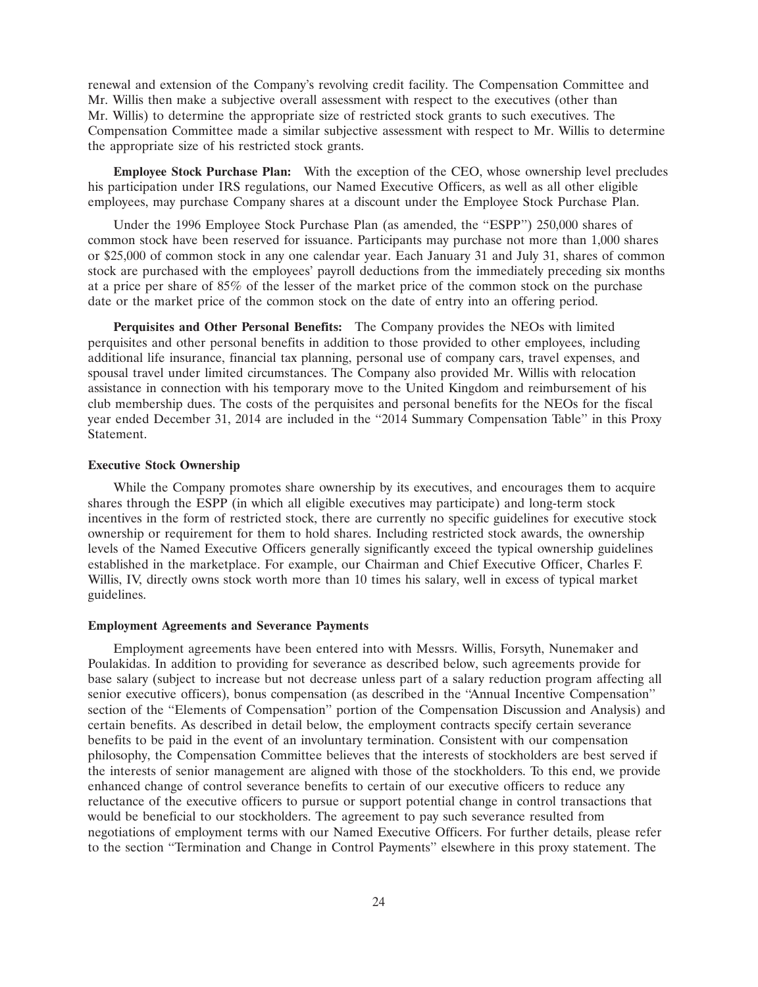renewal and extension of the Company's revolving credit facility. The Compensation Committee and Mr. Willis then make a subjective overall assessment with respect to the executives (other than Mr. Willis) to determine the appropriate size of restricted stock grants to such executives. The Compensation Committee made a similar subjective assessment with respect to Mr. Willis to determine the appropriate size of his restricted stock grants.

**Employee Stock Purchase Plan:** With the exception of the CEO, whose ownership level precludes his participation under IRS regulations, our Named Executive Officers, as well as all other eligible employees, may purchase Company shares at a discount under the Employee Stock Purchase Plan.

Under the 1996 Employee Stock Purchase Plan (as amended, the ''ESPP'') 250,000 shares of common stock have been reserved for issuance. Participants may purchase not more than 1,000 shares or \$25,000 of common stock in any one calendar year. Each January 31 and July 31, shares of common stock are purchased with the employees' payroll deductions from the immediately preceding six months at a price per share of 85% of the lesser of the market price of the common stock on the purchase date or the market price of the common stock on the date of entry into an offering period.

**Perquisites and Other Personal Benefits:** The Company provides the NEOs with limited perquisites and other personal benefits in addition to those provided to other employees, including additional life insurance, financial tax planning, personal use of company cars, travel expenses, and spousal travel under limited circumstances. The Company also provided Mr. Willis with relocation assistance in connection with his temporary move to the United Kingdom and reimbursement of his club membership dues. The costs of the perquisites and personal benefits for the NEOs for the fiscal year ended December 31, 2014 are included in the "2014 Summary Compensation Table" in this Proxy Statement.

# **Executive Stock Ownership**

While the Company promotes share ownership by its executives, and encourages them to acquire shares through the ESPP (in which all eligible executives may participate) and long-term stock incentives in the form of restricted stock, there are currently no specific guidelines for executive stock ownership or requirement for them to hold shares. Including restricted stock awards, the ownership levels of the Named Executive Officers generally significantly exceed the typical ownership guidelines established in the marketplace. For example, our Chairman and Chief Executive Officer, Charles F. Willis, IV, directly owns stock worth more than 10 times his salary, well in excess of typical market guidelines.

# **Employment Agreements and Severance Payments**

Employment agreements have been entered into with Messrs. Willis, Forsyth, Nunemaker and Poulakidas. In addition to providing for severance as described below, such agreements provide for base salary (subject to increase but not decrease unless part of a salary reduction program affecting all senior executive officers), bonus compensation (as described in the ''Annual Incentive Compensation'' section of the ''Elements of Compensation'' portion of the Compensation Discussion and Analysis) and certain benefits. As described in detail below, the employment contracts specify certain severance benefits to be paid in the event of an involuntary termination. Consistent with our compensation philosophy, the Compensation Committee believes that the interests of stockholders are best served if the interests of senior management are aligned with those of the stockholders. To this end, we provide enhanced change of control severance benefits to certain of our executive officers to reduce any reluctance of the executive officers to pursue or support potential change in control transactions that would be beneficial to our stockholders. The agreement to pay such severance resulted from negotiations of employment terms with our Named Executive Officers. For further details, please refer to the section ''Termination and Change in Control Payments'' elsewhere in this proxy statement. The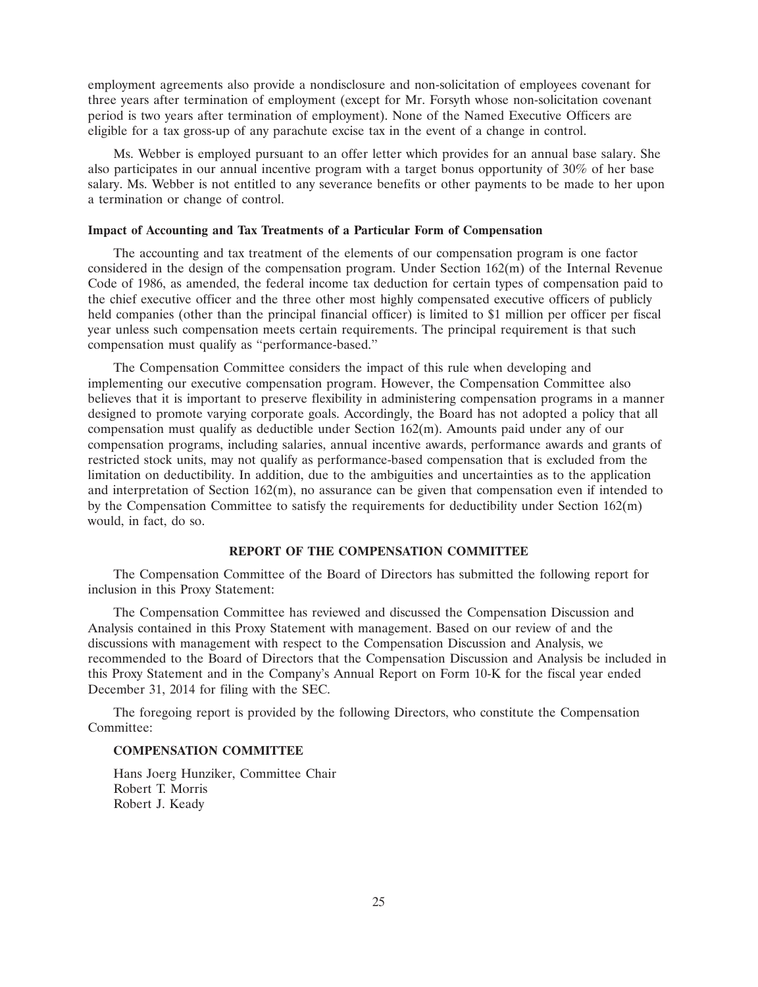employment agreements also provide a nondisclosure and non-solicitation of employees covenant for three years after termination of employment (except for Mr. Forsyth whose non-solicitation covenant period is two years after termination of employment). None of the Named Executive Officers are eligible for a tax gross-up of any parachute excise tax in the event of a change in control.

Ms. Webber is employed pursuant to an offer letter which provides for an annual base salary. She also participates in our annual incentive program with a target bonus opportunity of 30% of her base salary. Ms. Webber is not entitled to any severance benefits or other payments to be made to her upon a termination or change of control.

# **Impact of Accounting and Tax Treatments of a Particular Form of Compensation**

The accounting and tax treatment of the elements of our compensation program is one factor considered in the design of the compensation program. Under Section 162(m) of the Internal Revenue Code of 1986, as amended, the federal income tax deduction for certain types of compensation paid to the chief executive officer and the three other most highly compensated executive officers of publicly held companies (other than the principal financial officer) is limited to \$1 million per officer per fiscal year unless such compensation meets certain requirements. The principal requirement is that such compensation must qualify as ''performance-based.''

The Compensation Committee considers the impact of this rule when developing and implementing our executive compensation program. However, the Compensation Committee also believes that it is important to preserve flexibility in administering compensation programs in a manner designed to promote varying corporate goals. Accordingly, the Board has not adopted a policy that all compensation must qualify as deductible under Section 162(m). Amounts paid under any of our compensation programs, including salaries, annual incentive awards, performance awards and grants of restricted stock units, may not qualify as performance-based compensation that is excluded from the limitation on deductibility. In addition, due to the ambiguities and uncertainties as to the application and interpretation of Section  $162(m)$ , no assurance can be given that compensation even if intended to by the Compensation Committee to satisfy the requirements for deductibility under Section 162(m) would, in fact, do so.

# **REPORT OF THE COMPENSATION COMMITTEE**

The Compensation Committee of the Board of Directors has submitted the following report for inclusion in this Proxy Statement:

The Compensation Committee has reviewed and discussed the Compensation Discussion and Analysis contained in this Proxy Statement with management. Based on our review of and the discussions with management with respect to the Compensation Discussion and Analysis, we recommended to the Board of Directors that the Compensation Discussion and Analysis be included in this Proxy Statement and in the Company's Annual Report on Form 10-K for the fiscal year ended December 31, 2014 for filing with the SEC.

The foregoing report is provided by the following Directors, who constitute the Compensation Committee:

#### **COMPENSATION COMMITTEE**

Hans Joerg Hunziker, Committee Chair Robert T. Morris Robert J. Keady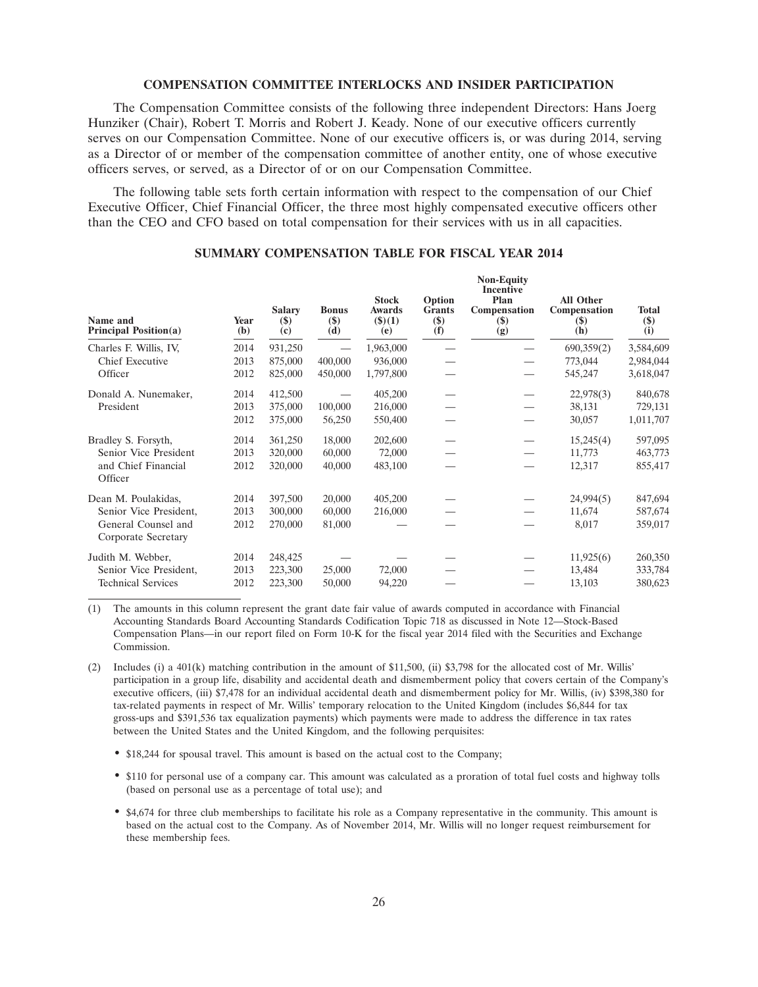#### **COMPENSATION COMMITTEE INTERLOCKS AND INSIDER PARTICIPATION**

The Compensation Committee consists of the following three independent Directors: Hans Joerg Hunziker (Chair), Robert T. Morris and Robert J. Keady. None of our executive officers currently serves on our Compensation Committee. None of our executive officers is, or was during 2014, serving as a Director of or member of the compensation committee of another entity, one of whose executive officers serves, or served, as a Director of or on our Compensation Committee.

The following table sets forth certain information with respect to the compensation of our Chief Executive Officer, Chief Financial Officer, the three most highly compensated executive officers other than the CEO and CFO based on total compensation for their services with us in all capacities.

| Name and<br><b>Principal Position(a)</b>   | Year<br>(b) | <b>Salary</b><br>$(\$)$<br>(c) | <b>Bonus</b><br>$(\$)$<br>(d) | <b>Stock</b><br>Awards<br>$($ \$ $)(1)$<br>(e) | Option<br><b>Grants</b><br>$($)$<br>(f) | <b>Incentive</b><br>Plan<br>Compensation<br>$(\$)$<br>(g) | <b>All Other</b><br>Compensation<br>$(\$)$<br>(h) | <b>Total</b><br>$(\$)$<br>(i) |
|--------------------------------------------|-------------|--------------------------------|-------------------------------|------------------------------------------------|-----------------------------------------|-----------------------------------------------------------|---------------------------------------------------|-------------------------------|
| Charles F. Willis, IV,                     | 2014        | 931,250                        |                               | 1,963,000                                      |                                         |                                                           | 690,359(2)                                        | 3,584,609                     |
| Chief Executive                            | 2013        | 875,000                        | 400,000                       | 936,000                                        |                                         |                                                           | 773,044                                           | 2,984,044                     |
| Officer                                    | 2012        | 825,000                        | 450,000                       | 1,797,800                                      |                                         |                                                           | 545,247                                           | 3,618,047                     |
| Donald A. Nunemaker,                       | 2014        | 412,500                        |                               | 405,200                                        |                                         |                                                           | 22,978(3)                                         | 840,678                       |
| President                                  | 2013        | 375,000                        | 100,000                       | 216,000                                        |                                         |                                                           | 38,131                                            | 729,131                       |
|                                            | 2012        | 375,000                        | 56,250                        | 550,400                                        |                                         |                                                           | 30,057                                            | 1,011,707                     |
| Bradley S. Forsyth,                        | 2014        | 361,250                        | 18,000                        | 202,600                                        |                                         |                                                           | 15,245(4)                                         | 597,095                       |
| Senior Vice President                      | 2013        | 320,000                        | 60,000                        | 72,000                                         |                                         | $\overline{\phantom{m}}$                                  | 11,773                                            | 463,773                       |
| and Chief Financial<br>Officer             | 2012        | 320,000                        | 40,000                        | 483,100                                        |                                         |                                                           | 12,317                                            | 855,417                       |
| Dean M. Poulakidas,                        | 2014        | 397,500                        | 20,000                        | 405,200                                        |                                         |                                                           | 24,994(5)                                         | 847,694                       |
| Senior Vice President,                     | 2013        | 300,000                        | 60,000                        | 216,000                                        |                                         |                                                           | 11,674                                            | 587,674                       |
| General Counsel and<br>Corporate Secretary | 2012        | 270,000                        | 81,000                        |                                                |                                         |                                                           | 8,017                                             | 359,017                       |
| Judith M. Webber,                          | 2014        | 248,425                        |                               |                                                |                                         |                                                           | 11,925(6)                                         | 260,350                       |
| Senior Vice President,                     | 2013        | 223,300                        | 25,000                        | 72,000                                         |                                         |                                                           | 13,484                                            | 333,784                       |
| <b>Technical Services</b>                  | 2012        | 223,300                        | 50,000                        | 94,220                                         |                                         |                                                           | 13,103                                            | 380,623                       |

# **SUMMARY COMPENSATION TABLE FOR FISCAL YEAR 2014**

**Non-Equity**

(1) The amounts in this column represent the grant date fair value of awards computed in accordance with Financial Accounting Standards Board Accounting Standards Codification Topic 718 as discussed in Note 12—Stock-Based Compensation Plans—in our report filed on Form 10-K for the fiscal year 2014 filed with the Securities and Exchange Commission.

(2) Includes (i) a 401(k) matching contribution in the amount of \$11,500, (ii) \$3,798 for the allocated cost of Mr. Willis' participation in a group life, disability and accidental death and dismemberment policy that covers certain of the Company's executive officers, (iii) \$7,478 for an individual accidental death and dismemberment policy for Mr. Willis, (iv) \$398,380 for tax-related payments in respect of Mr. Willis' temporary relocation to the United Kingdom (includes \$6,844 for tax gross-ups and \$391,536 tax equalization payments) which payments were made to address the difference in tax rates between the United States and the United Kingdom, and the following perquisites:

- \$18,244 for spousal travel. This amount is based on the actual cost to the Company;
- \$110 for personal use of a company car. This amount was calculated as a proration of total fuel costs and highway tolls (based on personal use as a percentage of total use); and
- \$4,674 for three club memberships to facilitate his role as a Company representative in the community. This amount is based on the actual cost to the Company. As of November 2014, Mr. Willis will no longer request reimbursement for these membership fees.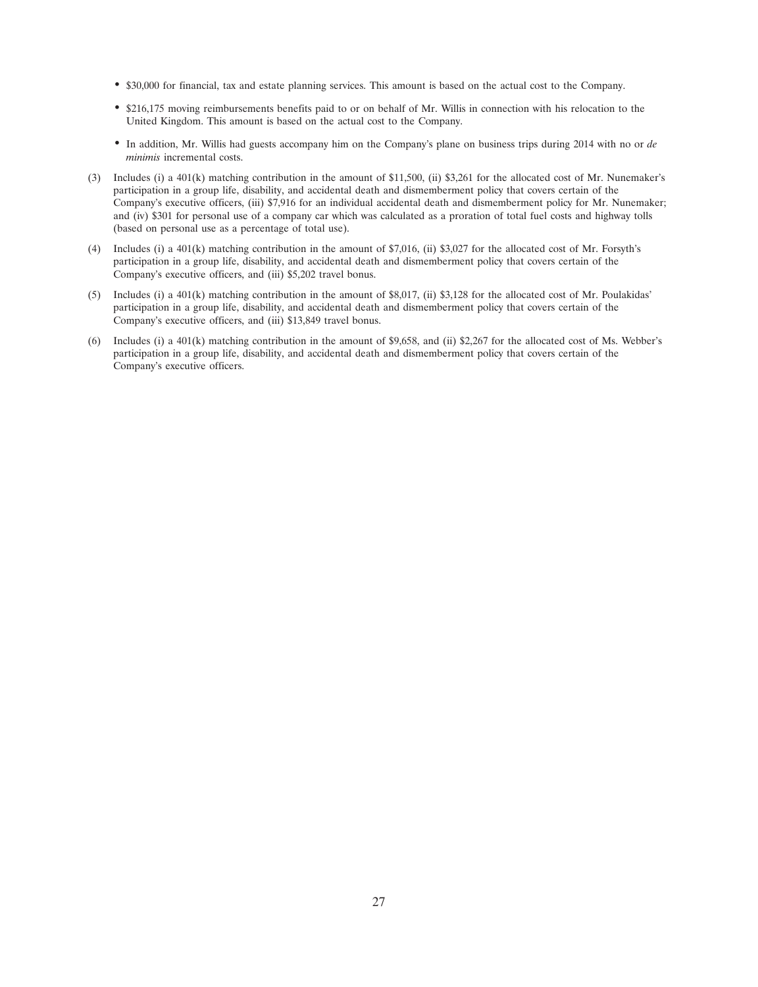- \$30,000 for financial, tax and estate planning services. This amount is based on the actual cost to the Company.
- \$216,175 moving reimbursements benefits paid to or on behalf of Mr. Willis in connection with his relocation to the United Kingdom. This amount is based on the actual cost to the Company.
- In addition, Mr. Willis had guests accompany him on the Company's plane on business trips during 2014 with no or *de minimis* incremental costs.
- (3) Includes (i) a 401(k) matching contribution in the amount of \$11,500, (ii) \$3,261 for the allocated cost of Mr. Nunemaker's participation in a group life, disability, and accidental death and dismemberment policy that covers certain of the Company's executive officers, (iii) \$7,916 for an individual accidental death and dismemberment policy for Mr. Nunemaker; and (iv) \$301 for personal use of a company car which was calculated as a proration of total fuel costs and highway tolls (based on personal use as a percentage of total use).
- (4) Includes (i) a 401(k) matching contribution in the amount of \$7,016, (ii) \$3,027 for the allocated cost of Mr. Forsyth's participation in a group life, disability, and accidental death and dismemberment policy that covers certain of the Company's executive officers, and (iii) \$5,202 travel bonus.
- (5) Includes (i) a 401(k) matching contribution in the amount of \$8,017, (ii) \$3,128 for the allocated cost of Mr. Poulakidas' participation in a group life, disability, and accidental death and dismemberment policy that covers certain of the Company's executive officers, and (iii) \$13,849 travel bonus.
- (6) Includes (i) a 401(k) matching contribution in the amount of \$9,658, and (ii) \$2,267 for the allocated cost of Ms. Webber's participation in a group life, disability, and accidental death and dismemberment policy that covers certain of the Company's executive officers.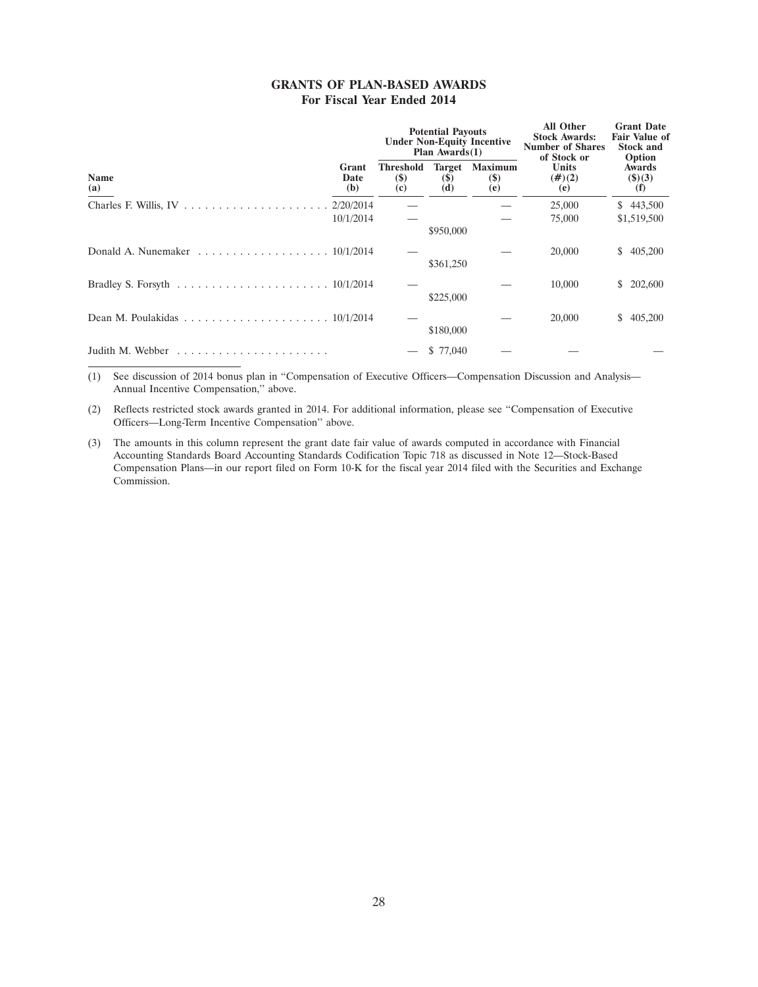# **GRANTS OF PLAN-BASED AWARDS For Fiscal Year Ended 2014**

|                                                                                               |                      |                                 | <b>Potential Payouts</b><br>Plan $Awards(1)$ | <b>Under Non-Equity Incentive</b>    | <b>All Other</b><br><b>Stock Awards:</b><br><b>Number of Shares</b><br>of Stock or | <b>Grant Date</b><br><b>Fair Value of</b><br><b>Stock and</b><br>Option |  |
|-----------------------------------------------------------------------------------------------|----------------------|---------------------------------|----------------------------------------------|--------------------------------------|------------------------------------------------------------------------------------|-------------------------------------------------------------------------|--|
| <b>Name</b><br>(a)                                                                            | Grant<br>Date<br>(b) | Threshold<br><b>(\$)</b><br>(c) | <b>Target</b><br><b>(\$)</b><br>(d)          | <b>Maximum</b><br><b>(\$)</b><br>(e) | Units<br>$(\#)(2)$<br>(e)                                                          | <b>Awards</b><br>$($ \$ $)(3)$<br>(f)                                   |  |
|                                                                                               | 10/1/2014            |                                 | \$950,000                                    |                                      | 25,000<br>75,000                                                                   | \$443,500<br>\$1,519,500                                                |  |
| Donald A. Nunemaker $\ldots \ldots \ldots \ldots \ldots \ldots \ldots 10/1/2014$              |                      |                                 | \$361,250                                    |                                      | 20,000                                                                             | 405,200<br>\$                                                           |  |
| Bradley S. Forsyth $\ldots \ldots \ldots \ldots \ldots \ldots \ldots \ldots \ldots 10/1/2014$ |                      |                                 | \$225,000                                    |                                      | 10,000                                                                             | 202,600<br>S.                                                           |  |
|                                                                                               |                      |                                 | \$180,000                                    |                                      | 20,000                                                                             | 405,200<br>S.                                                           |  |
| Judith M. Webber                                                                              |                      |                                 | \$ 77,040                                    |                                      |                                                                                    |                                                                         |  |

(1) See discussion of 2014 bonus plan in ''Compensation of Executive Officers—Compensation Discussion and Analysis— Annual Incentive Compensation,'' above.

(2) Reflects restricted stock awards granted in 2014. For additional information, please see ''Compensation of Executive Officers—Long-Term Incentive Compensation'' above.

(3) The amounts in this column represent the grant date fair value of awards computed in accordance with Financial Accounting Standards Board Accounting Standards Codification Topic 718 as discussed in Note 12—Stock-Based Compensation Plans—in our report filed on Form 10-K for the fiscal year 2014 filed with the Securities and Exchange Commission.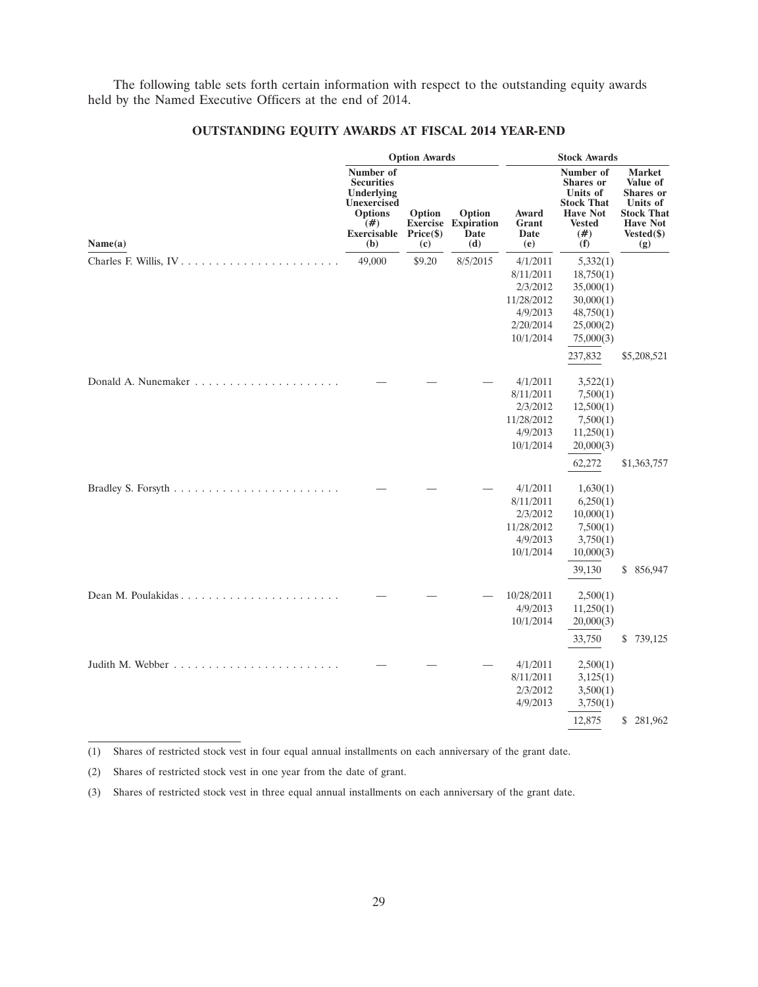The following table sets forth certain information with respect to the outstanding equity awards held by the Named Executive Officers at the end of 2014.

|         |                                                                                                                   | <b>Option Awards</b>                          |                                            |                                                                                       | <b>Stock Awards</b>                                                                                                 |                                                                                                                 |  |  |  |
|---------|-------------------------------------------------------------------------------------------------------------------|-----------------------------------------------|--------------------------------------------|---------------------------------------------------------------------------------------|---------------------------------------------------------------------------------------------------------------------|-----------------------------------------------------------------------------------------------------------------|--|--|--|
| Name(a) | Number of<br><b>Securities</b><br>Underlying<br>Unexercised<br><b>Options</b><br>(#)<br><b>Exercisable</b><br>(b) | Option<br><b>Exercise</b><br>Price(\$)<br>(c) | Option<br><b>Expiration</b><br>Date<br>(d) | Award<br>Grant<br>Date<br>(e)                                                         | Number of<br><b>Shares</b> or<br>Units of<br><b>Stock That</b><br><b>Have Not</b><br><b>Vested</b><br>$(\#)$<br>(f) | <b>Market</b><br>Value of<br>Shares or<br>Units of<br><b>Stock That</b><br><b>Have Not</b><br>Vested(\$)<br>(g) |  |  |  |
|         | 49,000                                                                                                            | \$9.20                                        | 8/5/2015                                   | 4/1/2011<br>8/11/2011<br>2/3/2012<br>11/28/2012<br>4/9/2013<br>2/20/2014<br>10/1/2014 | 5,332(1)<br>18,750(1)<br>35,000(1)<br>30,000(1)<br>48,750(1)<br>25,000(2)<br>75,000(3)                              |                                                                                                                 |  |  |  |
|         |                                                                                                                   |                                               |                                            | 4/1/2011<br>8/11/2011<br>2/3/2012<br>11/28/2012<br>4/9/2013<br>10/1/2014              | 237,832<br>3,522(1)<br>7,500(1)<br>12,500(1)<br>7,500(1)<br>11,250(1)<br>20,000(3)<br>62,272                        | \$5,208,521<br>\$1,363,757                                                                                      |  |  |  |
|         |                                                                                                                   |                                               |                                            | 4/1/2011<br>8/11/2011<br>2/3/2012<br>11/28/2012<br>4/9/2013<br>10/1/2014              | 1,630(1)<br>6,250(1)<br>10,000(1)<br>7,500(1)<br>3,750(1)<br>10,000(3)<br>39,130                                    | \$856,947                                                                                                       |  |  |  |
|         |                                                                                                                   |                                               |                                            | 10/28/2011<br>4/9/2013<br>10/1/2014                                                   | 2,500(1)<br>11,250(1)<br>20,000(3)<br>33,750                                                                        | \$739,125                                                                                                       |  |  |  |
|         |                                                                                                                   |                                               |                                            | 4/1/2011<br>8/11/2011<br>2/3/2012<br>4/9/2013                                         | 2,500(1)<br>3,125(1)<br>3,500(1)<br>3,750(1)                                                                        |                                                                                                                 |  |  |  |
|         |                                                                                                                   |                                               |                                            |                                                                                       | 12,875                                                                                                              | \$281,962                                                                                                       |  |  |  |

# **OUTSTANDING EQUITY AWARDS AT FISCAL 2014 YEAR-END**

<sup>(1)</sup> Shares of restricted stock vest in four equal annual installments on each anniversary of the grant date.

<sup>(2)</sup> Shares of restricted stock vest in one year from the date of grant.

<sup>(3)</sup> Shares of restricted stock vest in three equal annual installments on each anniversary of the grant date.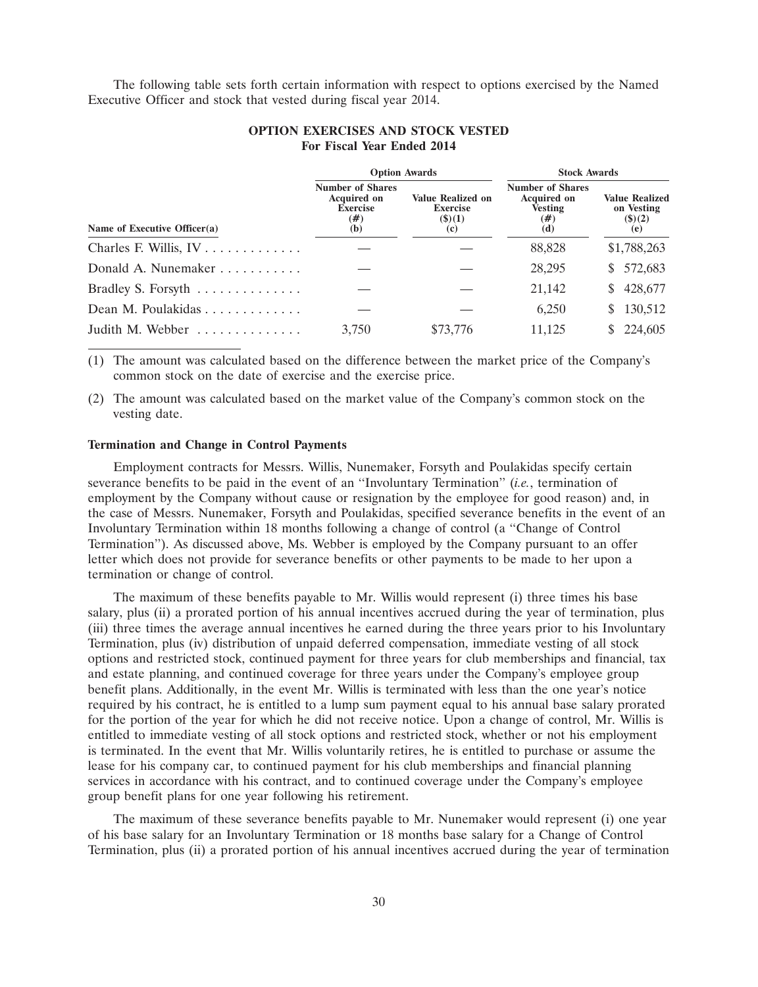The following table sets forth certain information with respect to options exercised by the Named Executive Officer and stock that vested during fiscal year 2014.

|                                              | <b>Option Awards</b>                                                              |                                                              | <b>Stock Awards</b>                                                              |                                                             |  |
|----------------------------------------------|-----------------------------------------------------------------------------------|--------------------------------------------------------------|----------------------------------------------------------------------------------|-------------------------------------------------------------|--|
| Name of Executive Officer(a)                 | <b>Number of Shares</b><br><b>Acquired on</b><br><b>Exercise</b><br>$(\#)$<br>(b) | <b>Value Realized on</b><br><b>Exercise</b><br>(3)(1)<br>(c) | <b>Number of Shares</b><br><b>Acquired on</b><br><b>Vesting</b><br>$(\#)$<br>(d) | <b>Value Realized</b><br>on Vesting<br>$($ \$ $)(2)$<br>(e) |  |
| Charles F. Willis, $IV \ldots \ldots \ldots$ |                                                                                   |                                                              | 88,828                                                                           | \$1,788,263                                                 |  |
| Donald A. Nunemaker                          |                                                                                   |                                                              | 28,295                                                                           | 572,683<br>S.                                               |  |
| Bradley S. Forsyth $\dots \dots \dots \dots$ |                                                                                   |                                                              | 21,142                                                                           | 428,677<br>S.                                               |  |
| Dean M. Poulakidas                           |                                                                                   |                                                              | 6,250                                                                            | 130,512<br>S.                                               |  |
| Judith M. Webber                             | 3,750                                                                             | \$73,776                                                     | 11.125                                                                           | 224,605                                                     |  |

# **OPTION EXERCISES AND STOCK VESTED For Fiscal Year Ended 2014**

(1) The amount was calculated based on the difference between the market price of the Company's common stock on the date of exercise and the exercise price.

(2) The amount was calculated based on the market value of the Company's common stock on the vesting date.

#### **Termination and Change in Control Payments**

Employment contracts for Messrs. Willis, Nunemaker, Forsyth and Poulakidas specify certain severance benefits to be paid in the event of an ''Involuntary Termination'' (*i.e.*, termination of employment by the Company without cause or resignation by the employee for good reason) and, in the case of Messrs. Nunemaker, Forsyth and Poulakidas, specified severance benefits in the event of an Involuntary Termination within 18 months following a change of control (a ''Change of Control Termination''). As discussed above, Ms. Webber is employed by the Company pursuant to an offer letter which does not provide for severance benefits or other payments to be made to her upon a termination or change of control.

The maximum of these benefits payable to Mr. Willis would represent (i) three times his base salary, plus (ii) a prorated portion of his annual incentives accrued during the year of termination, plus (iii) three times the average annual incentives he earned during the three years prior to his Involuntary Termination, plus (iv) distribution of unpaid deferred compensation, immediate vesting of all stock options and restricted stock, continued payment for three years for club memberships and financial, tax and estate planning, and continued coverage for three years under the Company's employee group benefit plans. Additionally, in the event Mr. Willis is terminated with less than the one year's notice required by his contract, he is entitled to a lump sum payment equal to his annual base salary prorated for the portion of the year for which he did not receive notice. Upon a change of control, Mr. Willis is entitled to immediate vesting of all stock options and restricted stock, whether or not his employment is terminated. In the event that Mr. Willis voluntarily retires, he is entitled to purchase or assume the lease for his company car, to continued payment for his club memberships and financial planning services in accordance with his contract, and to continued coverage under the Company's employee group benefit plans for one year following his retirement.

The maximum of these severance benefits payable to Mr. Nunemaker would represent (i) one year of his base salary for an Involuntary Termination or 18 months base salary for a Change of Control Termination, plus (ii) a prorated portion of his annual incentives accrued during the year of termination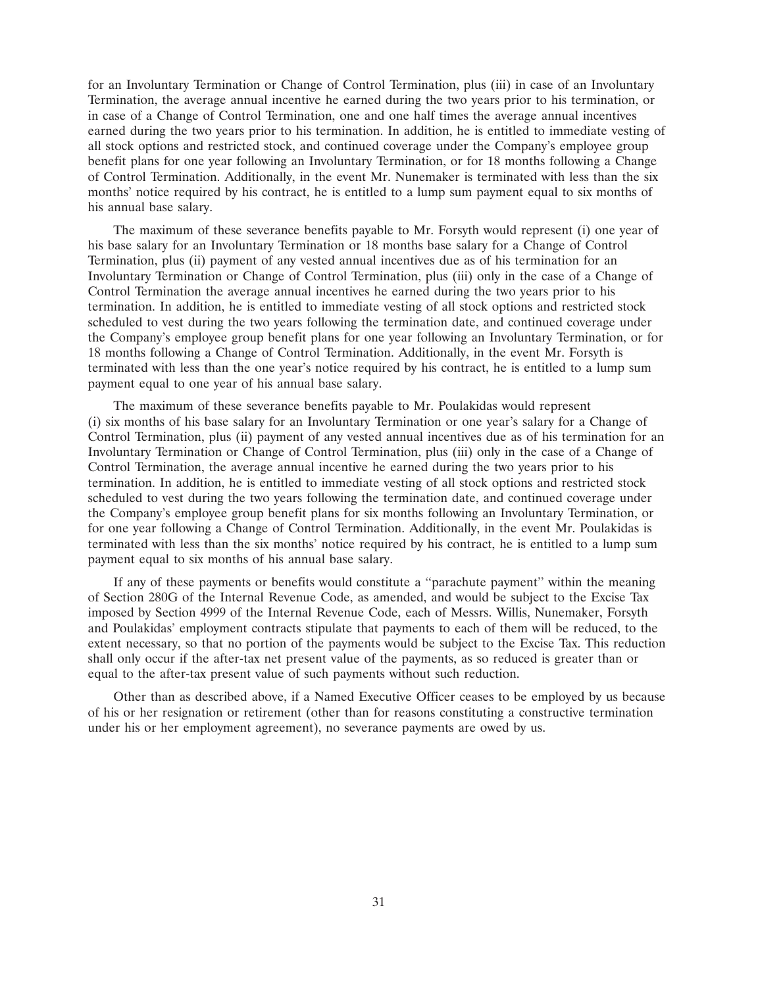for an Involuntary Termination or Change of Control Termination, plus (iii) in case of an Involuntary Termination, the average annual incentive he earned during the two years prior to his termination, or in case of a Change of Control Termination, one and one half times the average annual incentives earned during the two years prior to his termination. In addition, he is entitled to immediate vesting of all stock options and restricted stock, and continued coverage under the Company's employee group benefit plans for one year following an Involuntary Termination, or for 18 months following a Change of Control Termination. Additionally, in the event Mr. Nunemaker is terminated with less than the six months' notice required by his contract, he is entitled to a lump sum payment equal to six months of his annual base salary.

The maximum of these severance benefits payable to Mr. Forsyth would represent (i) one year of his base salary for an Involuntary Termination or 18 months base salary for a Change of Control Termination, plus (ii) payment of any vested annual incentives due as of his termination for an Involuntary Termination or Change of Control Termination, plus (iii) only in the case of a Change of Control Termination the average annual incentives he earned during the two years prior to his termination. In addition, he is entitled to immediate vesting of all stock options and restricted stock scheduled to vest during the two years following the termination date, and continued coverage under the Company's employee group benefit plans for one year following an Involuntary Termination, or for 18 months following a Change of Control Termination. Additionally, in the event Mr. Forsyth is terminated with less than the one year's notice required by his contract, he is entitled to a lump sum payment equal to one year of his annual base salary.

The maximum of these severance benefits payable to Mr. Poulakidas would represent (i) six months of his base salary for an Involuntary Termination or one year's salary for a Change of Control Termination, plus (ii) payment of any vested annual incentives due as of his termination for an Involuntary Termination or Change of Control Termination, plus (iii) only in the case of a Change of Control Termination, the average annual incentive he earned during the two years prior to his termination. In addition, he is entitled to immediate vesting of all stock options and restricted stock scheduled to vest during the two years following the termination date, and continued coverage under the Company's employee group benefit plans for six months following an Involuntary Termination, or for one year following a Change of Control Termination. Additionally, in the event Mr. Poulakidas is terminated with less than the six months' notice required by his contract, he is entitled to a lump sum payment equal to six months of his annual base salary.

If any of these payments or benefits would constitute a ''parachute payment'' within the meaning of Section 280G of the Internal Revenue Code, as amended, and would be subject to the Excise Tax imposed by Section 4999 of the Internal Revenue Code, each of Messrs. Willis, Nunemaker, Forsyth and Poulakidas' employment contracts stipulate that payments to each of them will be reduced, to the extent necessary, so that no portion of the payments would be subject to the Excise Tax. This reduction shall only occur if the after-tax net present value of the payments, as so reduced is greater than or equal to the after-tax present value of such payments without such reduction.

Other than as described above, if a Named Executive Officer ceases to be employed by us because of his or her resignation or retirement (other than for reasons constituting a constructive termination under his or her employment agreement), no severance payments are owed by us.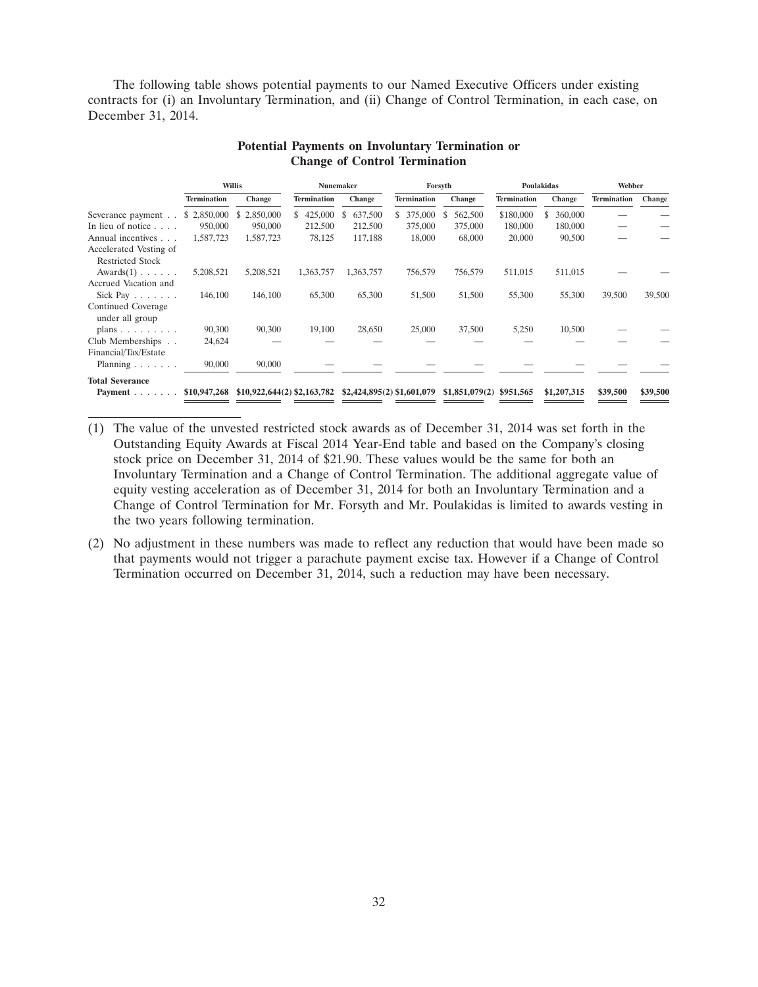The following table shows potential payments to our Named Executive Officers under existing contracts for (i) an Involuntary Termination, and (ii) Change of Control Termination, in each case, on December 31, 2014.

|                                       | Willis             |                                                            | <b>Nunemaker</b>   |              | Forsyth            |                | Poulakidas         |              | Webber             |               |
|---------------------------------------|--------------------|------------------------------------------------------------|--------------------|--------------|--------------------|----------------|--------------------|--------------|--------------------|---------------|
|                                       | <b>Termination</b> | Change                                                     | <b>Termination</b> | Change       | <b>Termination</b> | Change         | <b>Termination</b> | Change       | <b>Termination</b> | <b>Change</b> |
| Severance payment                     | \$2,850,000        | 2,850,000<br>S.                                            | 425,000<br>S.      | 637,500<br>S | 375,000<br>S.      | 562,500<br>S   | \$180,000          | 360,000<br>S |                    |               |
| In lieu of notice $\ldots$            | 950,000            | 950,000                                                    | 212,500            | 212,500      | 375,000            | 375,000        | 180,000            | 180,000      |                    |               |
| Annual incentives                     | 1,587,723          | 1,587,723                                                  | 78,125             | 117,188      | 18,000             | 68,000         | 20,000             | 90,500       |                    |               |
| Accelerated Vesting of                |                    |                                                            |                    |              |                    |                |                    |              |                    |               |
| <b>Restricted Stock</b>               |                    |                                                            |                    |              |                    |                |                    |              |                    |               |
| $Awards(1) \ldots \ldots$             | 5,208,521          | 5,208,521                                                  | 1,363,757          | 1,363,757    | 756,579            | 756,579        | 511,015            | 511,015      |                    |               |
| Accrued Vacation and                  |                    |                                                            |                    |              |                    |                |                    |              |                    |               |
| Sick Pay $\ldots$                     | 146,100            | 146,100                                                    | 65,300             | 65,300       | 51,500             | 51,500         | 55,300             | 55,300       | 39,500             | 39,500        |
| Continued Coverage<br>under all group |                    |                                                            |                    |              |                    |                |                    |              |                    |               |
| plans $\ldots$ $\ldots$ $\ldots$      | 90,300             | 90,300                                                     | 19,100             | 28,650       | 25,000             | 37,500         | 5,250              | 10,500       |                    |               |
| Club Memberships                      | 24,624             |                                                            |                    |              |                    |                |                    |              |                    |               |
| Financial/Tax/Estate                  |                    |                                                            |                    |              |                    |                |                    |              |                    |               |
| Planning $\ldots$ , $\ldots$          | 90,000             | 90,000                                                     |                    |              |                    |                |                    |              |                    |               |
| <b>Total Severance</b>                |                    |                                                            |                    |              |                    |                |                    |              |                    |               |
| Payment $\ldots$                      | \$10,947,268       | $$10,922,644(2)$ $$2,163,782$ $$2,424,895(2)$ $$1,601,079$ |                    |              |                    | \$1,851,079(2) | \$951,565          | \$1,207,315  | \$39,500           | \$39,500      |

# **Potential Payments on Involuntary Termination or Change of Control Termination**

- (1) The value of the unvested restricted stock awards as of December 31, 2014 was set forth in the Outstanding Equity Awards at Fiscal 2014 Year-End table and based on the Company's closing stock price on December 31, 2014 of \$21.90. These values would be the same for both an Involuntary Termination and a Change of Control Termination. The additional aggregate value of equity vesting acceleration as of December 31, 2014 for both an Involuntary Termination and a Change of Control Termination for Mr. Forsyth and Mr. Poulakidas is limited to awards vesting in the two years following termination.
- (2) No adjustment in these numbers was made to reflect any reduction that would have been made so that payments would not trigger a parachute payment excise tax. However if a Change of Control Termination occurred on December 31, 2014, such a reduction may have been necessary.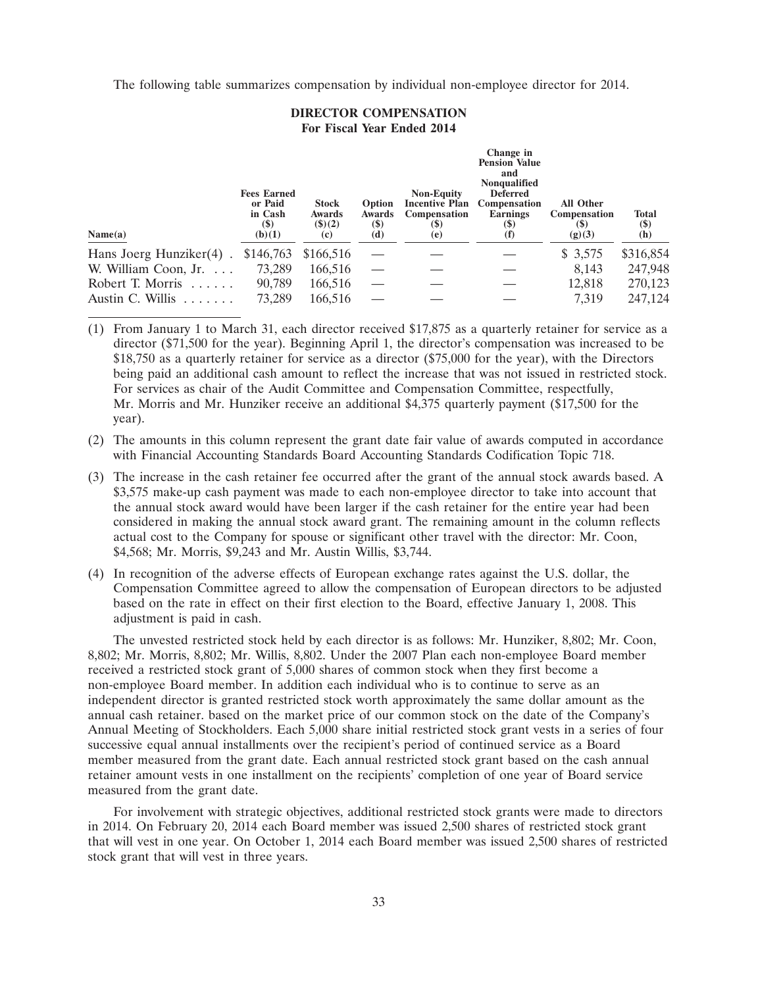The following table summarizes compensation by individual non-employee director for 2014.

# **DIRECTOR COMPENSATION For Fiscal Year Ended 2014**

**Change** in the set of the set of the set of the set of the set of the set of the set of the set of the set of the set of the set of the set of the set of the set of the set of the set of the set of the set of the set of t

| Name(a)                    | <b>Fees Earned</b><br>or Paid<br>in Cash<br><b>(\$)</b><br>(b)(1) | <b>Stock</b><br>Awards<br>$($ \$ $)(2)$<br>(c) | <b>Option</b><br>Awards<br><b>(\$)</b><br>(d) | <b>Non-Equity</b><br><b>Incentive Plan</b><br><b>Compensation</b><br>(S)<br>(e) | Change in<br><b>Pension Value</b><br>and<br><b>Nonqualified</b><br><b>Deferred</b><br>Compensation<br>Earnings<br>$\left( \mathcal{S} \right)$<br>(f) | <b>All Other</b><br><b>Compensation</b><br>(S)<br>(g)(3) | <b>Total</b><br>$(\$)$<br>(h) |
|----------------------------|-------------------------------------------------------------------|------------------------------------------------|-----------------------------------------------|---------------------------------------------------------------------------------|-------------------------------------------------------------------------------------------------------------------------------------------------------|----------------------------------------------------------|-------------------------------|
| Hans Joerg Hunziker(4).    | \$146,763                                                         | \$166,516                                      |                                               |                                                                                 |                                                                                                                                                       | \$3,575                                                  | \$316,854                     |
| W. William Coon, Jr.       | 73,289                                                            | 166,516                                        |                                               |                                                                                 |                                                                                                                                                       | 8,143                                                    | 247,948                       |
| Robert T. Morris<br>$\sim$ | 90,789                                                            | 166,516                                        |                                               |                                                                                 |                                                                                                                                                       | 12.818                                                   | 270,123                       |
| Austin C. Willis $\ldots$  | 73,289                                                            | 166,516                                        |                                               |                                                                                 |                                                                                                                                                       | 7,319                                                    | 247,124                       |
|                            |                                                                   |                                                |                                               |                                                                                 |                                                                                                                                                       |                                                          |                               |

(1) From January 1 to March 31, each director received \$17,875 as a quarterly retainer for service as a director (\$71,500 for the year). Beginning April 1, the director's compensation was increased to be \$18,750 as a quarterly retainer for service as a director (\$75,000 for the year), with the Directors being paid an additional cash amount to reflect the increase that was not issued in restricted stock. For services as chair of the Audit Committee and Compensation Committee, respectfully, Mr. Morris and Mr. Hunziker receive an additional \$4,375 quarterly payment (\$17,500 for the year).

- (2) The amounts in this column represent the grant date fair value of awards computed in accordance with Financial Accounting Standards Board Accounting Standards Codification Topic 718.
- (3) The increase in the cash retainer fee occurred after the grant of the annual stock awards based. A \$3,575 make-up cash payment was made to each non-employee director to take into account that the annual stock award would have been larger if the cash retainer for the entire year had been considered in making the annual stock award grant. The remaining amount in the column reflects actual cost to the Company for spouse or significant other travel with the director: Mr. Coon, \$4,568; Mr. Morris, \$9,243 and Mr. Austin Willis, \$3,744.
- (4) In recognition of the adverse effects of European exchange rates against the U.S. dollar, the Compensation Committee agreed to allow the compensation of European directors to be adjusted based on the rate in effect on their first election to the Board, effective January 1, 2008. This adjustment is paid in cash.

The unvested restricted stock held by each director is as follows: Mr. Hunziker, 8,802; Mr. Coon, 8,802; Mr. Morris, 8,802; Mr. Willis, 8,802. Under the 2007 Plan each non-employee Board member received a restricted stock grant of 5,000 shares of common stock when they first become a non-employee Board member. In addition each individual who is to continue to serve as an independent director is granted restricted stock worth approximately the same dollar amount as the annual cash retainer. based on the market price of our common stock on the date of the Company's Annual Meeting of Stockholders. Each 5,000 share initial restricted stock grant vests in a series of four successive equal annual installments over the recipient's period of continued service as a Board member measured from the grant date. Each annual restricted stock grant based on the cash annual retainer amount vests in one installment on the recipients' completion of one year of Board service measured from the grant date.

For involvement with strategic objectives, additional restricted stock grants were made to directors in 2014. On February 20, 2014 each Board member was issued 2,500 shares of restricted stock grant that will vest in one year. On October 1, 2014 each Board member was issued 2,500 shares of restricted stock grant that will vest in three years.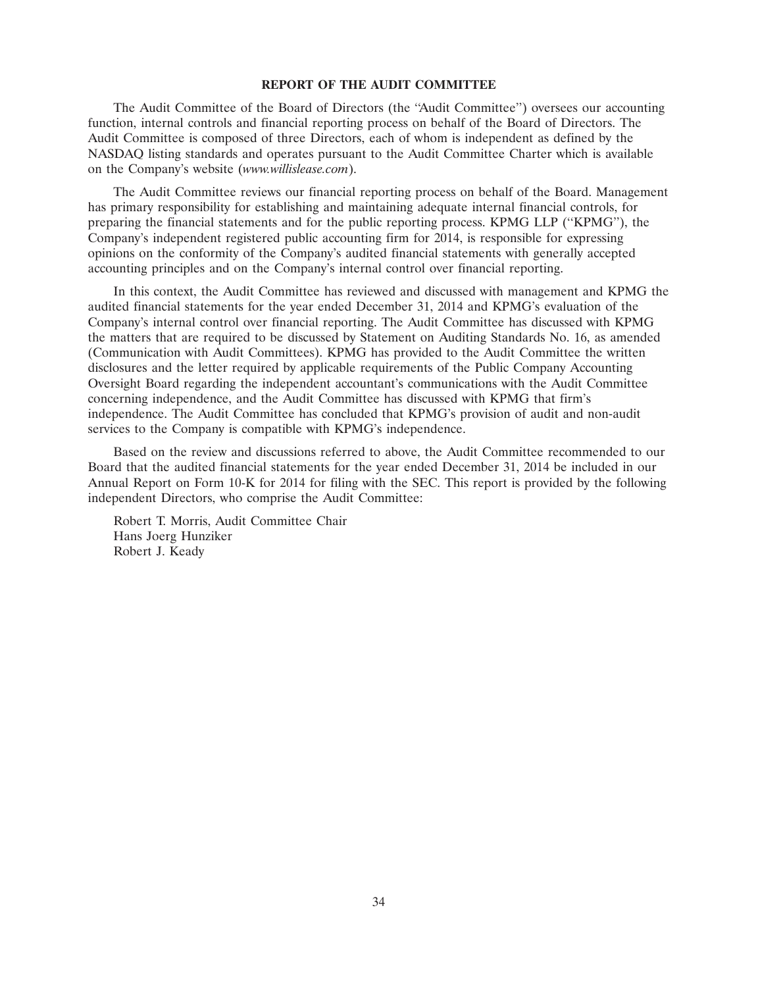# **REPORT OF THE AUDIT COMMITTEE**

The Audit Committee of the Board of Directors (the ''Audit Committee'') oversees our accounting function, internal controls and financial reporting process on behalf of the Board of Directors. The Audit Committee is composed of three Directors, each of whom is independent as defined by the NASDAQ listing standards and operates pursuant to the Audit Committee Charter which is available on the Company's website (*www.willislease.com*).

The Audit Committee reviews our financial reporting process on behalf of the Board. Management has primary responsibility for establishing and maintaining adequate internal financial controls, for preparing the financial statements and for the public reporting process. KPMG LLP (''KPMG''), the Company's independent registered public accounting firm for 2014, is responsible for expressing opinions on the conformity of the Company's audited financial statements with generally accepted accounting principles and on the Company's internal control over financial reporting.

In this context, the Audit Committee has reviewed and discussed with management and KPMG the audited financial statements for the year ended December 31, 2014 and KPMG's evaluation of the Company's internal control over financial reporting. The Audit Committee has discussed with KPMG the matters that are required to be discussed by Statement on Auditing Standards No. 16, as amended (Communication with Audit Committees). KPMG has provided to the Audit Committee the written disclosures and the letter required by applicable requirements of the Public Company Accounting Oversight Board regarding the independent accountant's communications with the Audit Committee concerning independence, and the Audit Committee has discussed with KPMG that firm's independence. The Audit Committee has concluded that KPMG's provision of audit and non-audit services to the Company is compatible with KPMG's independence.

Based on the review and discussions referred to above, the Audit Committee recommended to our Board that the audited financial statements for the year ended December 31, 2014 be included in our Annual Report on Form 10-K for 2014 for filing with the SEC. This report is provided by the following independent Directors, who comprise the Audit Committee:

Robert T. Morris, Audit Committee Chair Hans Joerg Hunziker Robert J. Keady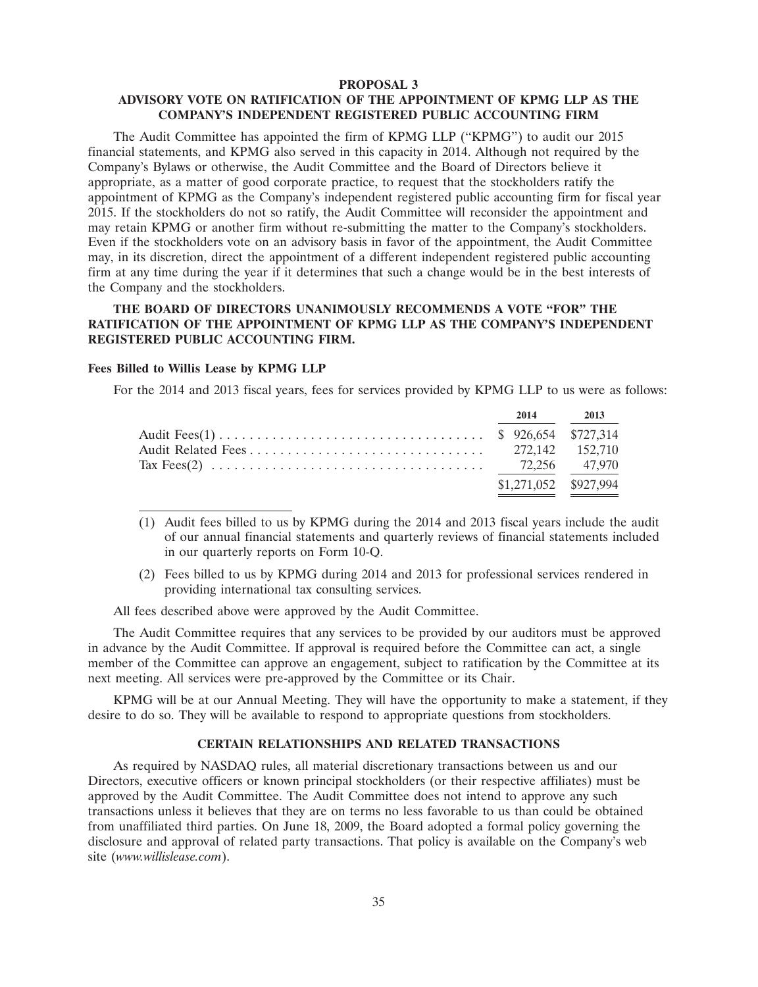#### **PROPOSAL 3**

# **ADVISORY VOTE ON RATIFICATION OF THE APPOINTMENT OF KPMG LLP AS THE COMPANY'S INDEPENDENT REGISTERED PUBLIC ACCOUNTING FIRM**

The Audit Committee has appointed the firm of KPMG LLP (''KPMG'') to audit our 2015 financial statements, and KPMG also served in this capacity in 2014. Although not required by the Company's Bylaws or otherwise, the Audit Committee and the Board of Directors believe it appropriate, as a matter of good corporate practice, to request that the stockholders ratify the appointment of KPMG as the Company's independent registered public accounting firm for fiscal year 2015. If the stockholders do not so ratify, the Audit Committee will reconsider the appointment and may retain KPMG or another firm without re-submitting the matter to the Company's stockholders. Even if the stockholders vote on an advisory basis in favor of the appointment, the Audit Committee may, in its discretion, direct the appointment of a different independent registered public accounting firm at any time during the year if it determines that such a change would be in the best interests of the Company and the stockholders.

# **THE BOARD OF DIRECTORS UNANIMOUSLY RECOMMENDS A VOTE ''FOR'' THE RATIFICATION OF THE APPOINTMENT OF KPMG LLP AS THE COMPANY'S INDEPENDENT REGISTERED PUBLIC ACCOUNTING FIRM.**

#### **Fees Billed to Willis Lease by KPMG LLP**

For the 2014 and 2013 fiscal years, fees for services provided by KPMG LLP to us were as follows:

|                                                                                                                        | 2014 2013 |                       |
|------------------------------------------------------------------------------------------------------------------------|-----------|-----------------------|
|                                                                                                                        |           |                       |
|                                                                                                                        |           |                       |
| Tax Fees(2) $\ldots \ldots \ldots \ldots \ldots \ldots \ldots \ldots \ldots \ldots \ldots \ldots \ldots$ 72,256 47,970 |           |                       |
|                                                                                                                        |           | \$1,271,052 \$927,994 |

- (1) Audit fees billed to us by KPMG during the 2014 and 2013 fiscal years include the audit of our annual financial statements and quarterly reviews of financial statements included in our quarterly reports on Form 10-Q.
- (2) Fees billed to us by KPMG during 2014 and 2013 for professional services rendered in providing international tax consulting services.

All fees described above were approved by the Audit Committee.

The Audit Committee requires that any services to be provided by our auditors must be approved in advance by the Audit Committee. If approval is required before the Committee can act, a single member of the Committee can approve an engagement, subject to ratification by the Committee at its next meeting. All services were pre-approved by the Committee or its Chair.

KPMG will be at our Annual Meeting. They will have the opportunity to make a statement, if they desire to do so. They will be available to respond to appropriate questions from stockholders.

# **CERTAIN RELATIONSHIPS AND RELATED TRANSACTIONS**

As required by NASDAQ rules, all material discretionary transactions between us and our Directors, executive officers or known principal stockholders (or their respective affiliates) must be approved by the Audit Committee. The Audit Committee does not intend to approve any such transactions unless it believes that they are on terms no less favorable to us than could be obtained from unaffiliated third parties. On June 18, 2009, the Board adopted a formal policy governing the disclosure and approval of related party transactions. That policy is available on the Company's web site (*www.willislease.com*).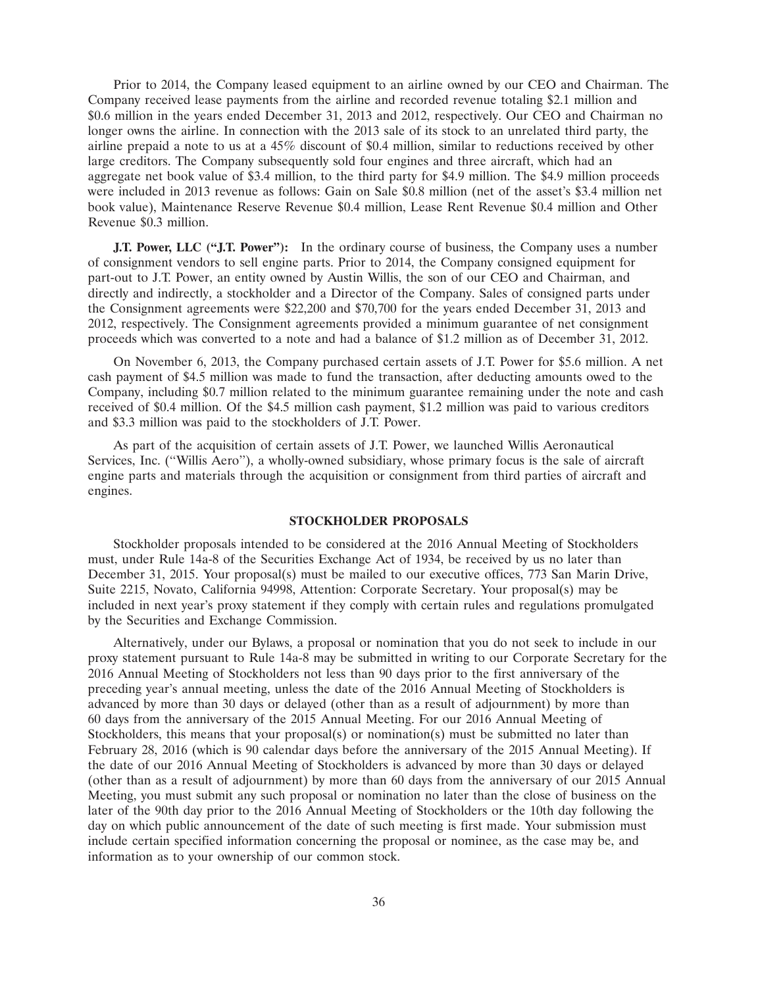Prior to 2014, the Company leased equipment to an airline owned by our CEO and Chairman. The Company received lease payments from the airline and recorded revenue totaling \$2.1 million and \$0.6 million in the years ended December 31, 2013 and 2012, respectively. Our CEO and Chairman no longer owns the airline. In connection with the 2013 sale of its stock to an unrelated third party, the airline prepaid a note to us at a 45% discount of \$0.4 million, similar to reductions received by other large creditors. The Company subsequently sold four engines and three aircraft, which had an aggregate net book value of \$3.4 million, to the third party for \$4.9 million. The \$4.9 million proceeds were included in 2013 revenue as follows: Gain on Sale \$0.8 million (net of the asset's \$3.4 million net book value), Maintenance Reserve Revenue \$0.4 million, Lease Rent Revenue \$0.4 million and Other Revenue \$0.3 million.

**J.T. Power, LLC ("J.T. Power"):** In the ordinary course of business, the Company uses a number of consignment vendors to sell engine parts. Prior to 2014, the Company consigned equipment for part-out to J.T. Power, an entity owned by Austin Willis, the son of our CEO and Chairman, and directly and indirectly, a stockholder and a Director of the Company. Sales of consigned parts under the Consignment agreements were \$22,200 and \$70,700 for the years ended December 31, 2013 and 2012, respectively. The Consignment agreements provided a minimum guarantee of net consignment proceeds which was converted to a note and had a balance of \$1.2 million as of December 31, 2012.

On November 6, 2013, the Company purchased certain assets of J.T. Power for \$5.6 million. A net cash payment of \$4.5 million was made to fund the transaction, after deducting amounts owed to the Company, including \$0.7 million related to the minimum guarantee remaining under the note and cash received of \$0.4 million. Of the \$4.5 million cash payment, \$1.2 million was paid to various creditors and \$3.3 million was paid to the stockholders of J.T. Power.

As part of the acquisition of certain assets of J.T. Power, we launched Willis Aeronautical Services, Inc. (''Willis Aero''), a wholly-owned subsidiary, whose primary focus is the sale of aircraft engine parts and materials through the acquisition or consignment from third parties of aircraft and engines.

# **STOCKHOLDER PROPOSALS**

Stockholder proposals intended to be considered at the 2016 Annual Meeting of Stockholders must, under Rule 14a-8 of the Securities Exchange Act of 1934, be received by us no later than December 31, 2015. Your proposal(s) must be mailed to our executive offices, 773 San Marin Drive, Suite 2215, Novato, California 94998, Attention: Corporate Secretary. Your proposal(s) may be included in next year's proxy statement if they comply with certain rules and regulations promulgated by the Securities and Exchange Commission.

Alternatively, under our Bylaws, a proposal or nomination that you do not seek to include in our proxy statement pursuant to Rule 14a-8 may be submitted in writing to our Corporate Secretary for the 2016 Annual Meeting of Stockholders not less than 90 days prior to the first anniversary of the preceding year's annual meeting, unless the date of the 2016 Annual Meeting of Stockholders is advanced by more than 30 days or delayed (other than as a result of adjournment) by more than 60 days from the anniversary of the 2015 Annual Meeting. For our 2016 Annual Meeting of Stockholders, this means that your proposal(s) or nomination(s) must be submitted no later than February 28, 2016 (which is 90 calendar days before the anniversary of the 2015 Annual Meeting). If the date of our 2016 Annual Meeting of Stockholders is advanced by more than 30 days or delayed (other than as a result of adjournment) by more than 60 days from the anniversary of our 2015 Annual Meeting, you must submit any such proposal or nomination no later than the close of business on the later of the 90th day prior to the 2016 Annual Meeting of Stockholders or the 10th day following the day on which public announcement of the date of such meeting is first made. Your submission must include certain specified information concerning the proposal or nominee, as the case may be, and information as to your ownership of our common stock.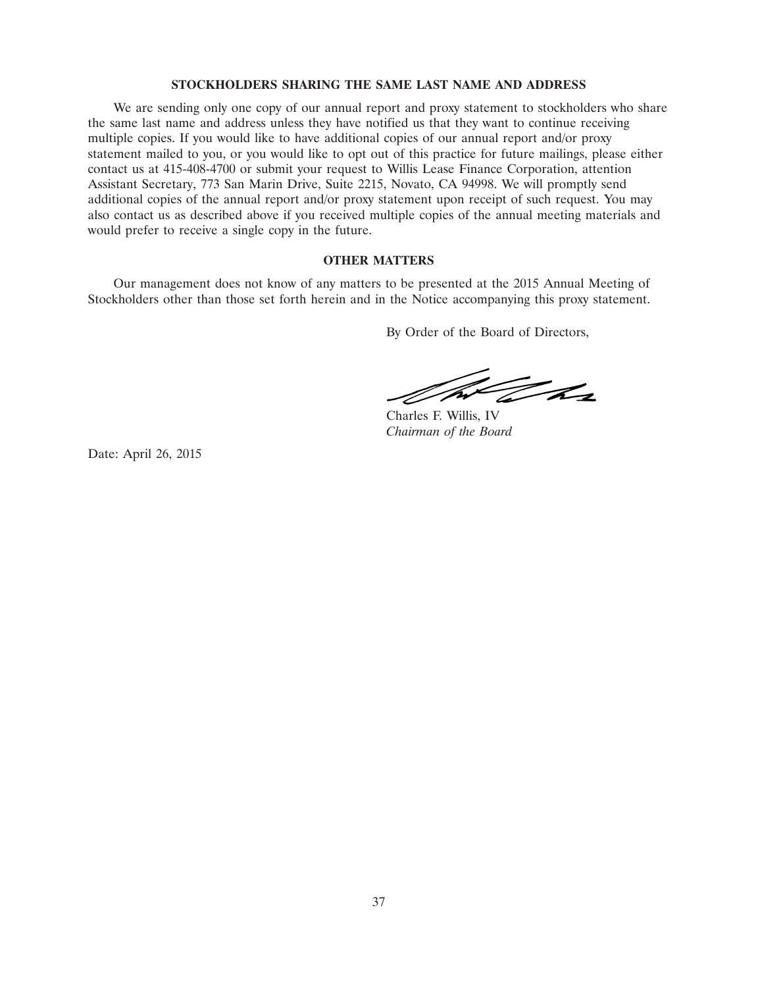# **STOCKHOLDERS SHARING THE SAME LAST NAME AND ADDRESS**

We are sending only one copy of our annual report and proxy statement to stockholders who share the same last name and address unless they have notified us that they want to continue receiving multiple copies. If you would like to have additional copies of our annual report and/or proxy statement mailed to you, or you would like to opt out of this practice for future mailings, please either contact us at 415-408-4700 or submit your request to Willis Lease Finance Corporation, attention Assistant Secretary, 773 San Marin Drive, Suite 2215, Novato, CA 94998. We will promptly send additional copies of the annual report and/or proxy statement upon receipt of such request. You may also contact us as described above if you received multiple copies of the annual meeting materials and would prefer to receive a single copy in the future.

# **OTHER MATTERS**

Our management does not know of any matters to be presented at the 2015 Annual Meeting of Stockholders other than those set forth herein and in the Notice accompanying this proxy statement.

By Order of the Board of Directors,

The Tax

Charles F. Willis, IV *Chairman of the Board*

Date: April 26, 2015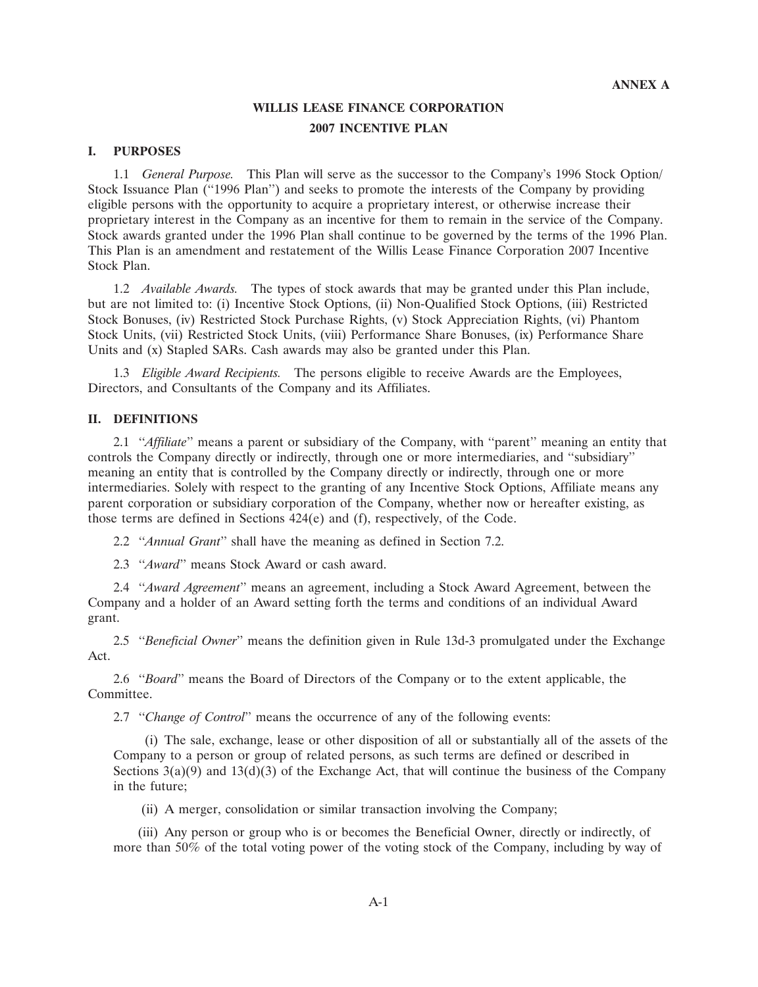# **WILLIS LEASE FINANCE CORPORATION 2007 INCENTIVE PLAN**

#### **I. PURPOSES**

1.1 *General Purpose.* This Plan will serve as the successor to the Company's 1996 Stock Option/ Stock Issuance Plan (''1996 Plan'') and seeks to promote the interests of the Company by providing eligible persons with the opportunity to acquire a proprietary interest, or otherwise increase their proprietary interest in the Company as an incentive for them to remain in the service of the Company. Stock awards granted under the 1996 Plan shall continue to be governed by the terms of the 1996 Plan. This Plan is an amendment and restatement of the Willis Lease Finance Corporation 2007 Incentive Stock Plan.

1.2 *Available Awards.* The types of stock awards that may be granted under this Plan include, but are not limited to: (i) Incentive Stock Options, (ii) Non-Qualified Stock Options, (iii) Restricted Stock Bonuses, (iv) Restricted Stock Purchase Rights, (v) Stock Appreciation Rights, (vi) Phantom Stock Units, (vii) Restricted Stock Units, (viii) Performance Share Bonuses, (ix) Performance Share Units and (x) Stapled SARs. Cash awards may also be granted under this Plan.

1.3 *Eligible Award Recipients.* The persons eligible to receive Awards are the Employees, Directors, and Consultants of the Company and its Affiliates.

# **II. DEFINITIONS**

2.1 ''*Affiliate*'' means a parent or subsidiary of the Company, with ''parent'' meaning an entity that controls the Company directly or indirectly, through one or more intermediaries, and ''subsidiary'' meaning an entity that is controlled by the Company directly or indirectly, through one or more intermediaries. Solely with respect to the granting of any Incentive Stock Options, Affiliate means any parent corporation or subsidiary corporation of the Company, whether now or hereafter existing, as those terms are defined in Sections 424(e) and (f), respectively, of the Code.

2.2 ''*Annual Grant*'' shall have the meaning as defined in Section 7.2.

2.3 ''*Award*'' means Stock Award or cash award.

2.4 ''*Award Agreement*'' means an agreement, including a Stock Award Agreement, between the Company and a holder of an Award setting forth the terms and conditions of an individual Award grant.

2.5 ''*Beneficial Owner*'' means the definition given in Rule 13d-3 promulgated under the Exchange Act.

2.6 ''*Board*'' means the Board of Directors of the Company or to the extent applicable, the Committee.

2.7 ''*Change of Control*'' means the occurrence of any of the following events:

(i) The sale, exchange, lease or other disposition of all or substantially all of the assets of the Company to a person or group of related persons, as such terms are defined or described in Sections  $3(a)(9)$  and  $13(d)(3)$  of the Exchange Act, that will continue the business of the Company in the future;

(ii) A merger, consolidation or similar transaction involving the Company;

(iii) Any person or group who is or becomes the Beneficial Owner, directly or indirectly, of more than 50% of the total voting power of the voting stock of the Company, including by way of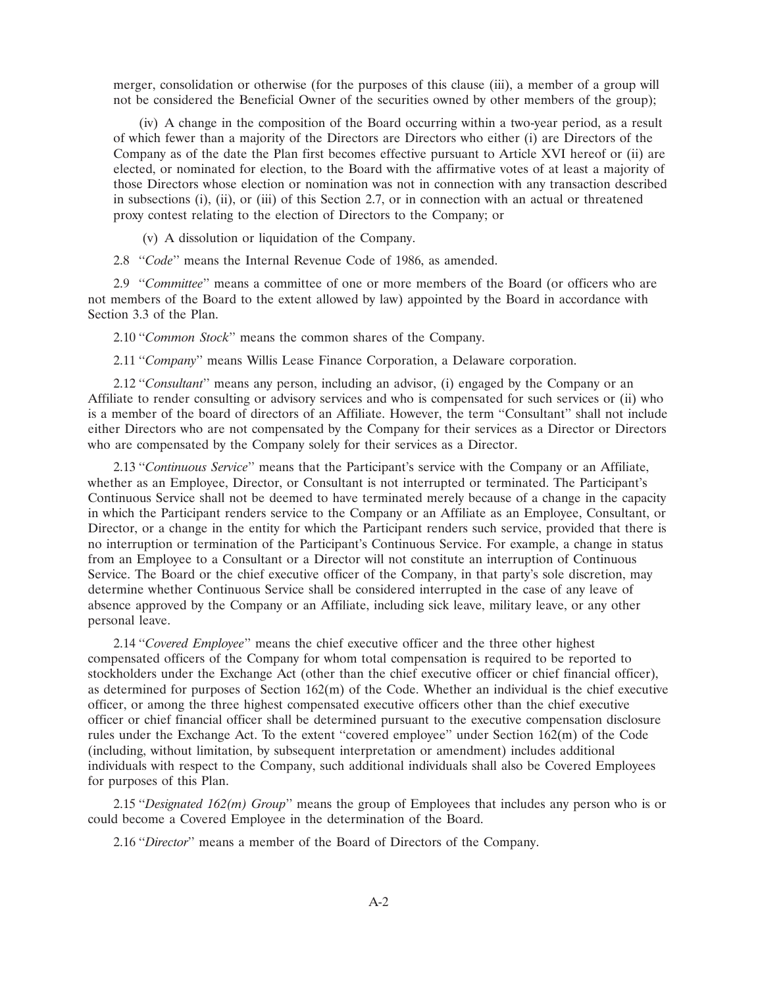merger, consolidation or otherwise (for the purposes of this clause (iii), a member of a group will not be considered the Beneficial Owner of the securities owned by other members of the group);

(iv) A change in the composition of the Board occurring within a two-year period, as a result of which fewer than a majority of the Directors are Directors who either (i) are Directors of the Company as of the date the Plan first becomes effective pursuant to Article XVI hereof or (ii) are elected, or nominated for election, to the Board with the affirmative votes of at least a majority of those Directors whose election or nomination was not in connection with any transaction described in subsections (i), (ii), or (iii) of this Section 2.7, or in connection with an actual or threatened proxy contest relating to the election of Directors to the Company; or

(v) A dissolution or liquidation of the Company.

2.8 ''*Code*'' means the Internal Revenue Code of 1986, as amended.

2.9 ''*Committee*'' means a committee of one or more members of the Board (or officers who are not members of the Board to the extent allowed by law) appointed by the Board in accordance with Section 3.3 of the Plan.

2.10 ''*Common Stock*'' means the common shares of the Company.

2.11 ''*Company*'' means Willis Lease Finance Corporation, a Delaware corporation.

2.12 "*Consultant*" means any person, including an advisor, (i) engaged by the Company or an Affiliate to render consulting or advisory services and who is compensated for such services or (ii) who is a member of the board of directors of an Affiliate. However, the term ''Consultant'' shall not include either Directors who are not compensated by the Company for their services as a Director or Directors who are compensated by the Company solely for their services as a Director.

2.13 ''*Continuous Service*'' means that the Participant's service with the Company or an Affiliate, whether as an Employee, Director, or Consultant is not interrupted or terminated. The Participant's Continuous Service shall not be deemed to have terminated merely because of a change in the capacity in which the Participant renders service to the Company or an Affiliate as an Employee, Consultant, or Director, or a change in the entity for which the Participant renders such service, provided that there is no interruption or termination of the Participant's Continuous Service. For example, a change in status from an Employee to a Consultant or a Director will not constitute an interruption of Continuous Service. The Board or the chief executive officer of the Company, in that party's sole discretion, may determine whether Continuous Service shall be considered interrupted in the case of any leave of absence approved by the Company or an Affiliate, including sick leave, military leave, or any other personal leave.

2.14 ''*Covered Employee*'' means the chief executive officer and the three other highest compensated officers of the Company for whom total compensation is required to be reported to stockholders under the Exchange Act (other than the chief executive officer or chief financial officer), as determined for purposes of Section 162(m) of the Code. Whether an individual is the chief executive officer, or among the three highest compensated executive officers other than the chief executive officer or chief financial officer shall be determined pursuant to the executive compensation disclosure rules under the Exchange Act. To the extent ''covered employee'' under Section 162(m) of the Code (including, without limitation, by subsequent interpretation or amendment) includes additional individuals with respect to the Company, such additional individuals shall also be Covered Employees for purposes of this Plan.

2.15 "*Designated 162(m) Group*" means the group of Employees that includes any person who is or could become a Covered Employee in the determination of the Board.

2.16 ''*Director*'' means a member of the Board of Directors of the Company.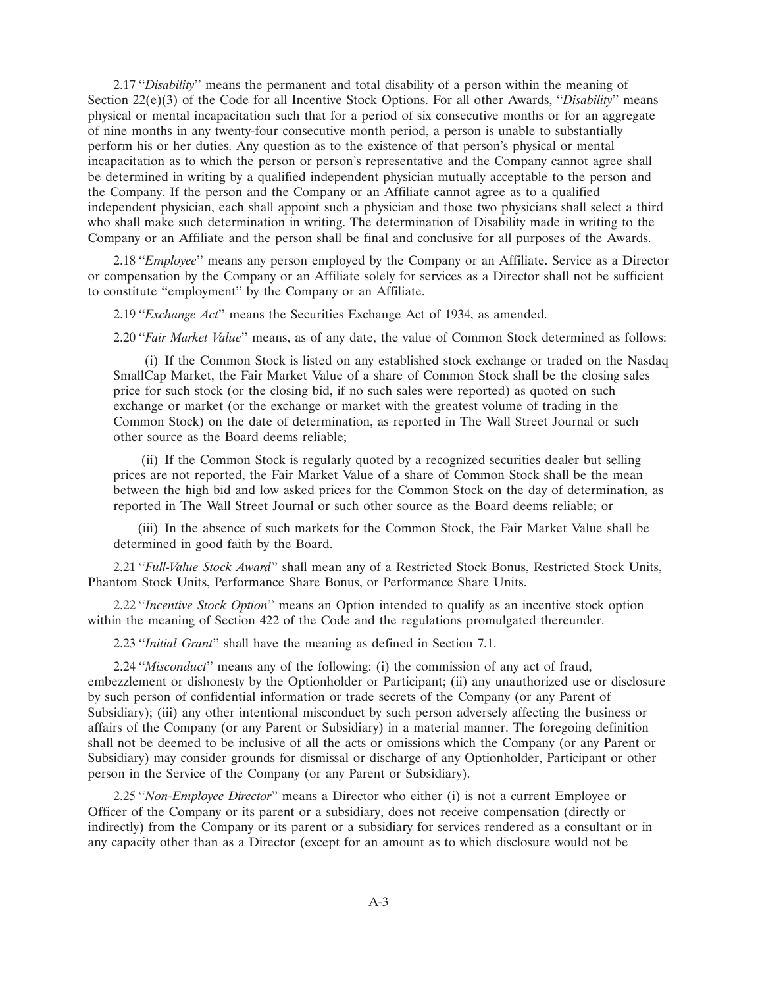2.17 ''*Disability*'' means the permanent and total disability of a person within the meaning of Section 22(e)(3) of the Code for all Incentive Stock Options. For all other Awards, "*Disability*" means physical or mental incapacitation such that for a period of six consecutive months or for an aggregate of nine months in any twenty-four consecutive month period, a person is unable to substantially perform his or her duties. Any question as to the existence of that person's physical or mental incapacitation as to which the person or person's representative and the Company cannot agree shall be determined in writing by a qualified independent physician mutually acceptable to the person and the Company. If the person and the Company or an Affiliate cannot agree as to a qualified independent physician, each shall appoint such a physician and those two physicians shall select a third who shall make such determination in writing. The determination of Disability made in writing to the Company or an Affiliate and the person shall be final and conclusive for all purposes of the Awards.

2.18 ''*Employee*'' means any person employed by the Company or an Affiliate. Service as a Director or compensation by the Company or an Affiliate solely for services as a Director shall not be sufficient to constitute ''employment'' by the Company or an Affiliate.

2.19 ''*Exchange Act*'' means the Securities Exchange Act of 1934, as amended.

2.20 ''*Fair Market Value*'' means, as of any date, the value of Common Stock determined as follows:

(i) If the Common Stock is listed on any established stock exchange or traded on the Nasdaq SmallCap Market, the Fair Market Value of a share of Common Stock shall be the closing sales price for such stock (or the closing bid, if no such sales were reported) as quoted on such exchange or market (or the exchange or market with the greatest volume of trading in the Common Stock) on the date of determination, as reported in The Wall Street Journal or such other source as the Board deems reliable;

(ii) If the Common Stock is regularly quoted by a recognized securities dealer but selling prices are not reported, the Fair Market Value of a share of Common Stock shall be the mean between the high bid and low asked prices for the Common Stock on the day of determination, as reported in The Wall Street Journal or such other source as the Board deems reliable; or

(iii) In the absence of such markets for the Common Stock, the Fair Market Value shall be determined in good faith by the Board.

2.21 ''*Full-Value Stock Award*'' shall mean any of a Restricted Stock Bonus, Restricted Stock Units, Phantom Stock Units, Performance Share Bonus, or Performance Share Units.

2.22 ''*Incentive Stock Option*'' means an Option intended to qualify as an incentive stock option within the meaning of Section 422 of the Code and the regulations promulgated thereunder.

2.23 ''*Initial Grant*'' shall have the meaning as defined in Section 7.1.

2.24 ''*Misconduct*'' means any of the following: (i) the commission of any act of fraud, embezzlement or dishonesty by the Optionholder or Participant; (ii) any unauthorized use or disclosure by such person of confidential information or trade secrets of the Company (or any Parent of Subsidiary); (iii) any other intentional misconduct by such person adversely affecting the business or affairs of the Company (or any Parent or Subsidiary) in a material manner. The foregoing definition shall not be deemed to be inclusive of all the acts or omissions which the Company (or any Parent or Subsidiary) may consider grounds for dismissal or discharge of any Optionholder, Participant or other person in the Service of the Company (or any Parent or Subsidiary).

2.25 ''*Non-Employee Director*'' means a Director who either (i) is not a current Employee or Officer of the Company or its parent or a subsidiary, does not receive compensation (directly or indirectly) from the Company or its parent or a subsidiary for services rendered as a consultant or in any capacity other than as a Director (except for an amount as to which disclosure would not be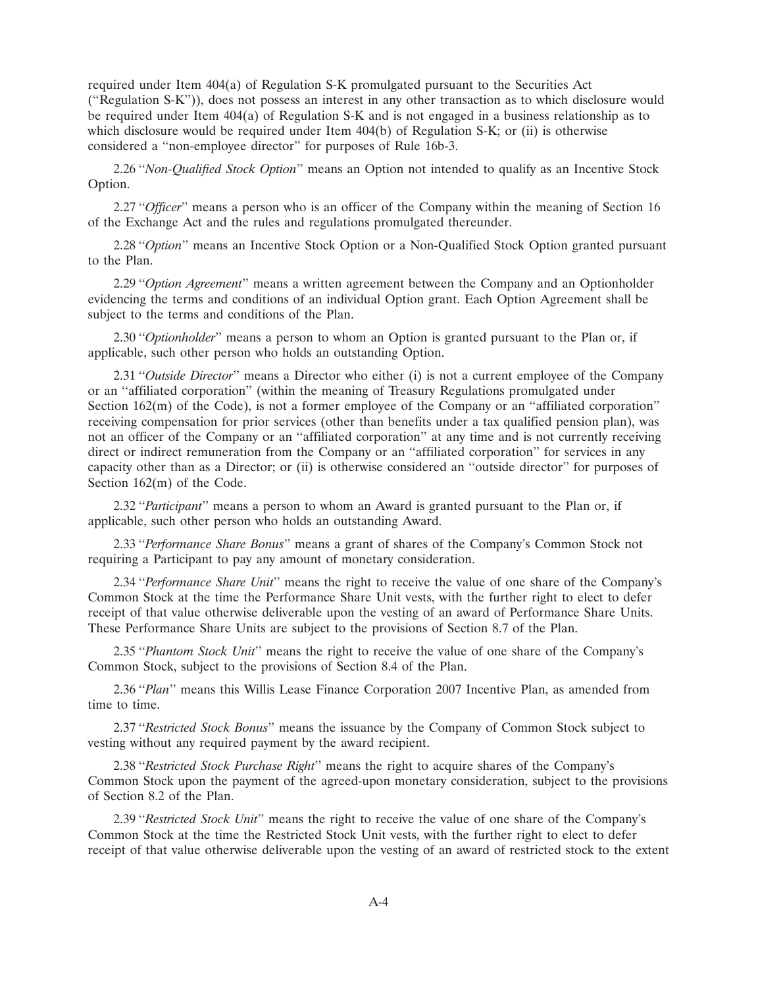required under Item 404(a) of Regulation S-K promulgated pursuant to the Securities Act (''Regulation S-K'')), does not possess an interest in any other transaction as to which disclosure would be required under Item 404(a) of Regulation S-K and is not engaged in a business relationship as to which disclosure would be required under Item 404(b) of Regulation S-K; or (ii) is otherwise considered a ''non-employee director'' for purposes of Rule 16b-3.

2.26 ''*Non-Qualified Stock Option*'' means an Option not intended to qualify as an Incentive Stock Option.

2.27 "*Officer*" means a person who is an officer of the Company within the meaning of Section 16 of the Exchange Act and the rules and regulations promulgated thereunder.

2.28 ''*Option*'' means an Incentive Stock Option or a Non-Qualified Stock Option granted pursuant to the Plan.

2.29 ''*Option Agreement*'' means a written agreement between the Company and an Optionholder evidencing the terms and conditions of an individual Option grant. Each Option Agreement shall be subject to the terms and conditions of the Plan.

2.30 ''*Optionholder*'' means a person to whom an Option is granted pursuant to the Plan or, if applicable, such other person who holds an outstanding Option.

2.31 ''*Outside Director*'' means a Director who either (i) is not a current employee of the Company or an ''affiliated corporation'' (within the meaning of Treasury Regulations promulgated under Section  $162(m)$  of the Code), is not a former employee of the Company or an "affiliated corporation" receiving compensation for prior services (other than benefits under a tax qualified pension plan), was not an officer of the Company or an ''affiliated corporation'' at any time and is not currently receiving direct or indirect remuneration from the Company or an "affiliated corporation" for services in any capacity other than as a Director; or (ii) is otherwise considered an ''outside director'' for purposes of Section 162(m) of the Code.

2.32 ''*Participant*'' means a person to whom an Award is granted pursuant to the Plan or, if applicable, such other person who holds an outstanding Award.

2.33 ''*Performance Share Bonus*'' means a grant of shares of the Company's Common Stock not requiring a Participant to pay any amount of monetary consideration.

2.34 ''*Performance Share Unit*'' means the right to receive the value of one share of the Company's Common Stock at the time the Performance Share Unit vests, with the further right to elect to defer receipt of that value otherwise deliverable upon the vesting of an award of Performance Share Units. These Performance Share Units are subject to the provisions of Section 8.7 of the Plan.

2.35 ''*Phantom Stock Unit*'' means the right to receive the value of one share of the Company's Common Stock, subject to the provisions of Section 8.4 of the Plan.

2.36 ''*Plan*'' means this Willis Lease Finance Corporation 2007 Incentive Plan, as amended from time to time.

2.37 ''*Restricted Stock Bonus*'' means the issuance by the Company of Common Stock subject to vesting without any required payment by the award recipient.

2.38 ''*Restricted Stock Purchase Right*'' means the right to acquire shares of the Company's Common Stock upon the payment of the agreed-upon monetary consideration, subject to the provisions of Section 8.2 of the Plan.

2.39 ''*Restricted Stock Unit*'' means the right to receive the value of one share of the Company's Common Stock at the time the Restricted Stock Unit vests, with the further right to elect to defer receipt of that value otherwise deliverable upon the vesting of an award of restricted stock to the extent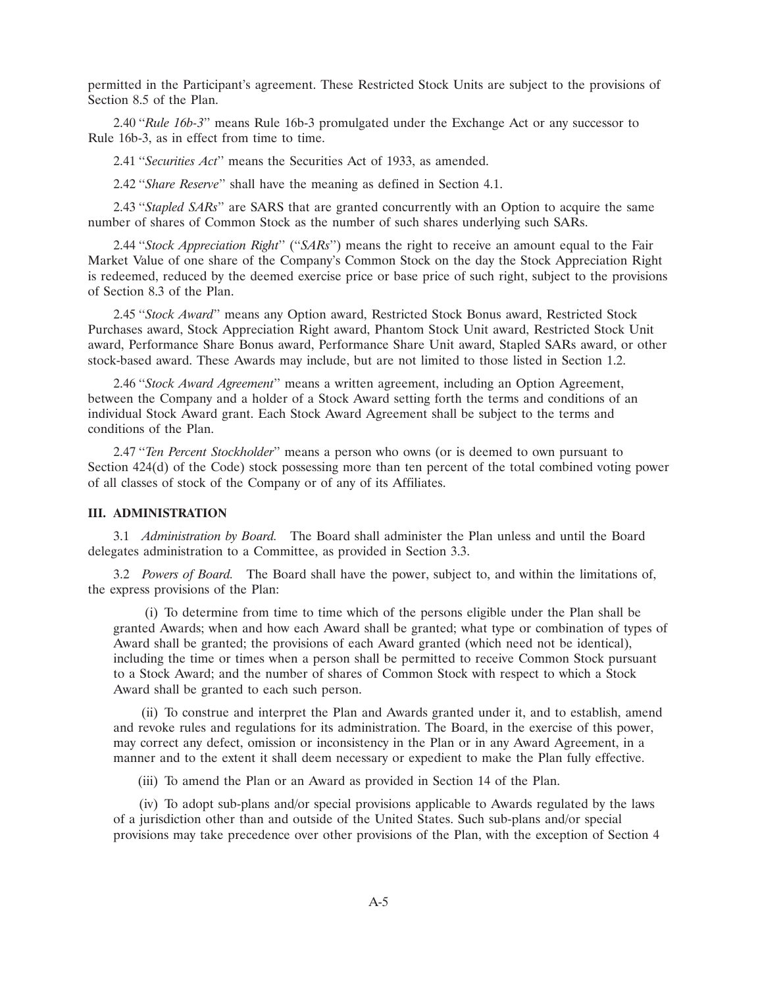permitted in the Participant's agreement. These Restricted Stock Units are subject to the provisions of Section 8.5 of the Plan.

2.40 ''*Rule 16b-3*'' means Rule 16b-3 promulgated under the Exchange Act or any successor to Rule 16b-3, as in effect from time to time.

2.41 ''*Securities Act*'' means the Securities Act of 1933, as amended.

2.42 ''*Share Reserve*'' shall have the meaning as defined in Section 4.1.

2.43 ''*Stapled SARs*'' are SARS that are granted concurrently with an Option to acquire the same number of shares of Common Stock as the number of such shares underlying such SARs.

2.44 ''*Stock Appreciation Right*'' (''*SARs*'') means the right to receive an amount equal to the Fair Market Value of one share of the Company's Common Stock on the day the Stock Appreciation Right is redeemed, reduced by the deemed exercise price or base price of such right, subject to the provisions of Section 8.3 of the Plan.

2.45 ''*Stock Award*'' means any Option award, Restricted Stock Bonus award, Restricted Stock Purchases award, Stock Appreciation Right award, Phantom Stock Unit award, Restricted Stock Unit award, Performance Share Bonus award, Performance Share Unit award, Stapled SARs award, or other stock-based award. These Awards may include, but are not limited to those listed in Section 1.2.

2.46 ''*Stock Award Agreement*'' means a written agreement, including an Option Agreement, between the Company and a holder of a Stock Award setting forth the terms and conditions of an individual Stock Award grant. Each Stock Award Agreement shall be subject to the terms and conditions of the Plan.

2.47 ''*Ten Percent Stockholder*'' means a person who owns (or is deemed to own pursuant to Section 424(d) of the Code) stock possessing more than ten percent of the total combined voting power of all classes of stock of the Company or of any of its Affiliates.

# **III. ADMINISTRATION**

3.1 *Administration by Board.* The Board shall administer the Plan unless and until the Board delegates administration to a Committee, as provided in Section 3.3.

3.2 *Powers of Board.* The Board shall have the power, subject to, and within the limitations of, the express provisions of the Plan:

(i) To determine from time to time which of the persons eligible under the Plan shall be granted Awards; when and how each Award shall be granted; what type or combination of types of Award shall be granted; the provisions of each Award granted (which need not be identical), including the time or times when a person shall be permitted to receive Common Stock pursuant to a Stock Award; and the number of shares of Common Stock with respect to which a Stock Award shall be granted to each such person.

(ii) To construe and interpret the Plan and Awards granted under it, and to establish, amend and revoke rules and regulations for its administration. The Board, in the exercise of this power, may correct any defect, omission or inconsistency in the Plan or in any Award Agreement, in a manner and to the extent it shall deem necessary or expedient to make the Plan fully effective.

(iii) To amend the Plan or an Award as provided in Section 14 of the Plan.

(iv) To adopt sub-plans and/or special provisions applicable to Awards regulated by the laws of a jurisdiction other than and outside of the United States. Such sub-plans and/or special provisions may take precedence over other provisions of the Plan, with the exception of Section 4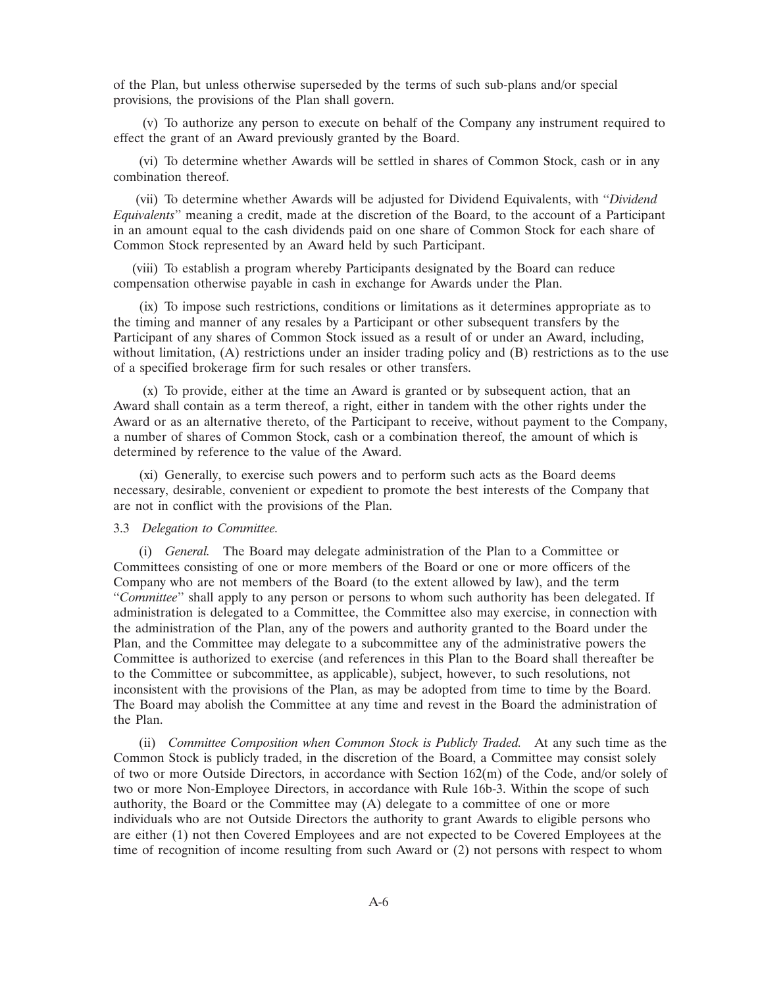of the Plan, but unless otherwise superseded by the terms of such sub-plans and/or special provisions, the provisions of the Plan shall govern.

(v) To authorize any person to execute on behalf of the Company any instrument required to effect the grant of an Award previously granted by the Board.

(vi) To determine whether Awards will be settled in shares of Common Stock, cash or in any combination thereof.

(vii) To determine whether Awards will be adjusted for Dividend Equivalents, with ''*Dividend Equivalents*'' meaning a credit, made at the discretion of the Board, to the account of a Participant in an amount equal to the cash dividends paid on one share of Common Stock for each share of Common Stock represented by an Award held by such Participant.

(viii) To establish a program whereby Participants designated by the Board can reduce compensation otherwise payable in cash in exchange for Awards under the Plan.

(ix) To impose such restrictions, conditions or limitations as it determines appropriate as to the timing and manner of any resales by a Participant or other subsequent transfers by the Participant of any shares of Common Stock issued as a result of or under an Award, including, without limitation, (A) restrictions under an insider trading policy and (B) restrictions as to the use of a specified brokerage firm for such resales or other transfers.

(x) To provide, either at the time an Award is granted or by subsequent action, that an Award shall contain as a term thereof, a right, either in tandem with the other rights under the Award or as an alternative thereto, of the Participant to receive, without payment to the Company, a number of shares of Common Stock, cash or a combination thereof, the amount of which is determined by reference to the value of the Award.

(xi) Generally, to exercise such powers and to perform such acts as the Board deems necessary, desirable, convenient or expedient to promote the best interests of the Company that are not in conflict with the provisions of the Plan.

# 3.3 *Delegation to Committee.*

(i) *General.* The Board may delegate administration of the Plan to a Committee or Committees consisting of one or more members of the Board or one or more officers of the Company who are not members of the Board (to the extent allowed by law), and the term ''*Committee*'' shall apply to any person or persons to whom such authority has been delegated. If administration is delegated to a Committee, the Committee also may exercise, in connection with the administration of the Plan, any of the powers and authority granted to the Board under the Plan, and the Committee may delegate to a subcommittee any of the administrative powers the Committee is authorized to exercise (and references in this Plan to the Board shall thereafter be to the Committee or subcommittee, as applicable), subject, however, to such resolutions, not inconsistent with the provisions of the Plan, as may be adopted from time to time by the Board. The Board may abolish the Committee at any time and revest in the Board the administration of the Plan.

(ii) *Committee Composition when Common Stock is Publicly Traded.* At any such time as the Common Stock is publicly traded, in the discretion of the Board, a Committee may consist solely of two or more Outside Directors, in accordance with Section 162(m) of the Code, and/or solely of two or more Non-Employee Directors, in accordance with Rule 16b-3. Within the scope of such authority, the Board or the Committee may (A) delegate to a committee of one or more individuals who are not Outside Directors the authority to grant Awards to eligible persons who are either (1) not then Covered Employees and are not expected to be Covered Employees at the time of recognition of income resulting from such Award or (2) not persons with respect to whom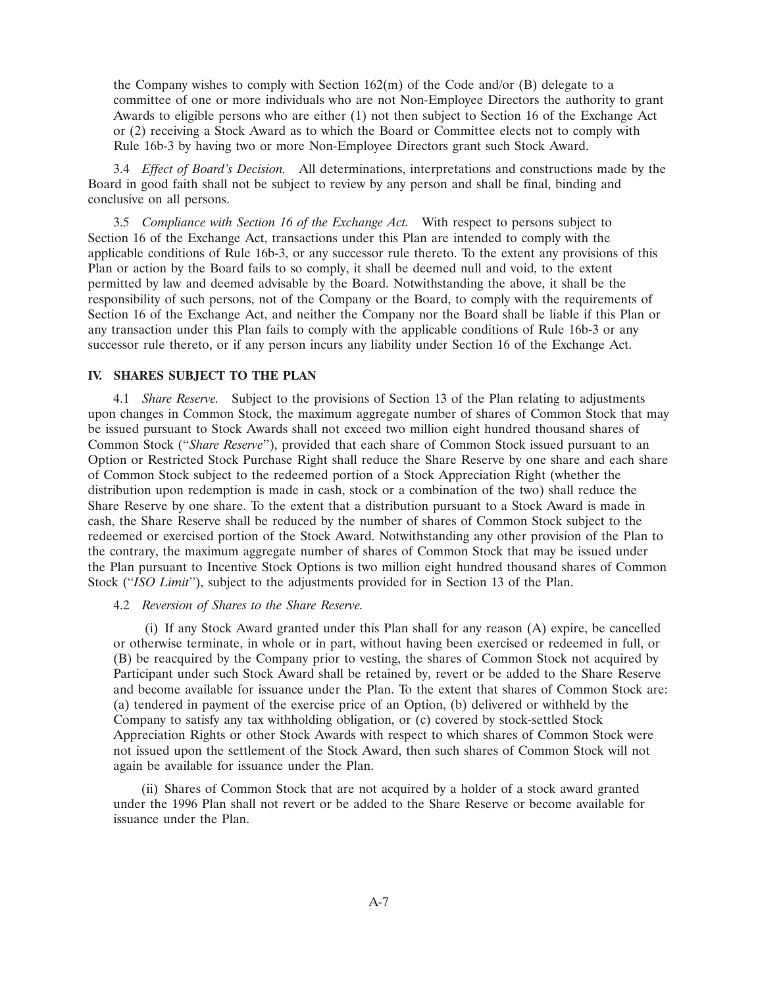the Company wishes to comply with Section  $162(m)$  of the Code and/or (B) delegate to a committee of one or more individuals who are not Non-Employee Directors the authority to grant Awards to eligible persons who are either (1) not then subject to Section 16 of the Exchange Act or (2) receiving a Stock Award as to which the Board or Committee elects not to comply with Rule 16b-3 by having two or more Non-Employee Directors grant such Stock Award.

3.4 *Effect of Board's Decision.* All determinations, interpretations and constructions made by the Board in good faith shall not be subject to review by any person and shall be final, binding and conclusive on all persons.

3.5 *Compliance with Section 16 of the Exchange Act.* With respect to persons subject to Section 16 of the Exchange Act, transactions under this Plan are intended to comply with the applicable conditions of Rule 16b-3, or any successor rule thereto. To the extent any provisions of this Plan or action by the Board fails to so comply, it shall be deemed null and void, to the extent permitted by law and deemed advisable by the Board. Notwithstanding the above, it shall be the responsibility of such persons, not of the Company or the Board, to comply with the requirements of Section 16 of the Exchange Act, and neither the Company nor the Board shall be liable if this Plan or any transaction under this Plan fails to comply with the applicable conditions of Rule 16b-3 or any successor rule thereto, or if any person incurs any liability under Section 16 of the Exchange Act.

#### **IV. SHARES SUBJECT TO THE PLAN**

4.1 *Share Reserve.* Subject to the provisions of Section 13 of the Plan relating to adjustments upon changes in Common Stock, the maximum aggregate number of shares of Common Stock that may be issued pursuant to Stock Awards shall not exceed two million eight hundred thousand shares of Common Stock (''*Share Reserve*''), provided that each share of Common Stock issued pursuant to an Option or Restricted Stock Purchase Right shall reduce the Share Reserve by one share and each share of Common Stock subject to the redeemed portion of a Stock Appreciation Right (whether the distribution upon redemption is made in cash, stock or a combination of the two) shall reduce the Share Reserve by one share. To the extent that a distribution pursuant to a Stock Award is made in cash, the Share Reserve shall be reduced by the number of shares of Common Stock subject to the redeemed or exercised portion of the Stock Award. Notwithstanding any other provision of the Plan to the contrary, the maximum aggregate number of shares of Common Stock that may be issued under the Plan pursuant to Incentive Stock Options is two million eight hundred thousand shares of Common Stock (''*ISO Limit*''), subject to the adjustments provided for in Section 13 of the Plan.

#### 4.2 *Reversion of Shares to the Share Reserve.*

(i) If any Stock Award granted under this Plan shall for any reason (A) expire, be cancelled or otherwise terminate, in whole or in part, without having been exercised or redeemed in full, or (B) be reacquired by the Company prior to vesting, the shares of Common Stock not acquired by Participant under such Stock Award shall be retained by, revert or be added to the Share Reserve and become available for issuance under the Plan. To the extent that shares of Common Stock are: (a) tendered in payment of the exercise price of an Option, (b) delivered or withheld by the Company to satisfy any tax withholding obligation, or (c) covered by stock-settled Stock Appreciation Rights or other Stock Awards with respect to which shares of Common Stock were not issued upon the settlement of the Stock Award, then such shares of Common Stock will not again be available for issuance under the Plan.

(ii) Shares of Common Stock that are not acquired by a holder of a stock award granted under the 1996 Plan shall not revert or be added to the Share Reserve or become available for issuance under the Plan.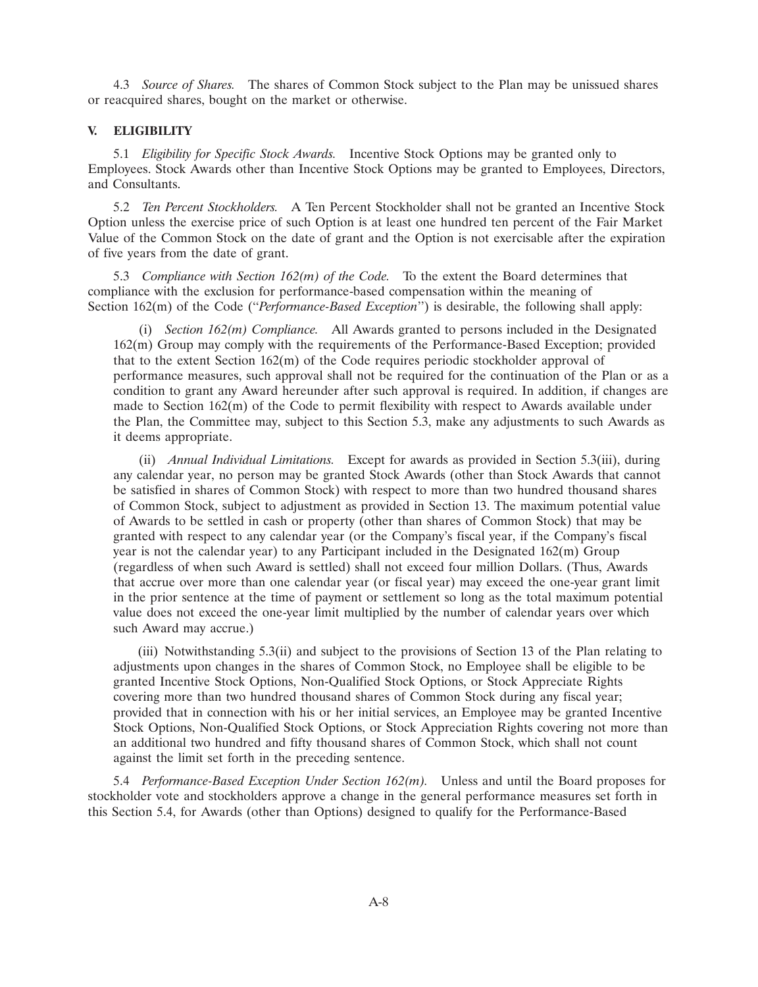4.3 *Source of Shares.* The shares of Common Stock subject to the Plan may be unissued shares or reacquired shares, bought on the market or otherwise.

## **V. ELIGIBILITY**

5.1 *Eligibility for Specific Stock Awards.* Incentive Stock Options may be granted only to Employees. Stock Awards other than Incentive Stock Options may be granted to Employees, Directors, and Consultants.

5.2 *Ten Percent Stockholders.* A Ten Percent Stockholder shall not be granted an Incentive Stock Option unless the exercise price of such Option is at least one hundred ten percent of the Fair Market Value of the Common Stock on the date of grant and the Option is not exercisable after the expiration of five years from the date of grant.

5.3 *Compliance with Section 162(m) of the Code.* To the extent the Board determines that compliance with the exclusion for performance-based compensation within the meaning of Section 162(m) of the Code ("*Performance-Based Exception*") is desirable, the following shall apply:

(i) *Section 162(m) Compliance.* All Awards granted to persons included in the Designated 162(m) Group may comply with the requirements of the Performance-Based Exception; provided that to the extent Section 162(m) of the Code requires periodic stockholder approval of performance measures, such approval shall not be required for the continuation of the Plan or as a condition to grant any Award hereunder after such approval is required. In addition, if changes are made to Section 162(m) of the Code to permit flexibility with respect to Awards available under the Plan, the Committee may, subject to this Section 5.3, make any adjustments to such Awards as it deems appropriate.

(ii) *Annual Individual Limitations.* Except for awards as provided in Section 5.3(iii), during any calendar year, no person may be granted Stock Awards (other than Stock Awards that cannot be satisfied in shares of Common Stock) with respect to more than two hundred thousand shares of Common Stock, subject to adjustment as provided in Section 13. The maximum potential value of Awards to be settled in cash or property (other than shares of Common Stock) that may be granted with respect to any calendar year (or the Company's fiscal year, if the Company's fiscal year is not the calendar year) to any Participant included in the Designated 162(m) Group (regardless of when such Award is settled) shall not exceed four million Dollars. (Thus, Awards that accrue over more than one calendar year (or fiscal year) may exceed the one-year grant limit in the prior sentence at the time of payment or settlement so long as the total maximum potential value does not exceed the one-year limit multiplied by the number of calendar years over which such Award may accrue.)

(iii) Notwithstanding 5.3(ii) and subject to the provisions of Section 13 of the Plan relating to adjustments upon changes in the shares of Common Stock, no Employee shall be eligible to be granted Incentive Stock Options, Non-Qualified Stock Options, or Stock Appreciate Rights covering more than two hundred thousand shares of Common Stock during any fiscal year; provided that in connection with his or her initial services, an Employee may be granted Incentive Stock Options, Non-Qualified Stock Options, or Stock Appreciation Rights covering not more than an additional two hundred and fifty thousand shares of Common Stock, which shall not count against the limit set forth in the preceding sentence.

5.4 *Performance-Based Exception Under Section 162(m).* Unless and until the Board proposes for stockholder vote and stockholders approve a change in the general performance measures set forth in this Section 5.4, for Awards (other than Options) designed to qualify for the Performance-Based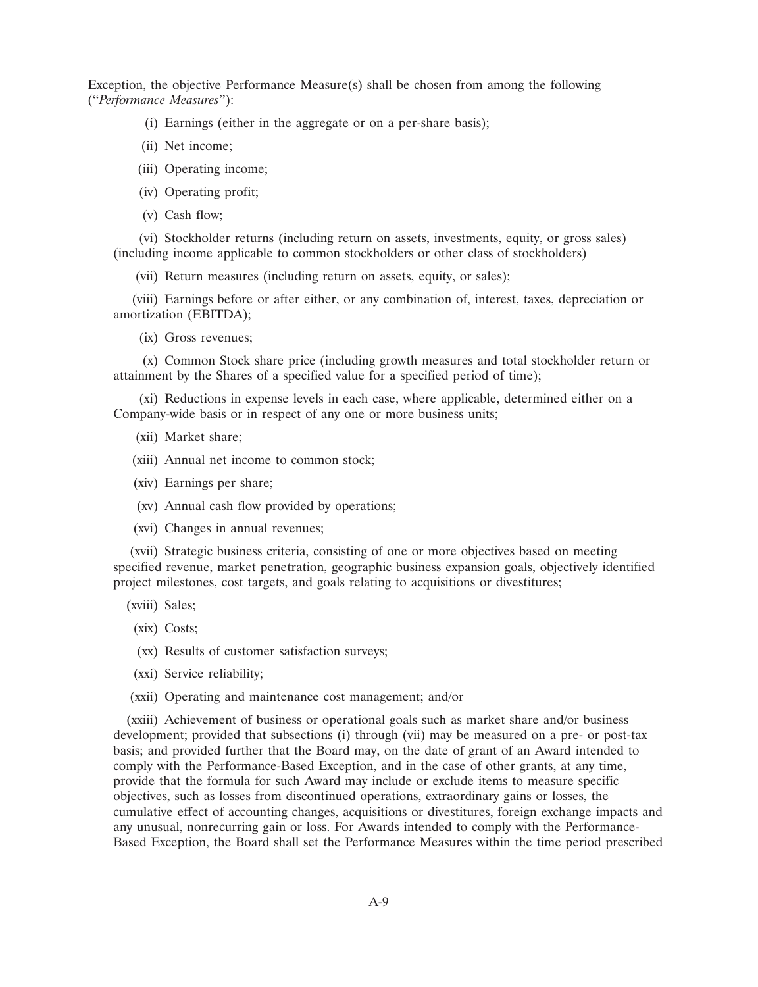Exception, the objective Performance Measure(s) shall be chosen from among the following (''*Performance Measures*''):

- (i) Earnings (either in the aggregate or on a per-share basis);
- (ii) Net income;
- (iii) Operating income;
- (iv) Operating profit;
- (v) Cash flow;

(vi) Stockholder returns (including return on assets, investments, equity, or gross sales) (including income applicable to common stockholders or other class of stockholders)

(vii) Return measures (including return on assets, equity, or sales);

(viii) Earnings before or after either, or any combination of, interest, taxes, depreciation or amortization (EBITDA);

(ix) Gross revenues;

(x) Common Stock share price (including growth measures and total stockholder return or attainment by the Shares of a specified value for a specified period of time);

(xi) Reductions in expense levels in each case, where applicable, determined either on a Company-wide basis or in respect of any one or more business units;

- (xii) Market share;
- (xiii) Annual net income to common stock;
- (xiv) Earnings per share;
- (xv) Annual cash flow provided by operations;
- (xvi) Changes in annual revenues;

(xvii) Strategic business criteria, consisting of one or more objectives based on meeting specified revenue, market penetration, geographic business expansion goals, objectively identified project milestones, cost targets, and goals relating to acquisitions or divestitures;

- (xviii) Sales;
- (xix) Costs;
- (xx) Results of customer satisfaction surveys;
- (xxi) Service reliability;
- (xxii) Operating and maintenance cost management; and/or

(xxiii) Achievement of business or operational goals such as market share and/or business development; provided that subsections (i) through (vii) may be measured on a pre- or post-tax basis; and provided further that the Board may, on the date of grant of an Award intended to comply with the Performance-Based Exception, and in the case of other grants, at any time, provide that the formula for such Award may include or exclude items to measure specific objectives, such as losses from discontinued operations, extraordinary gains or losses, the cumulative effect of accounting changes, acquisitions or divestitures, foreign exchange impacts and any unusual, nonrecurring gain or loss. For Awards intended to comply with the Performance-Based Exception, the Board shall set the Performance Measures within the time period prescribed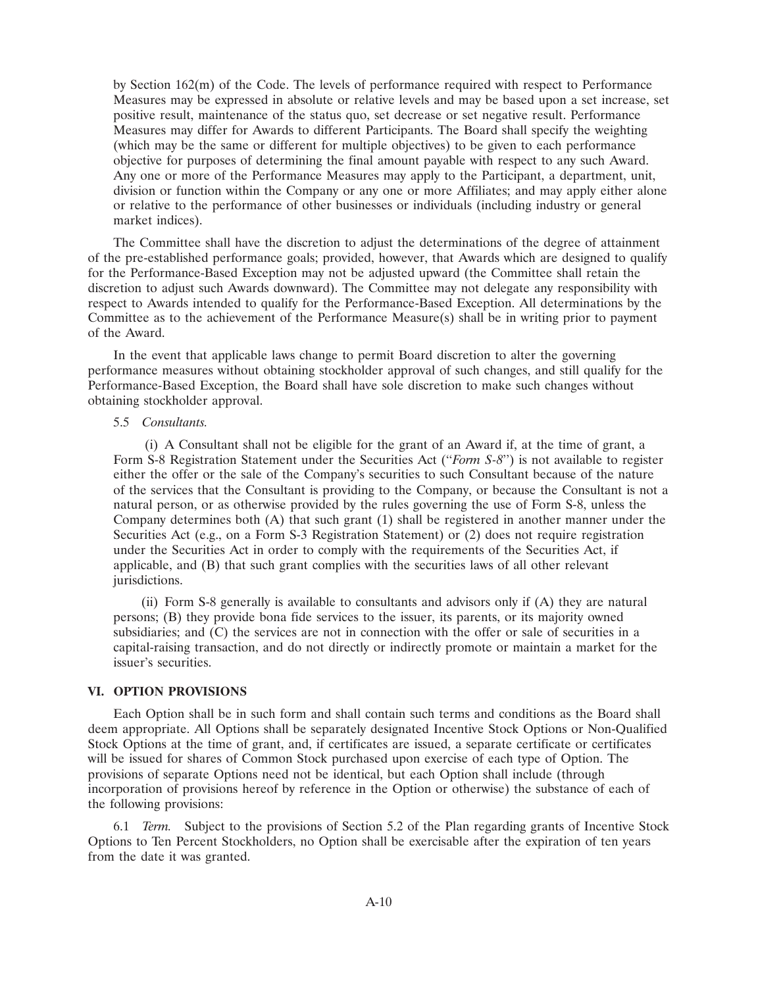by Section 162(m) of the Code. The levels of performance required with respect to Performance Measures may be expressed in absolute or relative levels and may be based upon a set increase, set positive result, maintenance of the status quo, set decrease or set negative result. Performance Measures may differ for Awards to different Participants. The Board shall specify the weighting (which may be the same or different for multiple objectives) to be given to each performance objective for purposes of determining the final amount payable with respect to any such Award. Any one or more of the Performance Measures may apply to the Participant, a department, unit, division or function within the Company or any one or more Affiliates; and may apply either alone or relative to the performance of other businesses or individuals (including industry or general market indices).

The Committee shall have the discretion to adjust the determinations of the degree of attainment of the pre-established performance goals; provided, however, that Awards which are designed to qualify for the Performance-Based Exception may not be adjusted upward (the Committee shall retain the discretion to adjust such Awards downward). The Committee may not delegate any responsibility with respect to Awards intended to qualify for the Performance-Based Exception. All determinations by the Committee as to the achievement of the Performance Measure(s) shall be in writing prior to payment of the Award.

In the event that applicable laws change to permit Board discretion to alter the governing performance measures without obtaining stockholder approval of such changes, and still qualify for the Performance-Based Exception, the Board shall have sole discretion to make such changes without obtaining stockholder approval.

#### 5.5 *Consultants.*

(i) A Consultant shall not be eligible for the grant of an Award if, at the time of grant, a Form S-8 Registration Statement under the Securities Act (''*Form S-8*'') is not available to register either the offer or the sale of the Company's securities to such Consultant because of the nature of the services that the Consultant is providing to the Company, or because the Consultant is not a natural person, or as otherwise provided by the rules governing the use of Form S-8, unless the Company determines both (A) that such grant (1) shall be registered in another manner under the Securities Act (e.g., on a Form S-3 Registration Statement) or (2) does not require registration under the Securities Act in order to comply with the requirements of the Securities Act, if applicable, and (B) that such grant complies with the securities laws of all other relevant jurisdictions.

(ii) Form S-8 generally is available to consultants and advisors only if (A) they are natural persons; (B) they provide bona fide services to the issuer, its parents, or its majority owned subsidiaries; and  $(C)$  the services are not in connection with the offer or sale of securities in a capital-raising transaction, and do not directly or indirectly promote or maintain a market for the issuer's securities.

# **VI. OPTION PROVISIONS**

Each Option shall be in such form and shall contain such terms and conditions as the Board shall deem appropriate. All Options shall be separately designated Incentive Stock Options or Non-Qualified Stock Options at the time of grant, and, if certificates are issued, a separate certificate or certificates will be issued for shares of Common Stock purchased upon exercise of each type of Option. The provisions of separate Options need not be identical, but each Option shall include (through incorporation of provisions hereof by reference in the Option or otherwise) the substance of each of the following provisions:

6.1 *Term.* Subject to the provisions of Section 5.2 of the Plan regarding grants of Incentive Stock Options to Ten Percent Stockholders, no Option shall be exercisable after the expiration of ten years from the date it was granted.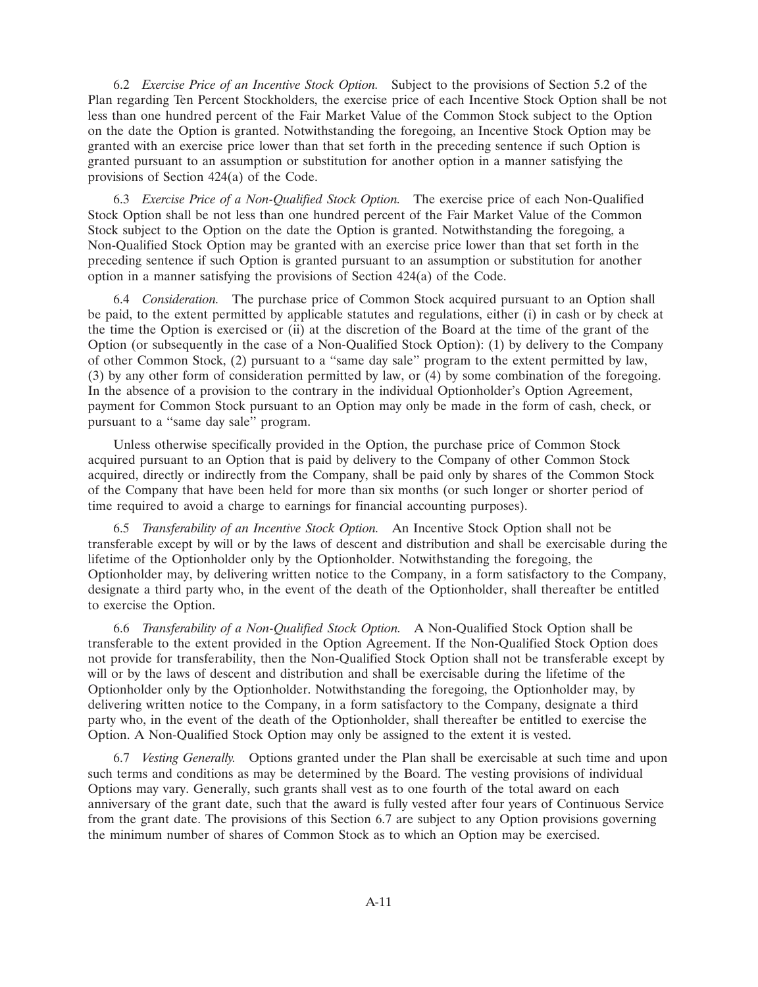6.2 *Exercise Price of an Incentive Stock Option.* Subject to the provisions of Section 5.2 of the Plan regarding Ten Percent Stockholders, the exercise price of each Incentive Stock Option shall be not less than one hundred percent of the Fair Market Value of the Common Stock subject to the Option on the date the Option is granted. Notwithstanding the foregoing, an Incentive Stock Option may be granted with an exercise price lower than that set forth in the preceding sentence if such Option is granted pursuant to an assumption or substitution for another option in a manner satisfying the provisions of Section 424(a) of the Code.

6.3 *Exercise Price of a Non-Qualified Stock Option.* The exercise price of each Non-Qualified Stock Option shall be not less than one hundred percent of the Fair Market Value of the Common Stock subject to the Option on the date the Option is granted. Notwithstanding the foregoing, a Non-Qualified Stock Option may be granted with an exercise price lower than that set forth in the preceding sentence if such Option is granted pursuant to an assumption or substitution for another option in a manner satisfying the provisions of Section 424(a) of the Code.

6.4 *Consideration.* The purchase price of Common Stock acquired pursuant to an Option shall be paid, to the extent permitted by applicable statutes and regulations, either (i) in cash or by check at the time the Option is exercised or (ii) at the discretion of the Board at the time of the grant of the Option (or subsequently in the case of a Non-Qualified Stock Option): (1) by delivery to the Company of other Common Stock, (2) pursuant to a ''same day sale'' program to the extent permitted by law, (3) by any other form of consideration permitted by law, or (4) by some combination of the foregoing. In the absence of a provision to the contrary in the individual Optionholder's Option Agreement, payment for Common Stock pursuant to an Option may only be made in the form of cash, check, or pursuant to a ''same day sale'' program.

Unless otherwise specifically provided in the Option, the purchase price of Common Stock acquired pursuant to an Option that is paid by delivery to the Company of other Common Stock acquired, directly or indirectly from the Company, shall be paid only by shares of the Common Stock of the Company that have been held for more than six months (or such longer or shorter period of time required to avoid a charge to earnings for financial accounting purposes).

6.5 *Transferability of an Incentive Stock Option.* An Incentive Stock Option shall not be transferable except by will or by the laws of descent and distribution and shall be exercisable during the lifetime of the Optionholder only by the Optionholder. Notwithstanding the foregoing, the Optionholder may, by delivering written notice to the Company, in a form satisfactory to the Company, designate a third party who, in the event of the death of the Optionholder, shall thereafter be entitled to exercise the Option.

6.6 *Transferability of a Non-Qualified Stock Option.* A Non-Qualified Stock Option shall be transferable to the extent provided in the Option Agreement. If the Non-Qualified Stock Option does not provide for transferability, then the Non-Qualified Stock Option shall not be transferable except by will or by the laws of descent and distribution and shall be exercisable during the lifetime of the Optionholder only by the Optionholder. Notwithstanding the foregoing, the Optionholder may, by delivering written notice to the Company, in a form satisfactory to the Company, designate a third party who, in the event of the death of the Optionholder, shall thereafter be entitled to exercise the Option. A Non-Qualified Stock Option may only be assigned to the extent it is vested.

6.7 *Vesting Generally.* Options granted under the Plan shall be exercisable at such time and upon such terms and conditions as may be determined by the Board. The vesting provisions of individual Options may vary. Generally, such grants shall vest as to one fourth of the total award on each anniversary of the grant date, such that the award is fully vested after four years of Continuous Service from the grant date. The provisions of this Section 6.7 are subject to any Option provisions governing the minimum number of shares of Common Stock as to which an Option may be exercised.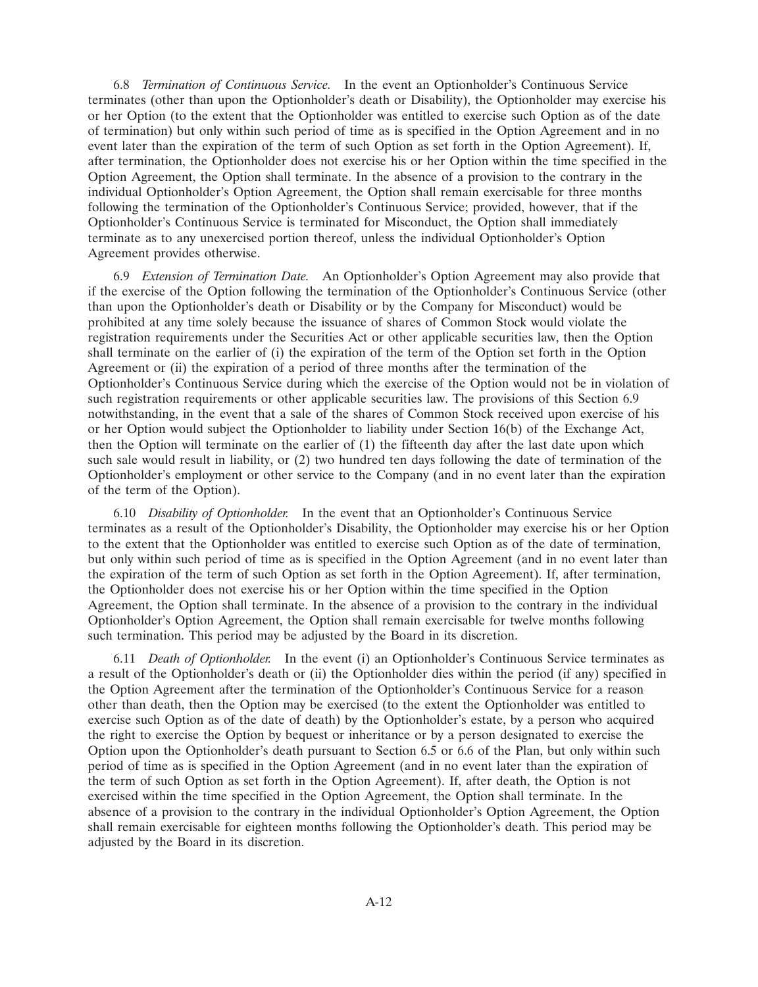6.8 *Termination of Continuous Service.* In the event an Optionholder's Continuous Service terminates (other than upon the Optionholder's death or Disability), the Optionholder may exercise his or her Option (to the extent that the Optionholder was entitled to exercise such Option as of the date of termination) but only within such period of time as is specified in the Option Agreement and in no event later than the expiration of the term of such Option as set forth in the Option Agreement). If, after termination, the Optionholder does not exercise his or her Option within the time specified in the Option Agreement, the Option shall terminate. In the absence of a provision to the contrary in the individual Optionholder's Option Agreement, the Option shall remain exercisable for three months following the termination of the Optionholder's Continuous Service; provided, however, that if the Optionholder's Continuous Service is terminated for Misconduct, the Option shall immediately terminate as to any unexercised portion thereof, unless the individual Optionholder's Option Agreement provides otherwise.

6.9 *Extension of Termination Date.* An Optionholder's Option Agreement may also provide that if the exercise of the Option following the termination of the Optionholder's Continuous Service (other than upon the Optionholder's death or Disability or by the Company for Misconduct) would be prohibited at any time solely because the issuance of shares of Common Stock would violate the registration requirements under the Securities Act or other applicable securities law, then the Option shall terminate on the earlier of (i) the expiration of the term of the Option set forth in the Option Agreement or (ii) the expiration of a period of three months after the termination of the Optionholder's Continuous Service during which the exercise of the Option would not be in violation of such registration requirements or other applicable securities law. The provisions of this Section 6.9 notwithstanding, in the event that a sale of the shares of Common Stock received upon exercise of his or her Option would subject the Optionholder to liability under Section 16(b) of the Exchange Act, then the Option will terminate on the earlier of (1) the fifteenth day after the last date upon which such sale would result in liability, or (2) two hundred ten days following the date of termination of the Optionholder's employment or other service to the Company (and in no event later than the expiration of the term of the Option).

6.10 *Disability of Optionholder.* In the event that an Optionholder's Continuous Service terminates as a result of the Optionholder's Disability, the Optionholder may exercise his or her Option to the extent that the Optionholder was entitled to exercise such Option as of the date of termination, but only within such period of time as is specified in the Option Agreement (and in no event later than the expiration of the term of such Option as set forth in the Option Agreement). If, after termination, the Optionholder does not exercise his or her Option within the time specified in the Option Agreement, the Option shall terminate. In the absence of a provision to the contrary in the individual Optionholder's Option Agreement, the Option shall remain exercisable for twelve months following such termination. This period may be adjusted by the Board in its discretion.

6.11 *Death of Optionholder.* In the event (i) an Optionholder's Continuous Service terminates as a result of the Optionholder's death or (ii) the Optionholder dies within the period (if any) specified in the Option Agreement after the termination of the Optionholder's Continuous Service for a reason other than death, then the Option may be exercised (to the extent the Optionholder was entitled to exercise such Option as of the date of death) by the Optionholder's estate, by a person who acquired the right to exercise the Option by bequest or inheritance or by a person designated to exercise the Option upon the Optionholder's death pursuant to Section 6.5 or 6.6 of the Plan, but only within such period of time as is specified in the Option Agreement (and in no event later than the expiration of the term of such Option as set forth in the Option Agreement). If, after death, the Option is not exercised within the time specified in the Option Agreement, the Option shall terminate. In the absence of a provision to the contrary in the individual Optionholder's Option Agreement, the Option shall remain exercisable for eighteen months following the Optionholder's death. This period may be adjusted by the Board in its discretion.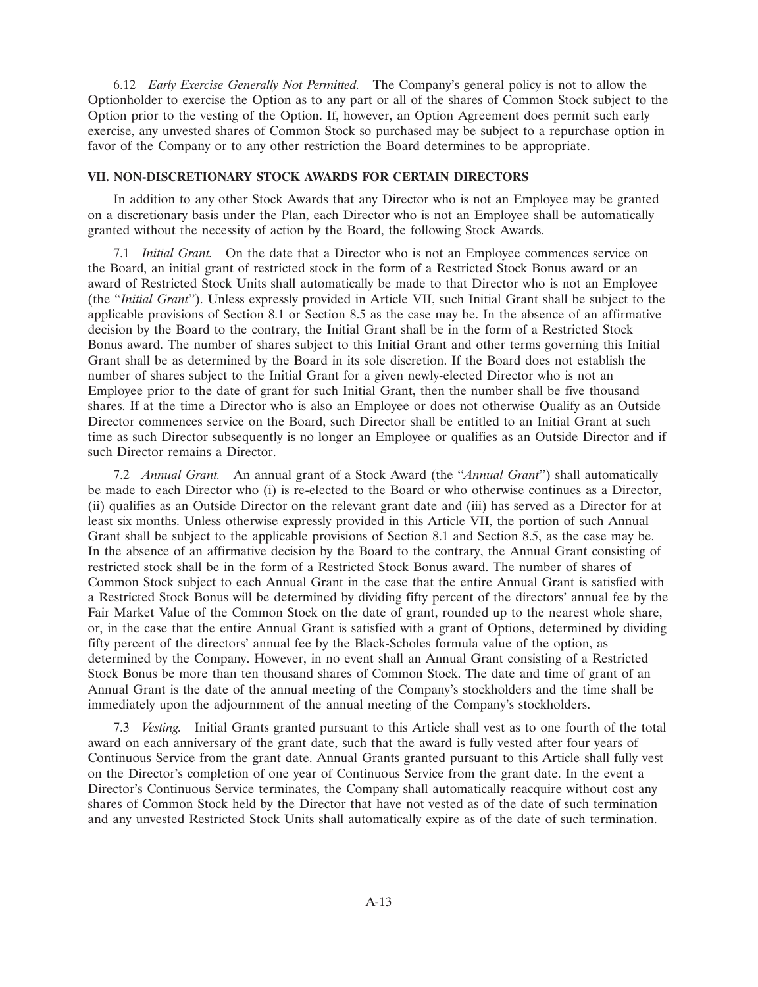6.12 *Early Exercise Generally Not Permitted.* The Company's general policy is not to allow the Optionholder to exercise the Option as to any part or all of the shares of Common Stock subject to the Option prior to the vesting of the Option. If, however, an Option Agreement does permit such early exercise, any unvested shares of Common Stock so purchased may be subject to a repurchase option in favor of the Company or to any other restriction the Board determines to be appropriate.

# **VII. NON-DISCRETIONARY STOCK AWARDS FOR CERTAIN DIRECTORS**

In addition to any other Stock Awards that any Director who is not an Employee may be granted on a discretionary basis under the Plan, each Director who is not an Employee shall be automatically granted without the necessity of action by the Board, the following Stock Awards.

7.1 *Initial Grant.* On the date that a Director who is not an Employee commences service on the Board, an initial grant of restricted stock in the form of a Restricted Stock Bonus award or an award of Restricted Stock Units shall automatically be made to that Director who is not an Employee (the ''*Initial Grant*''). Unless expressly provided in Article VII, such Initial Grant shall be subject to the applicable provisions of Section 8.1 or Section 8.5 as the case may be. In the absence of an affirmative decision by the Board to the contrary, the Initial Grant shall be in the form of a Restricted Stock Bonus award. The number of shares subject to this Initial Grant and other terms governing this Initial Grant shall be as determined by the Board in its sole discretion. If the Board does not establish the number of shares subject to the Initial Grant for a given newly-elected Director who is not an Employee prior to the date of grant for such Initial Grant, then the number shall be five thousand shares. If at the time a Director who is also an Employee or does not otherwise Qualify as an Outside Director commences service on the Board, such Director shall be entitled to an Initial Grant at such time as such Director subsequently is no longer an Employee or qualifies as an Outside Director and if such Director remains a Director.

7.2 *Annual Grant.* An annual grant of a Stock Award (the ''*Annual Grant*'') shall automatically be made to each Director who (i) is re-elected to the Board or who otherwise continues as a Director, (ii) qualifies as an Outside Director on the relevant grant date and (iii) has served as a Director for at least six months. Unless otherwise expressly provided in this Article VII, the portion of such Annual Grant shall be subject to the applicable provisions of Section 8.1 and Section 8.5, as the case may be. In the absence of an affirmative decision by the Board to the contrary, the Annual Grant consisting of restricted stock shall be in the form of a Restricted Stock Bonus award. The number of shares of Common Stock subject to each Annual Grant in the case that the entire Annual Grant is satisfied with a Restricted Stock Bonus will be determined by dividing fifty percent of the directors' annual fee by the Fair Market Value of the Common Stock on the date of grant, rounded up to the nearest whole share, or, in the case that the entire Annual Grant is satisfied with a grant of Options, determined by dividing fifty percent of the directors' annual fee by the Black-Scholes formula value of the option, as determined by the Company. However, in no event shall an Annual Grant consisting of a Restricted Stock Bonus be more than ten thousand shares of Common Stock. The date and time of grant of an Annual Grant is the date of the annual meeting of the Company's stockholders and the time shall be immediately upon the adjournment of the annual meeting of the Company's stockholders.

7.3 *Vesting.* Initial Grants granted pursuant to this Article shall vest as to one fourth of the total award on each anniversary of the grant date, such that the award is fully vested after four years of Continuous Service from the grant date. Annual Grants granted pursuant to this Article shall fully vest on the Director's completion of one year of Continuous Service from the grant date. In the event a Director's Continuous Service terminates, the Company shall automatically reacquire without cost any shares of Common Stock held by the Director that have not vested as of the date of such termination and any unvested Restricted Stock Units shall automatically expire as of the date of such termination.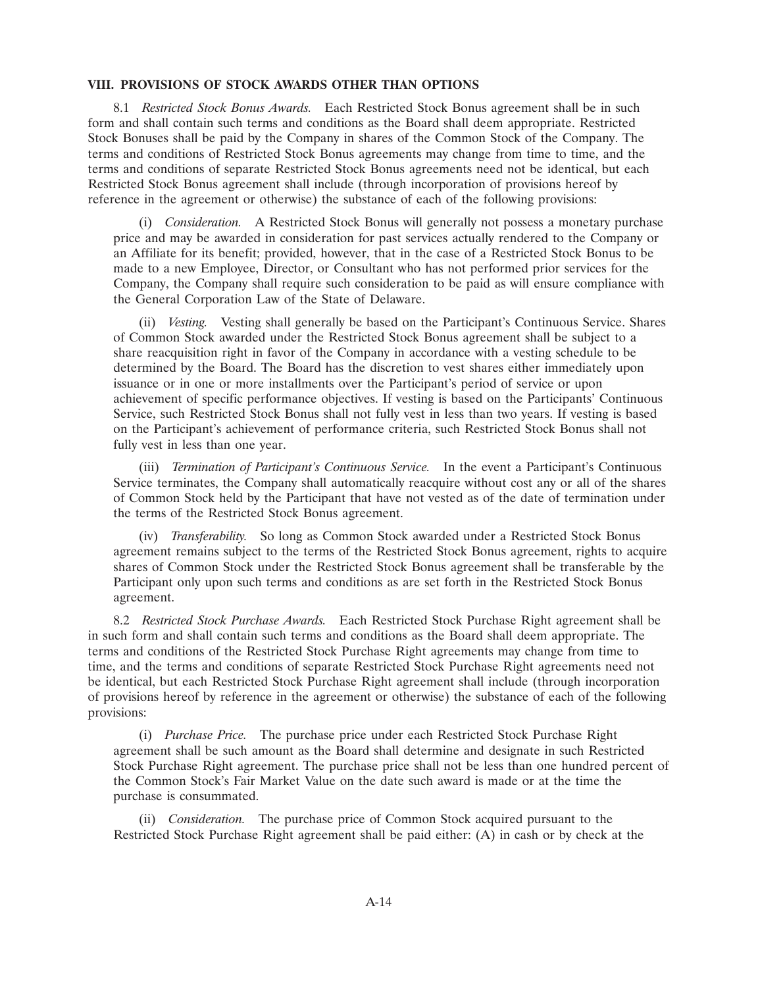# **VIII. PROVISIONS OF STOCK AWARDS OTHER THAN OPTIONS**

8.1 *Restricted Stock Bonus Awards.* Each Restricted Stock Bonus agreement shall be in such form and shall contain such terms and conditions as the Board shall deem appropriate. Restricted Stock Bonuses shall be paid by the Company in shares of the Common Stock of the Company. The terms and conditions of Restricted Stock Bonus agreements may change from time to time, and the terms and conditions of separate Restricted Stock Bonus agreements need not be identical, but each Restricted Stock Bonus agreement shall include (through incorporation of provisions hereof by reference in the agreement or otherwise) the substance of each of the following provisions:

(i) *Consideration.* A Restricted Stock Bonus will generally not possess a monetary purchase price and may be awarded in consideration for past services actually rendered to the Company or an Affiliate for its benefit; provided, however, that in the case of a Restricted Stock Bonus to be made to a new Employee, Director, or Consultant who has not performed prior services for the Company, the Company shall require such consideration to be paid as will ensure compliance with the General Corporation Law of the State of Delaware.

(ii) *Vesting.* Vesting shall generally be based on the Participant's Continuous Service. Shares of Common Stock awarded under the Restricted Stock Bonus agreement shall be subject to a share reacquisition right in favor of the Company in accordance with a vesting schedule to be determined by the Board. The Board has the discretion to vest shares either immediately upon issuance or in one or more installments over the Participant's period of service or upon achievement of specific performance objectives. If vesting is based on the Participants' Continuous Service, such Restricted Stock Bonus shall not fully vest in less than two years. If vesting is based on the Participant's achievement of performance criteria, such Restricted Stock Bonus shall not fully vest in less than one year.

(iii) *Termination of Participant's Continuous Service.* In the event a Participant's Continuous Service terminates, the Company shall automatically reacquire without cost any or all of the shares of Common Stock held by the Participant that have not vested as of the date of termination under the terms of the Restricted Stock Bonus agreement.

(iv) *Transferability.* So long as Common Stock awarded under a Restricted Stock Bonus agreement remains subject to the terms of the Restricted Stock Bonus agreement, rights to acquire shares of Common Stock under the Restricted Stock Bonus agreement shall be transferable by the Participant only upon such terms and conditions as are set forth in the Restricted Stock Bonus agreement.

8.2 *Restricted Stock Purchase Awards.* Each Restricted Stock Purchase Right agreement shall be in such form and shall contain such terms and conditions as the Board shall deem appropriate. The terms and conditions of the Restricted Stock Purchase Right agreements may change from time to time, and the terms and conditions of separate Restricted Stock Purchase Right agreements need not be identical, but each Restricted Stock Purchase Right agreement shall include (through incorporation of provisions hereof by reference in the agreement or otherwise) the substance of each of the following provisions:

(i) *Purchase Price.* The purchase price under each Restricted Stock Purchase Right agreement shall be such amount as the Board shall determine and designate in such Restricted Stock Purchase Right agreement. The purchase price shall not be less than one hundred percent of the Common Stock's Fair Market Value on the date such award is made or at the time the purchase is consummated.

(ii) *Consideration.* The purchase price of Common Stock acquired pursuant to the Restricted Stock Purchase Right agreement shall be paid either: (A) in cash or by check at the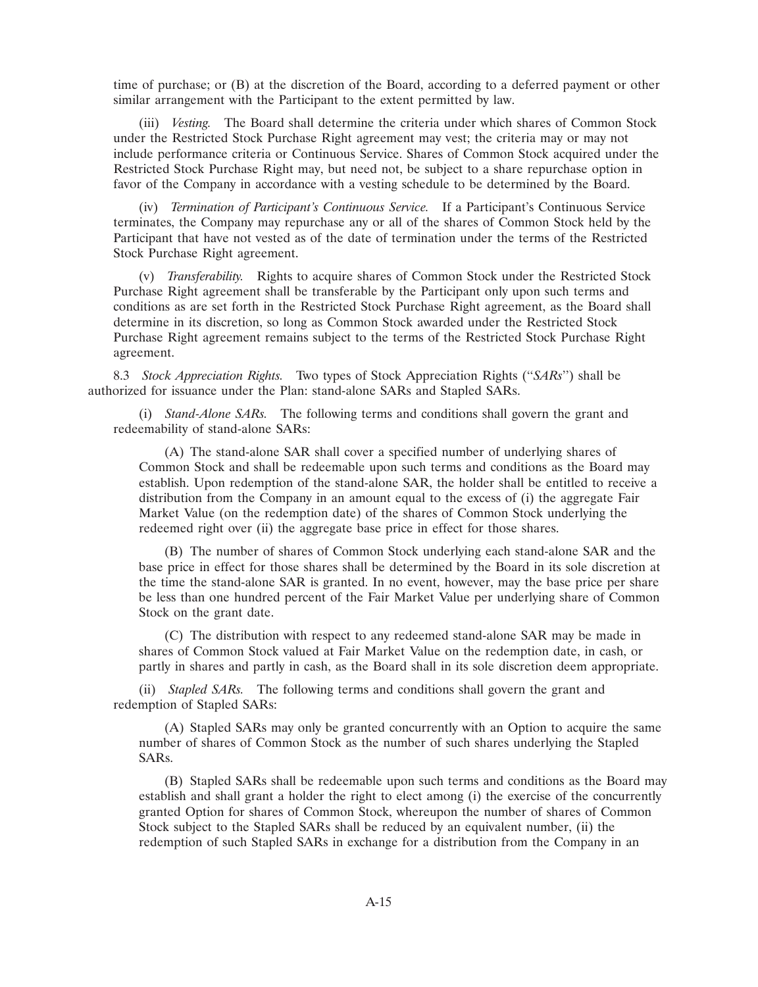time of purchase; or (B) at the discretion of the Board, according to a deferred payment or other similar arrangement with the Participant to the extent permitted by law.

(iii) *Vesting.* The Board shall determine the criteria under which shares of Common Stock under the Restricted Stock Purchase Right agreement may vest; the criteria may or may not include performance criteria or Continuous Service. Shares of Common Stock acquired under the Restricted Stock Purchase Right may, but need not, be subject to a share repurchase option in favor of the Company in accordance with a vesting schedule to be determined by the Board.

(iv) *Termination of Participant's Continuous Service.* If a Participant's Continuous Service terminates, the Company may repurchase any or all of the shares of Common Stock held by the Participant that have not vested as of the date of termination under the terms of the Restricted Stock Purchase Right agreement.

(v) *Transferability.* Rights to acquire shares of Common Stock under the Restricted Stock Purchase Right agreement shall be transferable by the Participant only upon such terms and conditions as are set forth in the Restricted Stock Purchase Right agreement, as the Board shall determine in its discretion, so long as Common Stock awarded under the Restricted Stock Purchase Right agreement remains subject to the terms of the Restricted Stock Purchase Right agreement.

8.3 *Stock Appreciation Rights.* Two types of Stock Appreciation Rights (''*SARs*'') shall be authorized for issuance under the Plan: stand-alone SARs and Stapled SARs.

(i) *Stand-Alone SARs.* The following terms and conditions shall govern the grant and redeemability of stand-alone SARs:

(A) The stand-alone SAR shall cover a specified number of underlying shares of Common Stock and shall be redeemable upon such terms and conditions as the Board may establish. Upon redemption of the stand-alone SAR, the holder shall be entitled to receive a distribution from the Company in an amount equal to the excess of (i) the aggregate Fair Market Value (on the redemption date) of the shares of Common Stock underlying the redeemed right over (ii) the aggregate base price in effect for those shares.

(B) The number of shares of Common Stock underlying each stand-alone SAR and the base price in effect for those shares shall be determined by the Board in its sole discretion at the time the stand-alone SAR is granted. In no event, however, may the base price per share be less than one hundred percent of the Fair Market Value per underlying share of Common Stock on the grant date.

(C) The distribution with respect to any redeemed stand-alone SAR may be made in shares of Common Stock valued at Fair Market Value on the redemption date, in cash, or partly in shares and partly in cash, as the Board shall in its sole discretion deem appropriate.

(ii) *Stapled SARs.* The following terms and conditions shall govern the grant and redemption of Stapled SARs:

(A) Stapled SARs may only be granted concurrently with an Option to acquire the same number of shares of Common Stock as the number of such shares underlying the Stapled SARs.

(B) Stapled SARs shall be redeemable upon such terms and conditions as the Board may establish and shall grant a holder the right to elect among (i) the exercise of the concurrently granted Option for shares of Common Stock, whereupon the number of shares of Common Stock subject to the Stapled SARs shall be reduced by an equivalent number, (ii) the redemption of such Stapled SARs in exchange for a distribution from the Company in an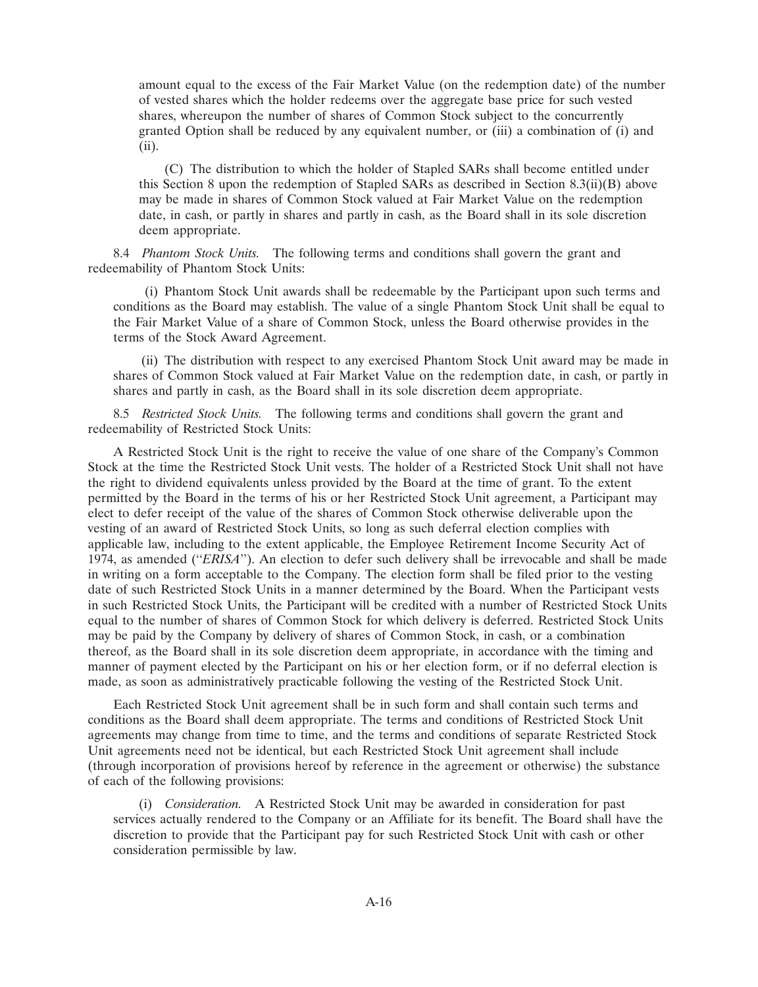amount equal to the excess of the Fair Market Value (on the redemption date) of the number of vested shares which the holder redeems over the aggregate base price for such vested shares, whereupon the number of shares of Common Stock subject to the concurrently granted Option shall be reduced by any equivalent number, or (iii) a combination of (i) and (ii).

(C) The distribution to which the holder of Stapled SARs shall become entitled under this Section 8 upon the redemption of Stapled SARs as described in Section 8.3(ii)(B) above may be made in shares of Common Stock valued at Fair Market Value on the redemption date, in cash, or partly in shares and partly in cash, as the Board shall in its sole discretion deem appropriate.

8.4 *Phantom Stock Units.* The following terms and conditions shall govern the grant and redeemability of Phantom Stock Units:

(i) Phantom Stock Unit awards shall be redeemable by the Participant upon such terms and conditions as the Board may establish. The value of a single Phantom Stock Unit shall be equal to the Fair Market Value of a share of Common Stock, unless the Board otherwise provides in the terms of the Stock Award Agreement.

(ii) The distribution with respect to any exercised Phantom Stock Unit award may be made in shares of Common Stock valued at Fair Market Value on the redemption date, in cash, or partly in shares and partly in cash, as the Board shall in its sole discretion deem appropriate.

8.5 *Restricted Stock Units.* The following terms and conditions shall govern the grant and redeemability of Restricted Stock Units:

A Restricted Stock Unit is the right to receive the value of one share of the Company's Common Stock at the time the Restricted Stock Unit vests. The holder of a Restricted Stock Unit shall not have the right to dividend equivalents unless provided by the Board at the time of grant. To the extent permitted by the Board in the terms of his or her Restricted Stock Unit agreement, a Participant may elect to defer receipt of the value of the shares of Common Stock otherwise deliverable upon the vesting of an award of Restricted Stock Units, so long as such deferral election complies with applicable law, including to the extent applicable, the Employee Retirement Income Security Act of 1974, as amended (''*ERISA*''). An election to defer such delivery shall be irrevocable and shall be made in writing on a form acceptable to the Company. The election form shall be filed prior to the vesting date of such Restricted Stock Units in a manner determined by the Board. When the Participant vests in such Restricted Stock Units, the Participant will be credited with a number of Restricted Stock Units equal to the number of shares of Common Stock for which delivery is deferred. Restricted Stock Units may be paid by the Company by delivery of shares of Common Stock, in cash, or a combination thereof, as the Board shall in its sole discretion deem appropriate, in accordance with the timing and manner of payment elected by the Participant on his or her election form, or if no deferral election is made, as soon as administratively practicable following the vesting of the Restricted Stock Unit.

Each Restricted Stock Unit agreement shall be in such form and shall contain such terms and conditions as the Board shall deem appropriate. The terms and conditions of Restricted Stock Unit agreements may change from time to time, and the terms and conditions of separate Restricted Stock Unit agreements need not be identical, but each Restricted Stock Unit agreement shall include (through incorporation of provisions hereof by reference in the agreement or otherwise) the substance of each of the following provisions:

(i) *Consideration.* A Restricted Stock Unit may be awarded in consideration for past services actually rendered to the Company or an Affiliate for its benefit. The Board shall have the discretion to provide that the Participant pay for such Restricted Stock Unit with cash or other consideration permissible by law.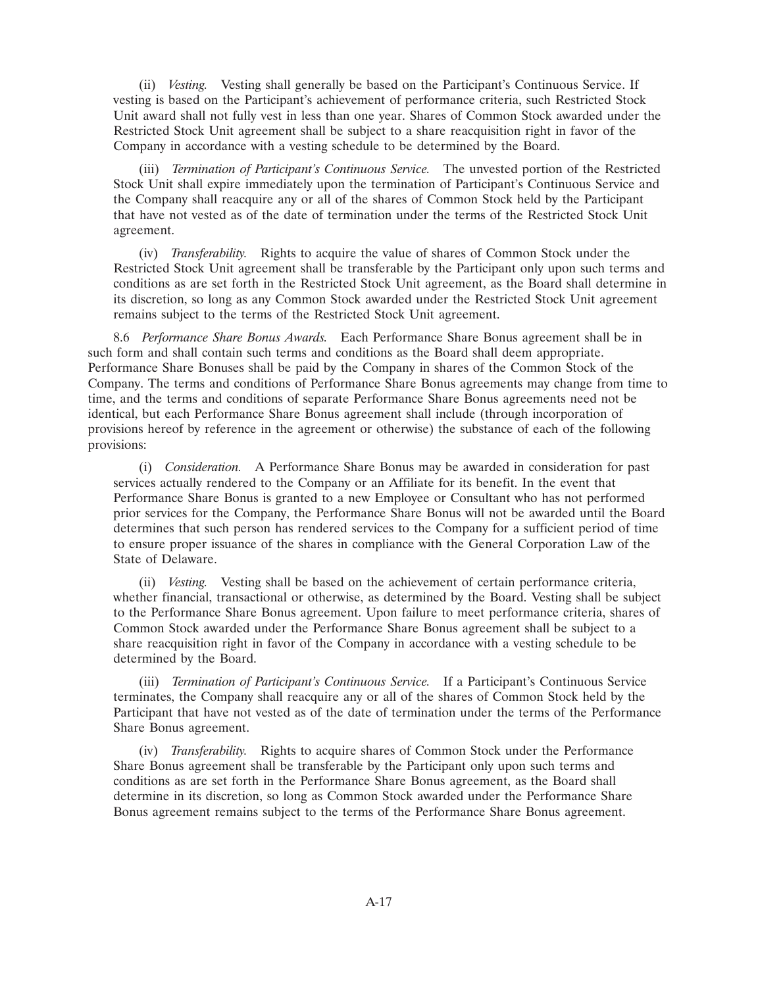(ii) *Vesting.* Vesting shall generally be based on the Participant's Continuous Service. If vesting is based on the Participant's achievement of performance criteria, such Restricted Stock Unit award shall not fully vest in less than one year. Shares of Common Stock awarded under the Restricted Stock Unit agreement shall be subject to a share reacquisition right in favor of the Company in accordance with a vesting schedule to be determined by the Board.

(iii) *Termination of Participant's Continuous Service.* The unvested portion of the Restricted Stock Unit shall expire immediately upon the termination of Participant's Continuous Service and the Company shall reacquire any or all of the shares of Common Stock held by the Participant that have not vested as of the date of termination under the terms of the Restricted Stock Unit agreement.

(iv) *Transferability.* Rights to acquire the value of shares of Common Stock under the Restricted Stock Unit agreement shall be transferable by the Participant only upon such terms and conditions as are set forth in the Restricted Stock Unit agreement, as the Board shall determine in its discretion, so long as any Common Stock awarded under the Restricted Stock Unit agreement remains subject to the terms of the Restricted Stock Unit agreement.

8.6 *Performance Share Bonus Awards.* Each Performance Share Bonus agreement shall be in such form and shall contain such terms and conditions as the Board shall deem appropriate. Performance Share Bonuses shall be paid by the Company in shares of the Common Stock of the Company. The terms and conditions of Performance Share Bonus agreements may change from time to time, and the terms and conditions of separate Performance Share Bonus agreements need not be identical, but each Performance Share Bonus agreement shall include (through incorporation of provisions hereof by reference in the agreement or otherwise) the substance of each of the following provisions:

(i) *Consideration.* A Performance Share Bonus may be awarded in consideration for past services actually rendered to the Company or an Affiliate for its benefit. In the event that Performance Share Bonus is granted to a new Employee or Consultant who has not performed prior services for the Company, the Performance Share Bonus will not be awarded until the Board determines that such person has rendered services to the Company for a sufficient period of time to ensure proper issuance of the shares in compliance with the General Corporation Law of the State of Delaware.

(ii) *Vesting.* Vesting shall be based on the achievement of certain performance criteria, whether financial, transactional or otherwise, as determined by the Board. Vesting shall be subject to the Performance Share Bonus agreement. Upon failure to meet performance criteria, shares of Common Stock awarded under the Performance Share Bonus agreement shall be subject to a share reacquisition right in favor of the Company in accordance with a vesting schedule to be determined by the Board.

(iii) *Termination of Participant's Continuous Service.* If a Participant's Continuous Service terminates, the Company shall reacquire any or all of the shares of Common Stock held by the Participant that have not vested as of the date of termination under the terms of the Performance Share Bonus agreement.

(iv) *Transferability.* Rights to acquire shares of Common Stock under the Performance Share Bonus agreement shall be transferable by the Participant only upon such terms and conditions as are set forth in the Performance Share Bonus agreement, as the Board shall determine in its discretion, so long as Common Stock awarded under the Performance Share Bonus agreement remains subject to the terms of the Performance Share Bonus agreement.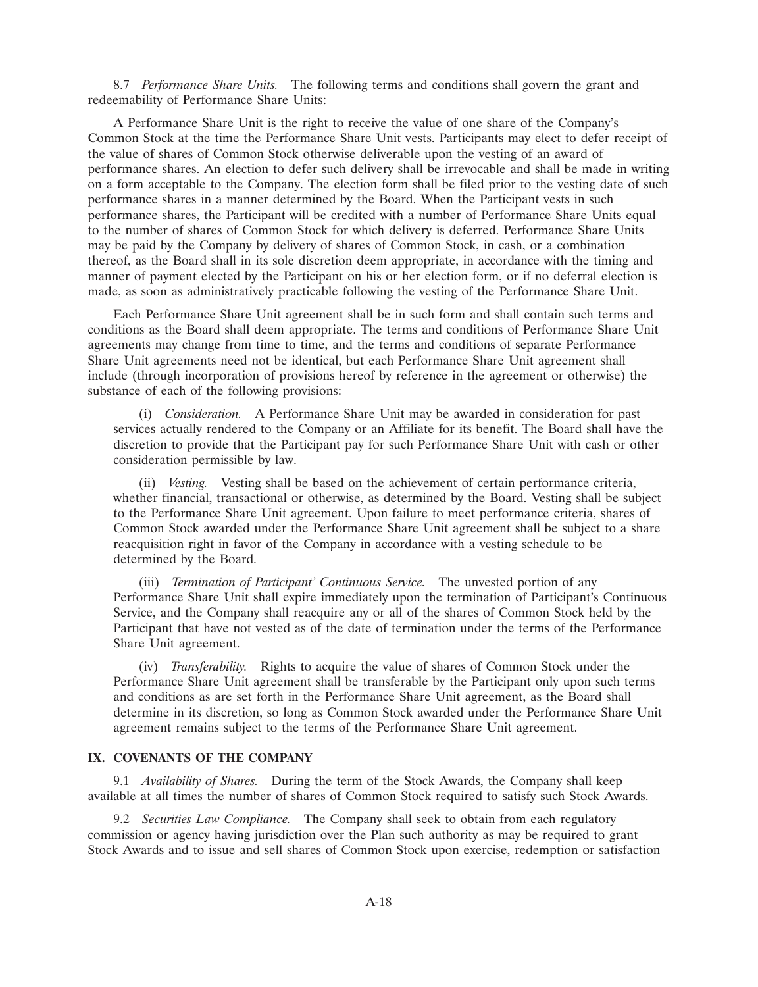8.7 *Performance Share Units.* The following terms and conditions shall govern the grant and redeemability of Performance Share Units:

A Performance Share Unit is the right to receive the value of one share of the Company's Common Stock at the time the Performance Share Unit vests. Participants may elect to defer receipt of the value of shares of Common Stock otherwise deliverable upon the vesting of an award of performance shares. An election to defer such delivery shall be irrevocable and shall be made in writing on a form acceptable to the Company. The election form shall be filed prior to the vesting date of such performance shares in a manner determined by the Board. When the Participant vests in such performance shares, the Participant will be credited with a number of Performance Share Units equal to the number of shares of Common Stock for which delivery is deferred. Performance Share Units may be paid by the Company by delivery of shares of Common Stock, in cash, or a combination thereof, as the Board shall in its sole discretion deem appropriate, in accordance with the timing and manner of payment elected by the Participant on his or her election form, or if no deferral election is made, as soon as administratively practicable following the vesting of the Performance Share Unit.

Each Performance Share Unit agreement shall be in such form and shall contain such terms and conditions as the Board shall deem appropriate. The terms and conditions of Performance Share Unit agreements may change from time to time, and the terms and conditions of separate Performance Share Unit agreements need not be identical, but each Performance Share Unit agreement shall include (through incorporation of provisions hereof by reference in the agreement or otherwise) the substance of each of the following provisions:

(i) *Consideration.* A Performance Share Unit may be awarded in consideration for past services actually rendered to the Company or an Affiliate for its benefit. The Board shall have the discretion to provide that the Participant pay for such Performance Share Unit with cash or other consideration permissible by law.

(ii) *Vesting.* Vesting shall be based on the achievement of certain performance criteria, whether financial, transactional or otherwise, as determined by the Board. Vesting shall be subject to the Performance Share Unit agreement. Upon failure to meet performance criteria, shares of Common Stock awarded under the Performance Share Unit agreement shall be subject to a share reacquisition right in favor of the Company in accordance with a vesting schedule to be determined by the Board.

(iii) *Termination of Participant' Continuous Service.* The unvested portion of any Performance Share Unit shall expire immediately upon the termination of Participant's Continuous Service, and the Company shall reacquire any or all of the shares of Common Stock held by the Participant that have not vested as of the date of termination under the terms of the Performance Share Unit agreement.

(iv) *Transferability.* Rights to acquire the value of shares of Common Stock under the Performance Share Unit agreement shall be transferable by the Participant only upon such terms and conditions as are set forth in the Performance Share Unit agreement, as the Board shall determine in its discretion, so long as Common Stock awarded under the Performance Share Unit agreement remains subject to the terms of the Performance Share Unit agreement.

# **IX. COVENANTS OF THE COMPANY**

9.1 *Availability of Shares.* During the term of the Stock Awards, the Company shall keep available at all times the number of shares of Common Stock required to satisfy such Stock Awards.

9.2 *Securities Law Compliance.* The Company shall seek to obtain from each regulatory commission or agency having jurisdiction over the Plan such authority as may be required to grant Stock Awards and to issue and sell shares of Common Stock upon exercise, redemption or satisfaction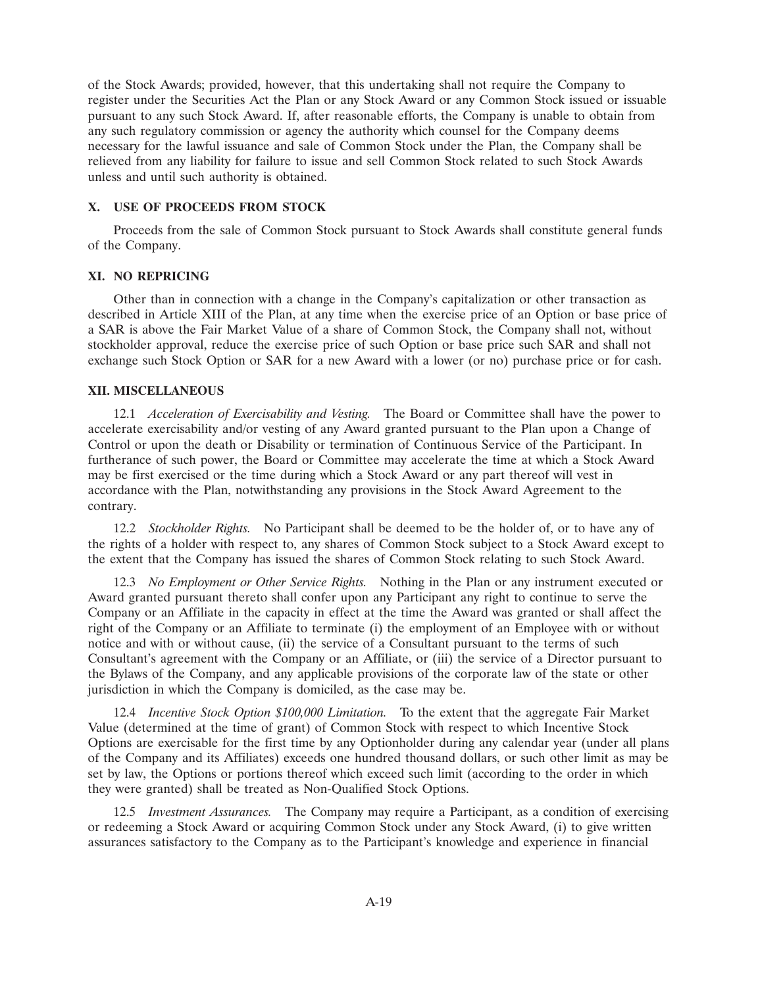of the Stock Awards; provided, however, that this undertaking shall not require the Company to register under the Securities Act the Plan or any Stock Award or any Common Stock issued or issuable pursuant to any such Stock Award. If, after reasonable efforts, the Company is unable to obtain from any such regulatory commission or agency the authority which counsel for the Company deems necessary for the lawful issuance and sale of Common Stock under the Plan, the Company shall be relieved from any liability for failure to issue and sell Common Stock related to such Stock Awards unless and until such authority is obtained.

# **X. USE OF PROCEEDS FROM STOCK**

Proceeds from the sale of Common Stock pursuant to Stock Awards shall constitute general funds of the Company.

# **XI. NO REPRICING**

Other than in connection with a change in the Company's capitalization or other transaction as described in Article XIII of the Plan, at any time when the exercise price of an Option or base price of a SAR is above the Fair Market Value of a share of Common Stock, the Company shall not, without stockholder approval, reduce the exercise price of such Option or base price such SAR and shall not exchange such Stock Option or SAR for a new Award with a lower (or no) purchase price or for cash.

# **XII. MISCELLANEOUS**

12.1 *Acceleration of Exercisability and Vesting.* The Board or Committee shall have the power to accelerate exercisability and/or vesting of any Award granted pursuant to the Plan upon a Change of Control or upon the death or Disability or termination of Continuous Service of the Participant. In furtherance of such power, the Board or Committee may accelerate the time at which a Stock Award may be first exercised or the time during which a Stock Award or any part thereof will vest in accordance with the Plan, notwithstanding any provisions in the Stock Award Agreement to the contrary.

12.2 *Stockholder Rights.* No Participant shall be deemed to be the holder of, or to have any of the rights of a holder with respect to, any shares of Common Stock subject to a Stock Award except to the extent that the Company has issued the shares of Common Stock relating to such Stock Award.

12.3 *No Employment or Other Service Rights.* Nothing in the Plan or any instrument executed or Award granted pursuant thereto shall confer upon any Participant any right to continue to serve the Company or an Affiliate in the capacity in effect at the time the Award was granted or shall affect the right of the Company or an Affiliate to terminate (i) the employment of an Employee with or without notice and with or without cause, (ii) the service of a Consultant pursuant to the terms of such Consultant's agreement with the Company or an Affiliate, or (iii) the service of a Director pursuant to the Bylaws of the Company, and any applicable provisions of the corporate law of the state or other jurisdiction in which the Company is domiciled, as the case may be.

12.4 *Incentive Stock Option \$100,000 Limitation.* To the extent that the aggregate Fair Market Value (determined at the time of grant) of Common Stock with respect to which Incentive Stock Options are exercisable for the first time by any Optionholder during any calendar year (under all plans of the Company and its Affiliates) exceeds one hundred thousand dollars, or such other limit as may be set by law, the Options or portions thereof which exceed such limit (according to the order in which they were granted) shall be treated as Non-Qualified Stock Options.

12.5 *Investment Assurances.* The Company may require a Participant, as a condition of exercising or redeeming a Stock Award or acquiring Common Stock under any Stock Award, (i) to give written assurances satisfactory to the Company as to the Participant's knowledge and experience in financial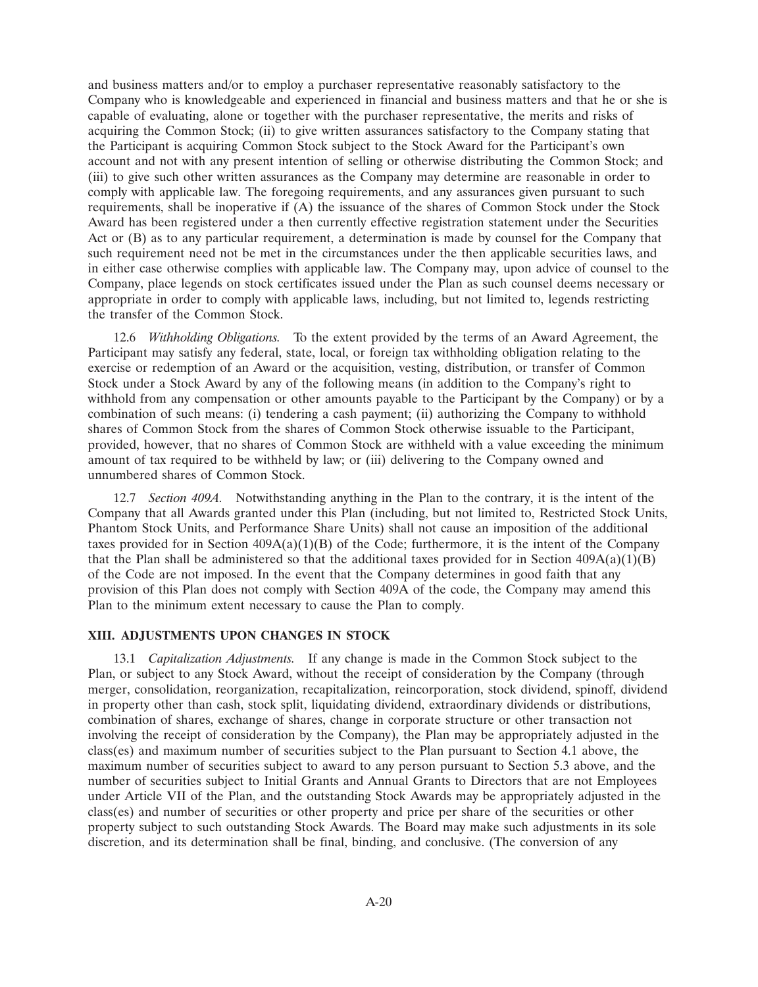and business matters and/or to employ a purchaser representative reasonably satisfactory to the Company who is knowledgeable and experienced in financial and business matters and that he or she is capable of evaluating, alone or together with the purchaser representative, the merits and risks of acquiring the Common Stock; (ii) to give written assurances satisfactory to the Company stating that the Participant is acquiring Common Stock subject to the Stock Award for the Participant's own account and not with any present intention of selling or otherwise distributing the Common Stock; and (iii) to give such other written assurances as the Company may determine are reasonable in order to comply with applicable law. The foregoing requirements, and any assurances given pursuant to such requirements, shall be inoperative if (A) the issuance of the shares of Common Stock under the Stock Award has been registered under a then currently effective registration statement under the Securities Act or (B) as to any particular requirement, a determination is made by counsel for the Company that such requirement need not be met in the circumstances under the then applicable securities laws, and in either case otherwise complies with applicable law. The Company may, upon advice of counsel to the Company, place legends on stock certificates issued under the Plan as such counsel deems necessary or appropriate in order to comply with applicable laws, including, but not limited to, legends restricting the transfer of the Common Stock.

12.6 *Withholding Obligations.* To the extent provided by the terms of an Award Agreement, the Participant may satisfy any federal, state, local, or foreign tax withholding obligation relating to the exercise or redemption of an Award or the acquisition, vesting, distribution, or transfer of Common Stock under a Stock Award by any of the following means (in addition to the Company's right to withhold from any compensation or other amounts payable to the Participant by the Company) or by a combination of such means: (i) tendering a cash payment; (ii) authorizing the Company to withhold shares of Common Stock from the shares of Common Stock otherwise issuable to the Participant, provided, however, that no shares of Common Stock are withheld with a value exceeding the minimum amount of tax required to be withheld by law; or (iii) delivering to the Company owned and unnumbered shares of Common Stock.

12.7 *Section 409A.* Notwithstanding anything in the Plan to the contrary, it is the intent of the Company that all Awards granted under this Plan (including, but not limited to, Restricted Stock Units, Phantom Stock Units, and Performance Share Units) shall not cause an imposition of the additional taxes provided for in Section  $409A(a)(1)(B)$  of the Code; furthermore, it is the intent of the Company that the Plan shall be administered so that the additional taxes provided for in Section  $409A(a)(1)(B)$ of the Code are not imposed. In the event that the Company determines in good faith that any provision of this Plan does not comply with Section 409A of the code, the Company may amend this Plan to the minimum extent necessary to cause the Plan to comply.

# **XIII. ADJUSTMENTS UPON CHANGES IN STOCK**

13.1 *Capitalization Adjustments.* If any change is made in the Common Stock subject to the Plan, or subject to any Stock Award, without the receipt of consideration by the Company (through merger, consolidation, reorganization, recapitalization, reincorporation, stock dividend, spinoff, dividend in property other than cash, stock split, liquidating dividend, extraordinary dividends or distributions, combination of shares, exchange of shares, change in corporate structure or other transaction not involving the receipt of consideration by the Company), the Plan may be appropriately adjusted in the class(es) and maximum number of securities subject to the Plan pursuant to Section 4.1 above, the maximum number of securities subject to award to any person pursuant to Section 5.3 above, and the number of securities subject to Initial Grants and Annual Grants to Directors that are not Employees under Article VII of the Plan, and the outstanding Stock Awards may be appropriately adjusted in the class(es) and number of securities or other property and price per share of the securities or other property subject to such outstanding Stock Awards. The Board may make such adjustments in its sole discretion, and its determination shall be final, binding, and conclusive. (The conversion of any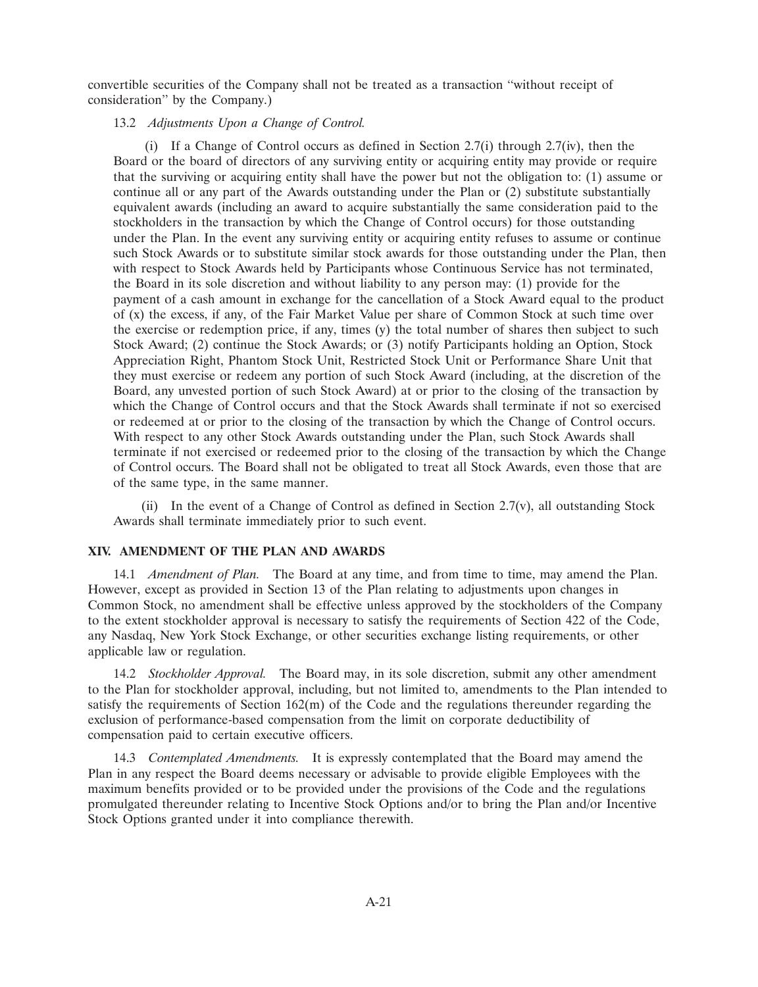convertible securities of the Company shall not be treated as a transaction ''without receipt of consideration'' by the Company.)

# 13.2 *Adjustments Upon a Change of Control.*

(i) If a Change of Control occurs as defined in Section 2.7(i) through 2.7(iv), then the Board or the board of directors of any surviving entity or acquiring entity may provide or require that the surviving or acquiring entity shall have the power but not the obligation to: (1) assume or continue all or any part of the Awards outstanding under the Plan or (2) substitute substantially equivalent awards (including an award to acquire substantially the same consideration paid to the stockholders in the transaction by which the Change of Control occurs) for those outstanding under the Plan. In the event any surviving entity or acquiring entity refuses to assume or continue such Stock Awards or to substitute similar stock awards for those outstanding under the Plan, then with respect to Stock Awards held by Participants whose Continuous Service has not terminated, the Board in its sole discretion and without liability to any person may: (1) provide for the payment of a cash amount in exchange for the cancellation of a Stock Award equal to the product of (x) the excess, if any, of the Fair Market Value per share of Common Stock at such time over the exercise or redemption price, if any, times (y) the total number of shares then subject to such Stock Award; (2) continue the Stock Awards; or (3) notify Participants holding an Option, Stock Appreciation Right, Phantom Stock Unit, Restricted Stock Unit or Performance Share Unit that they must exercise or redeem any portion of such Stock Award (including, at the discretion of the Board, any unvested portion of such Stock Award) at or prior to the closing of the transaction by which the Change of Control occurs and that the Stock Awards shall terminate if not so exercised or redeemed at or prior to the closing of the transaction by which the Change of Control occurs. With respect to any other Stock Awards outstanding under the Plan, such Stock Awards shall terminate if not exercised or redeemed prior to the closing of the transaction by which the Change of Control occurs. The Board shall not be obligated to treat all Stock Awards, even those that are of the same type, in the same manner.

(ii) In the event of a Change of Control as defined in Section 2.7(v), all outstanding Stock Awards shall terminate immediately prior to such event.

# **XIV. AMENDMENT OF THE PLAN AND AWARDS**

14.1 *Amendment of Plan.* The Board at any time, and from time to time, may amend the Plan. However, except as provided in Section 13 of the Plan relating to adjustments upon changes in Common Stock, no amendment shall be effective unless approved by the stockholders of the Company to the extent stockholder approval is necessary to satisfy the requirements of Section 422 of the Code, any Nasdaq, New York Stock Exchange, or other securities exchange listing requirements, or other applicable law or regulation.

14.2 *Stockholder Approval.* The Board may, in its sole discretion, submit any other amendment to the Plan for stockholder approval, including, but not limited to, amendments to the Plan intended to satisfy the requirements of Section 162(m) of the Code and the regulations thereunder regarding the exclusion of performance-based compensation from the limit on corporate deductibility of compensation paid to certain executive officers.

14.3 *Contemplated Amendments.* It is expressly contemplated that the Board may amend the Plan in any respect the Board deems necessary or advisable to provide eligible Employees with the maximum benefits provided or to be provided under the provisions of the Code and the regulations promulgated thereunder relating to Incentive Stock Options and/or to bring the Plan and/or Incentive Stock Options granted under it into compliance therewith.